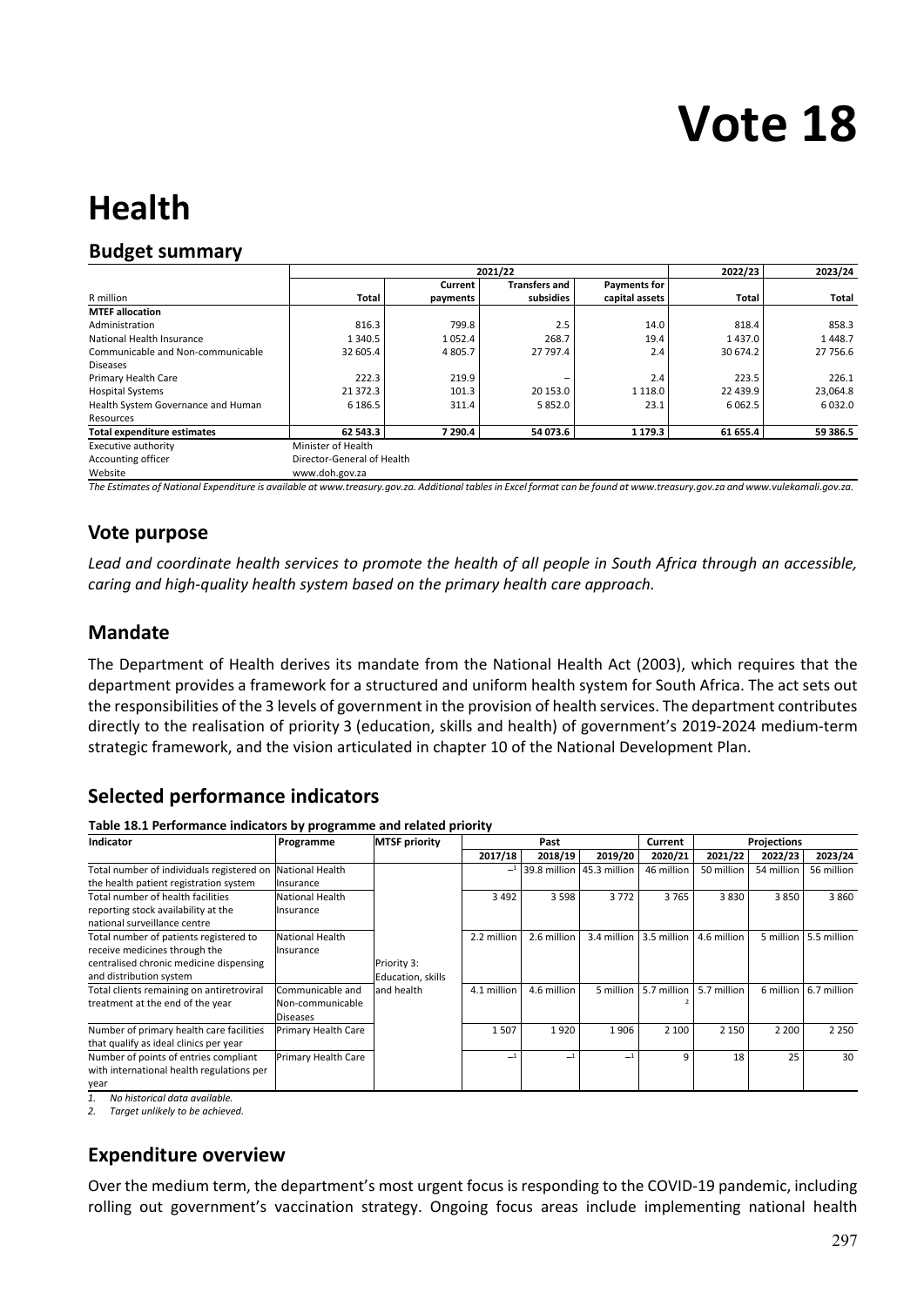# **Vote 18**

## **Health**

## **Budget summary**

|                                    |                            |          | 2021/22              |                | 2022/23   | 2023/24    |
|------------------------------------|----------------------------|----------|----------------------|----------------|-----------|------------|
|                                    |                            | Current  | <b>Transfers and</b> | Payments for   |           |            |
| R million                          | <b>Total</b>               | payments | subsidies            | capital assets | Total     | Total      |
| <b>MTEF allocation</b>             |                            |          |                      |                |           |            |
| Administration                     | 816.3                      | 799.8    | 2.5                  | 14.0           | 818.4     | 858.3      |
| National Health Insurance          | 1 3 4 0.5                  | 1052.4   | 268.7                | 19.4           | 1437.0    | 1448.7     |
| Communicable and Non-communicable  | 32 605.4                   | 4805.7   | 27 797.4             | 2.4            | 30 674.2  | 27 756.6   |
| <b>Diseases</b>                    |                            |          |                      |                |           |            |
| Primary Health Care                | 222.3                      | 219.9    | -                    | 2.4            | 223.5     | 226.1      |
| <b>Hospital Systems</b>            | 21 372.3                   | 101.3    | 20 15 3.0            | 1 1 1 8 .0     | 22 439.9  | 23,064.8   |
| Health System Governance and Human | 6 186.5                    | 311.4    | 5 8 5 2.0            | 23.1           | 6 0 6 2.5 | 6 0 3 2 .0 |
| Resources                          |                            |          |                      |                |           |            |
| <b>Total expenditure estimates</b> | 62 543.3                   | 7 290.4  | 54 073.6             | 1 1 7 9 . 3    | 61 655.4  | 59 386.5   |
| Executive authority                | Minister of Health         |          |                      |                |           |            |
| Accounting officer                 | Director-General of Health |          |                      |                |           |            |
| Website                            | www.doh.gov.za             |          |                      |                |           |            |

*The Estimates of National Expenditure is available at www.treasury.gov.za. Additional tables in Excel format can be found at www.treasury.gov.za and www.vulekamali.gov.za.*

## **Vote purpose**

*Lead and coordinate health services to promote the health of all people in South Africa through an accessible, caring and high‐quality health system based on the primary health care approach.* 

## **Mandate**

The Department of Health derives its mandate from the National Health Act (2003), which requires that the department provides a framework for a structured and uniform health system for South Africa. The act sets out the responsibilities of the 3 levels of government in the provision of health services. The department contributes directly to the realisation of priority 3 (education, skills and health) of government's 2019‐2024 medium‐term strategic framework, and the vision articulated in chapter 10 of the National Development Plan.

## **Selected performance indicators**

**Table 18.1 Performance indicators by programme and related priority** 

| Indicator                                 | . .<br>Programme    | <b>MTSF priority</b> |             | Past                      |              | Current     |             | <b>Projections</b> |             |
|-------------------------------------------|---------------------|----------------------|-------------|---------------------------|--------------|-------------|-------------|--------------------|-------------|
|                                           |                     |                      | 2017/18     | 2018/19                   | 2019/20      | 2020/21     | 2021/22     | 2022/23            | 2023/24     |
| Total number of individuals registered on | National Health     |                      |             | 39.8 million 45.3 million |              | 46 million  | 50 million  | 54 million         | 56 million  |
| the health patient registration system    | Insurance           |                      |             |                           |              |             |             |                    |             |
| Total number of health facilities         | National Health     |                      | 3 4 9 2     | 3 5 9 8                   | 3772         | 3765        | 3830        | 3850               | 3860        |
| reporting stock availability at the       | Insurance           |                      |             |                           |              |             |             |                    |             |
| national surveillance centre              |                     |                      |             |                           |              |             |             |                    |             |
| Total number of patients registered to    | National Health     |                      | 2.2 million | 2.6 million               | 3.4 million  | 3.5 million | 4.6 million | 5 million          | 5.5 million |
| receive medicines through the             | Insurance           |                      |             |                           |              |             |             |                    |             |
| centralised chronic medicine dispensing   |                     | Priority 3:          |             |                           |              |             |             |                    |             |
| and distribution system                   |                     | Education, skills    |             |                           |              |             |             |                    |             |
| Total clients remaining on antiretroviral | Communicable and    | and health           | 4.1 million | 4.6 million               | 5 million    | 5.7 million | 5.7 million | 6 million          | 6.7 million |
| treatment at the end of the year          | Non-communicable    |                      |             |                           |              |             |             |                    |             |
|                                           | Diseases            |                      |             |                           |              |             |             |                    |             |
| Number of primary health care facilities  | Primary Health Care |                      | 1507        | 1920                      | 1906         | 2 100       | 2 1 5 0     | 2 2 0 0            | 2 2 5 0     |
| that qualify as ideal clinics per year    |                     |                      |             |                           |              |             |             |                    |             |
| Number of points of entries compliant     | Primary Health Care |                      |             |                           | $\mathbf{I}$ | 9           | 18          | 25                 | 30          |
| with international health regulations per |                     |                      |             |                           |              |             |             |                    |             |
| year                                      |                     |                      |             |                           |              |             |             |                    |             |

*1. No historical data available.* 

*2. Target unlikely to be achieved.* 

## **Expenditure overview**

Over the medium term, the department's most urgent focus is responding to the COVID‐19 pandemic, including rolling out government's vaccination strategy. Ongoing focus areas include implementing national health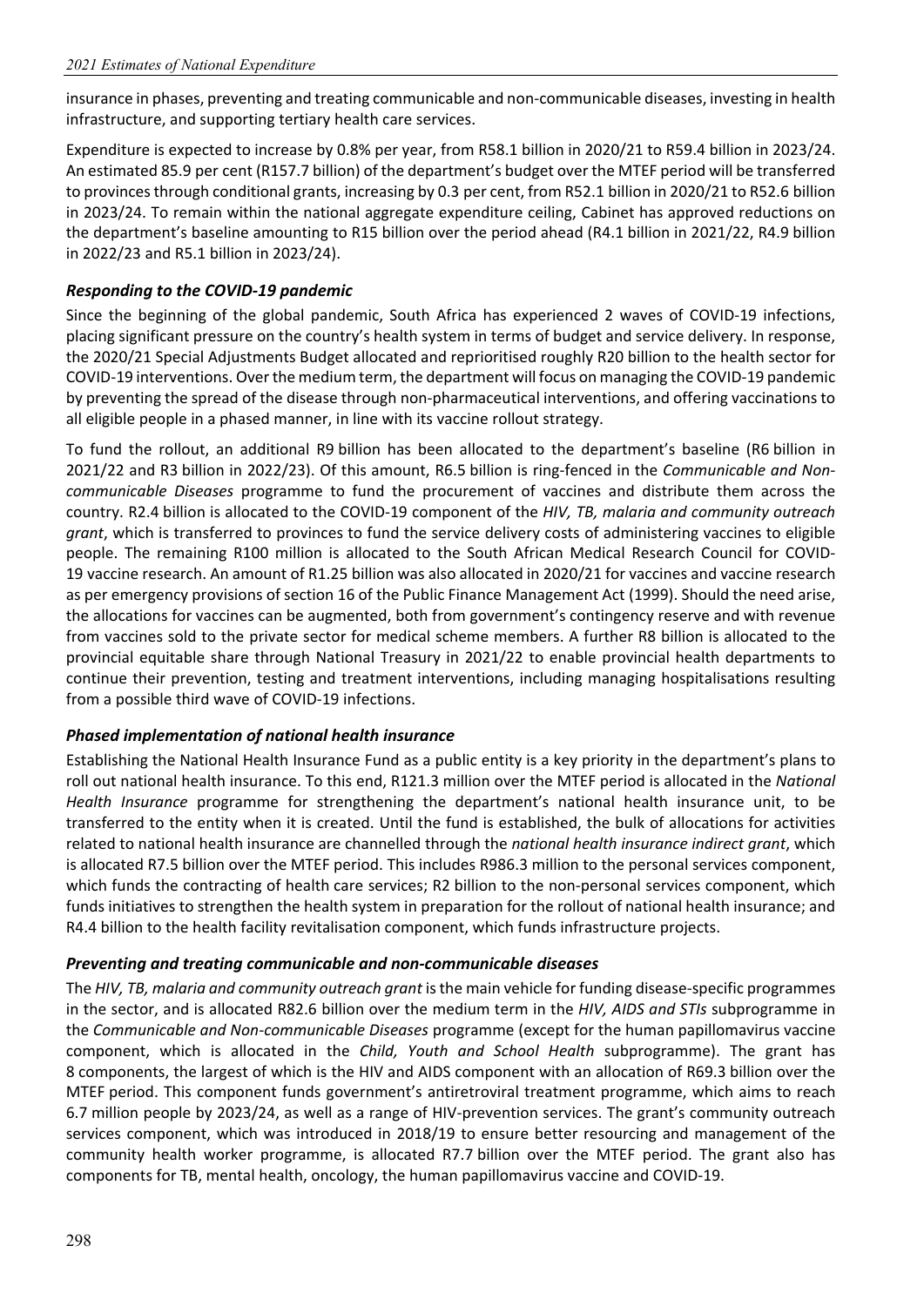insurance in phases, preventing and treating communicable and non‐communicable diseases, investing in health infrastructure, and supporting tertiary health care services.

Expenditure is expected to increase by 0.8% per year, from R58.1 billion in 2020/21 to R59.4 billion in 2023/24. An estimated 85.9 per cent (R157.7 billion) of the department's budget over the MTEF period will be transferred to provinces through conditional grants, increasing by 0.3 per cent, from R52.1 billion in 2020/21 to R52.6 billion in 2023/24. To remain within the national aggregate expenditure ceiling, Cabinet has approved reductions on the department's baseline amounting to R15 billion over the period ahead (R4.1 billion in 2021/22, R4.9 billion in 2022/23 and R5.1 billion in 2023/24).

#### *Responding to the COVID‐19 pandemic*

Since the beginning of the global pandemic, South Africa has experienced 2 waves of COVID-19 infections, placing significant pressure on the country's health system in terms of budget and service delivery. In response, the 2020/21 Special Adjustments Budget allocated and reprioritised roughly R20 billion to the health sector for COVID‐19 interventions. Over the medium term, the department will focus on managing the COVID‐19 pandemic by preventing the spread of the disease through non‐pharmaceutical interventions, and offering vaccinations to all eligible people in a phased manner, in line with its vaccine rollout strategy.

To fund the rollout, an additional R9 billion has been allocated to the department's baseline (R6 billion in 2021/22 and R3 billion in 2022/23). Of this amount, R6.5 billion is ring‐fenced in the *Communicable and Non‐ communicable Diseases* programme to fund the procurement of vaccines and distribute them across the country. R2.4 billion is allocated to the COVID‐19 component of the *HIV, TB, malaria and community outreach grant*, which is transferred to provinces to fund the service delivery costs of administering vaccines to eligible people. The remaining R100 million is allocated to the South African Medical Research Council for COVID‐ 19 vaccine research. An amount of R1.25 billion was also allocated in 2020/21 for vaccines and vaccine research as per emergency provisions of section 16 of the Public Finance Management Act (1999). Should the need arise, the allocations for vaccines can be augmented, both from government's contingency reserve and with revenue from vaccines sold to the private sector for medical scheme members. A further R8 billion is allocated to the provincial equitable share through National Treasury in 2021/22 to enable provincial health departments to continue their prevention, testing and treatment interventions, including managing hospitalisations resulting from a possible third wave of COVID‐19 infections.

#### *Phased implementation of national health insurance*

Establishing the National Health Insurance Fund as a public entity is a key priority in the department's plans to roll out national health insurance. To this end, R121.3 million over the MTEF period is allocated in the *National Health Insurance* programme for strengthening the department's national health insurance unit, to be transferred to the entity when it is created. Until the fund is established, the bulk of allocations for activities related to national health insurance are channelled through the *national health insurance indirect grant*, which is allocated R7.5 billion over the MTEF period. This includes R986.3 million to the personal services component, which funds the contracting of health care services; R2 billion to the non-personal services component, which funds initiatives to strengthen the health system in preparation for the rollout of national health insurance; and R4.4 billion to the health facility revitalisation component, which funds infrastructure projects.

#### *Preventing and treating communicable and non‐communicable diseases*

The *HIV, TB, malaria and community outreach grant* is the main vehicle for funding disease‐specific programmes in the sector, and is allocated R82.6 billion over the medium term in the *HIV, AIDS and STIs* subprogramme in the *Communicable and Non‐communicable Diseases* programme (except for the human papillomavirus vaccine component, which is allocated in the *Child, Youth and School Health*  subprogramme). The grant has 8 components, the largest of which is the HIV and AIDS component with an allocation of R69.3 billion over the MTEF period. This component funds government's antiretroviral treatment programme, which aims to reach 6.7 million people by 2023/24, as well as a range of HIV‐prevention services. The grant's community outreach services component, which was introduced in 2018/19 to ensure better resourcing and management of the community health worker programme, is allocated R7.7 billion over the MTEF period. The grant also has components for TB, mental health, oncology, the human papillomavirus vaccine and COVID‐19.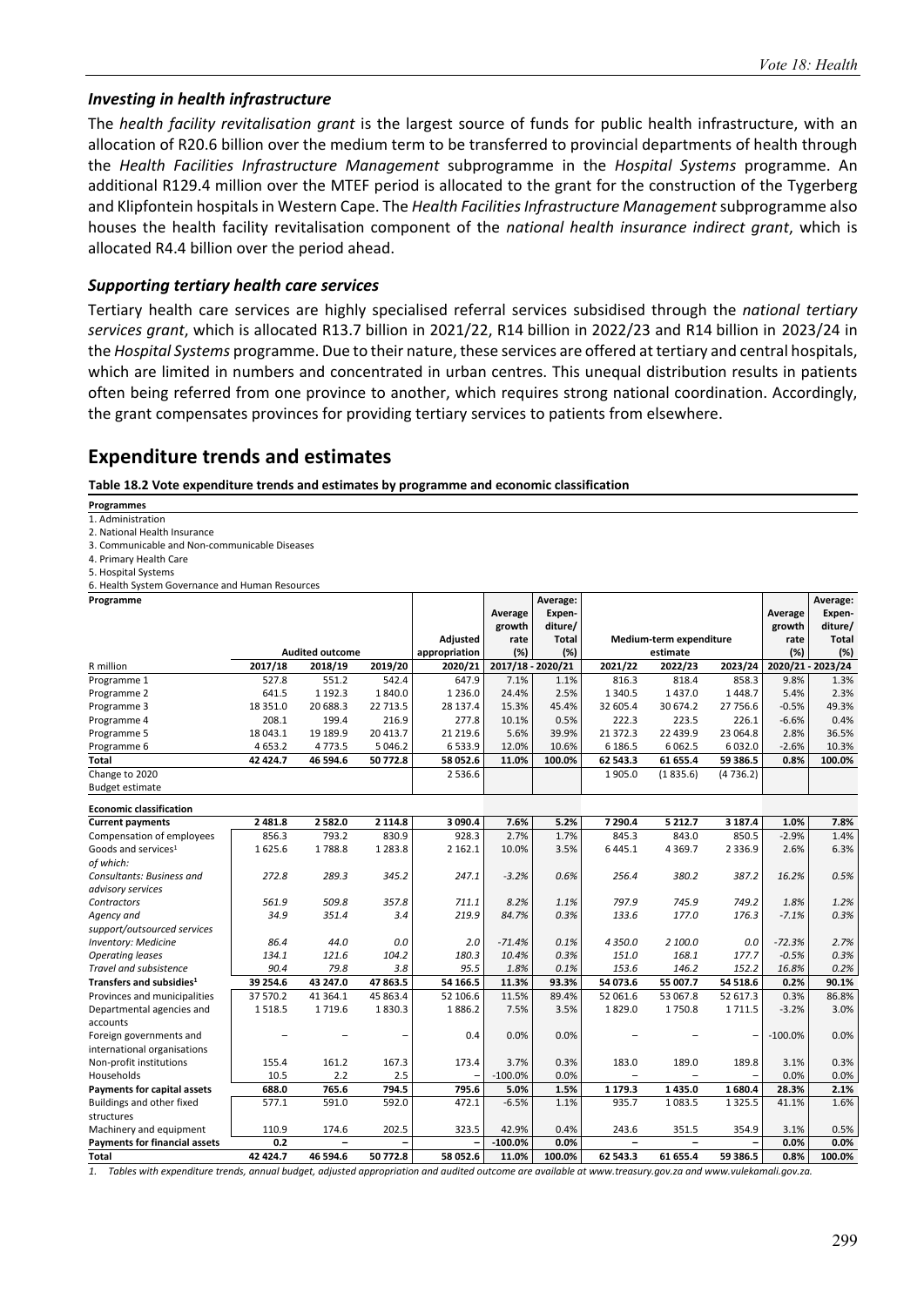**Average:**

Т

#### *Investing in health infrastructure*

The *health facility revitalisation grant* is the largest source of funds for public health infrastructure, with an allocation of R20.6 billion over the medium term to be transferred to provincial departments of health through the *Health Facilities Infrastructure Management* subprogramme in the *Hospital Systems* programme. An additional R129.4 million over the MTEF period is allocated to the grant for the construction of the Tygerberg and Klipfontein hospitals in Western Cape. The *Health Facilities Infrastructure Management* subprogramme also houses the health facility revitalisation component of the *national health insurance indirect grant*, which is allocated R4.4 billion over the period ahead.

#### *Supporting tertiary health care services*

Tertiary health care services are highly specialised referral services subsidised through the *national tertiary services grant*, which is allocated R13.7 billion in 2021/22, R14 billion in 2022/23 and R14 billion in 2023/24 in the *Hospital Systems* programme. Due to their nature, these services are offered at tertiary and central hospitals, which are limited in numbers and concentrated in urban centres. This unequal distribution results in patients often being referred from one province to another, which requires strong national coordination. Accordingly, the grant compensates provinces for providing tertiary services to patients from elsewhere.

Т

**Average:** 

#### **Expenditure trends and estimates**

**Table 18.2 Vote expenditure trends and estimates by programme and economic classification** 

- **Programmes**
- 1. Administration
- 2. National Health Insurance
- 3. Communicable and Non‐communicable Diseases
- 4. Primary Health Care
- 5. Hospital Systems

**Programme** 

6. Health System Governance and Human Resources 

|                                                                                                                                                                  |           |                        |             |               | Average           | Expen-       |             |                         |             | Average           | Expen-  |
|------------------------------------------------------------------------------------------------------------------------------------------------------------------|-----------|------------------------|-------------|---------------|-------------------|--------------|-------------|-------------------------|-------------|-------------------|---------|
|                                                                                                                                                                  |           |                        |             |               | growth            | diture/      |             |                         |             | growth            | diture/ |
|                                                                                                                                                                  |           |                        |             | Adjusted      | rate              | <b>Total</b> |             | Medium-term expenditure |             | rate              | Total   |
|                                                                                                                                                                  |           | <b>Audited outcome</b> |             | appropriation | (%)               | (%)          |             | estimate                |             | (%)               | (%)     |
| R million                                                                                                                                                        | 2017/18   | 2018/19                | 2019/20     | 2020/21       | 2017/18 - 2020/21 |              | 2021/22     | 2022/23                 | 2023/24     | 2020/21 - 2023/24 |         |
| Programme 1                                                                                                                                                      | 527.8     | 551.2                  | 542.4       | 647.9         | 7.1%              | 1.1%         | 816.3       | 818.4                   | 858.3       | 9.8%              | 1.3%    |
| Programme 2                                                                                                                                                      | 641.5     | 1 1 9 2 . 3            | 1840.0      | 1 2 3 6 . 0   | 24.4%             | 2.5%         | 1 3 4 0.5   | 1437.0                  | 1448.7      | 5.4%              | 2.3%    |
| Programme 3                                                                                                                                                      | 18 351.0  | 20 688.3               | 22 713.5    | 28 137.4      | 15.3%             | 45.4%        | 32 605.4    | 30 674.2                | 27 756.6    | $-0.5%$           | 49.3%   |
| Programme 4                                                                                                                                                      | 208.1     | 199.4                  | 216.9       | 277.8         | 10.1%             | 0.5%         | 222.3       | 223.5                   | 226.1       | $-6.6%$           | 0.4%    |
| Programme 5                                                                                                                                                      | 18 043.1  | 19 189.9               | 20 413.7    | 21 219.6      | 5.6%              | 39.9%        | 21 372.3    | 22 439.9                | 23 064.8    | 2.8%              | 36.5%   |
| Programme 6                                                                                                                                                      | 4 6 5 3.2 | 4773.5                 | 5 0 4 6 .2  | 6533.9        | 12.0%             | 10.6%        | 6 186.5     | 6 0 6 2.5               | 6032.0      | $-2.6%$           | 10.3%   |
| <b>Total</b>                                                                                                                                                     | 42 424.7  | 46 594.6               | 50772.8     | 58 052.6      | 11.0%             | 100.0%       | 62 543.3    | 61 655.4                | 59 386.5    | 0.8%              | 100.0%  |
| Change to 2020                                                                                                                                                   |           |                        |             | 2536.6        |                   |              | 1905.0      | (1835.6)                | (4736.2)    |                   |         |
| <b>Budget estimate</b>                                                                                                                                           |           |                        |             |               |                   |              |             |                         |             |                   |         |
| <b>Economic classification</b>                                                                                                                                   |           |                        |             |               |                   |              |             |                         |             |                   |         |
| <b>Current payments</b>                                                                                                                                          | 2 4 8 1.8 | 2 5 8 2.0              | 2 1 1 4.8   | 3 090.4       | 7.6%              | 5.2%         | 7 290.4     | 5 2 1 2.7               | 3 187.4     | 1.0%              | 7.8%    |
| Compensation of employees                                                                                                                                        | 856.3     | 793.2                  | 830.9       | 928.3         | 2.7%              | 1.7%         | 845.3       | 843.0                   | 850.5       | $-2.9%$           | 1.4%    |
| Goods and services <sup>1</sup>                                                                                                                                  | 1625.6    | 1788.8                 | 1 2 8 3 . 8 | 2 1 6 2 . 1   | 10.0%             | 3.5%         | 6 4 4 5 . 1 | 4 3 6 9.7               | 2 3 3 6 . 9 | 2.6%              | 6.3%    |
| of which:                                                                                                                                                        |           |                        |             |               |                   |              |             |                         |             |                   |         |
| Consultants: Business and                                                                                                                                        | 272.8     | 289.3                  | 345.2       | 247.1         | $-3.2%$           | 0.6%         | 256.4       | 380.2                   | 387.2       | 16.2%             | 0.5%    |
| advisory services                                                                                                                                                |           |                        |             |               |                   |              |             |                         |             |                   |         |
| Contractors                                                                                                                                                      | 561.9     | 509.8                  | 357.8       | 711.1         | 8.2%              | 1.1%         | 797.9       | 745.9                   | 749.2       | 1.8%              | 1.2%    |
| Agency and                                                                                                                                                       | 34.9      | 351.4                  | 3.4         | 219.9         | 84.7%             | 0.3%         | 133.6       | 177.0                   | 176.3       | $-7.1%$           | 0.3%    |
| support/outsourced services                                                                                                                                      |           |                        |             |               |                   |              |             |                         |             |                   |         |
| <b>Inventory: Medicine</b>                                                                                                                                       | 86.4      | 44.0                   | 0.0         | 2.0           | $-71.4%$          | 0.1%         | 4 350.0     | 2 100.0                 | 0.0         | $-72.3%$          | 2.7%    |
| <b>Operating leases</b>                                                                                                                                          | 134.1     | 121.6                  | 104.2       | 180.3         | 10.4%             | 0.3%         | 151.0       | 168.1                   | 177.7       | $-0.5%$           | 0.3%    |
| Travel and subsistence                                                                                                                                           | 90.4      | 79.8                   | 3.8         | 95.5          | 1.8%              | 0.1%         | 153.6       | 146.2                   | 152.2       | 16.8%             | 0.2%    |
| Transfers and subsidies <sup>1</sup>                                                                                                                             | 39 254.6  | 43 247.0               | 47 863.5    | 54 166.5      | 11.3%             | 93.3%        | 54 073.6    | 55 007.7                | 54 518.6    | 0.2%              | 90.1%   |
| Provinces and municipalities                                                                                                                                     | 37 570.2  | 41 364.1               | 45 863.4    | 52 106.6      | 11.5%             | 89.4%        | 52 061.6    | 53 067.8                | 52 617.3    | 0.3%              | 86.8%   |
| Departmental agencies and                                                                                                                                        | 1518.5    | 1719.6                 | 1830.3      | 1886.2        | 7.5%              | 3.5%         | 1829.0      | 1750.8                  | 1711.5      | $-3.2%$           | 3.0%    |
| accounts                                                                                                                                                         |           |                        |             |               |                   |              |             |                         |             |                   |         |
| Foreign governments and                                                                                                                                          |           |                        |             | 0.4           | 0.0%              | 0.0%         |             |                         | -           | $-100.0%$         | 0.0%    |
| international organisations                                                                                                                                      |           |                        |             |               |                   |              |             |                         |             |                   |         |
| Non-profit institutions                                                                                                                                          | 155.4     | 161.2                  | 167.3       | 173.4         | 3.7%              | 0.3%         | 183.0       | 189.0                   | 189.8       | 3.1%              | 0.3%    |
| Households                                                                                                                                                       | 10.5      | 2.2                    | 2.5         |               | $-100.0%$         | 0.0%         |             |                         |             | 0.0%              | 0.0%    |
| Payments for capital assets                                                                                                                                      | 688.0     | 765.6                  | 794.5       | 795.6         | 5.0%              | 1.5%         | 1 1 7 9 . 3 | 1 4 3 5 .0              | 1680.4      | 28.3%             | 2.1%    |
| Buildings and other fixed                                                                                                                                        | 577.1     | 591.0                  | 592.0       | 472.1         | $-6.5%$           | 1.1%         | 935.7       | 1083.5                  | 1 3 2 5 .5  | 41.1%             | 1.6%    |
| structures                                                                                                                                                       |           |                        |             |               |                   |              |             |                         |             |                   |         |
| Machinery and equipment                                                                                                                                          | 110.9     | 174.6                  | 202.5       | 323.5         | 42.9%             | 0.4%         | 243.6       | 351.5                   | 354.9       | 3.1%              | 0.5%    |
| <b>Payments for financial assets</b>                                                                                                                             | 0.2       |                        |             |               | $-100.0%$         | 0.0%         | $=$         | $\equiv$                |             | 0.0%              | 0.0%    |
| Total<br>Tables with avangeliture translational budget, adjusted appropriation and qudited outcome are quailable at unusu tragers and unusual unusualization are | 42 424.7  | 46 594.6               | 50 772.8    | 58 052.6      | 11.0%             | 100.0%       | 62 543.3    | 61 655.4                | 59 386.5    | 0.8%              | 100.0%  |

*1. Tables with expenditure trends, annual budget, adjusted appropriation and audited outcome are available at www.treasury.gov.za and www.vulekamali.gov.za.*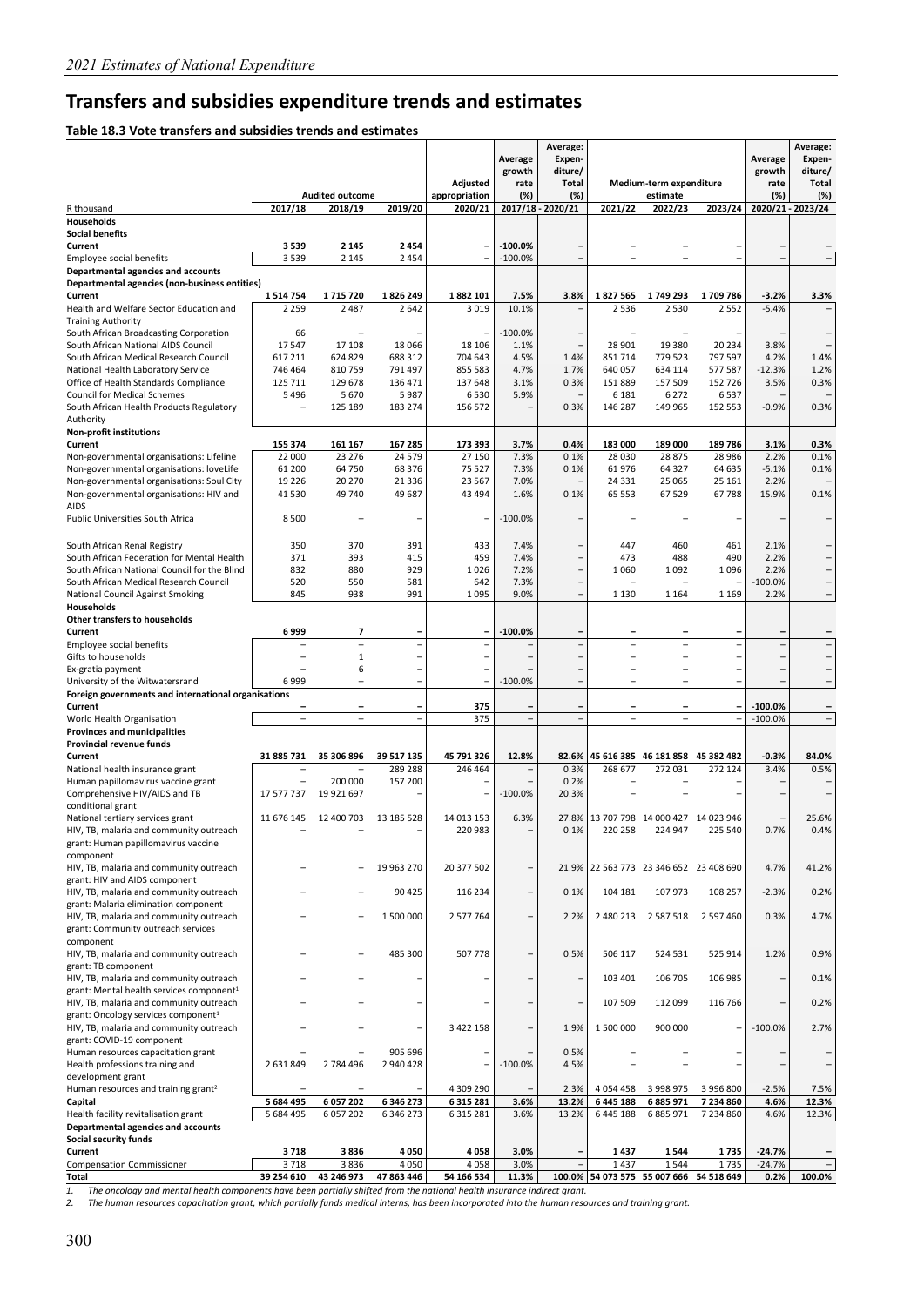## **Transfers and subsidies expenditure trends and estimates**

#### **Table 18.3 Vote transfers and subsidies trends and estimates**

|                                                                            |                          |                          |                    |               |                          | Average:                 |                          |                                         |                |                          | Average:                 |
|----------------------------------------------------------------------------|--------------------------|--------------------------|--------------------|---------------|--------------------------|--------------------------|--------------------------|-----------------------------------------|----------------|--------------------------|--------------------------|
|                                                                            |                          |                          |                    |               | Average                  | Expen-                   |                          |                                         |                | Average                  | Expen-                   |
|                                                                            |                          |                          |                    | Adjusted      | growth<br>rate           | diture/<br>Total         |                          | Medium-term expenditure                 |                | growth<br>rate           | diture/<br><b>Total</b>  |
|                                                                            |                          | <b>Audited outcome</b>   |                    | appropriation | (%)                      | (%)                      |                          | estimate                                |                | (%)                      | (%)                      |
| R thousand                                                                 | 2017/18                  | 2018/19                  | 2019/20            | 2020/21       |                          | 2017/18 - 2020/21        | 2021/22                  | 2022/23                                 | 2023/24        |                          | 2020/21 - 2023/24        |
| <b>Households</b>                                                          |                          |                          |                    |               |                          |                          |                          |                                         |                |                          |                          |
| <b>Social benefits</b><br>Current                                          |                          |                          |                    |               | $-100.0%$                |                          |                          |                                         |                |                          |                          |
| Employee social benefits                                                   | 3 5 3 9<br>3539          | 2 1 4 5<br>2 1 4 5       | 2454<br>2 4 5 4    |               | $-100.0%$                | $\overline{\phantom{m}}$ | $\overline{a}$           | $\overline{a}$                          |                |                          |                          |
| Departmental agencies and accounts                                         |                          |                          |                    |               |                          |                          |                          |                                         |                |                          |                          |
| Departmental agencies (non-business entities)                              |                          |                          |                    |               |                          |                          |                          |                                         |                |                          |                          |
| Current                                                                    | 1514754                  | 1715720                  | 1826249            | 1882 101      | 7.5%                     | 3.8%                     | 1827565                  | 1749 293                                | 1709786        | $-3.2%$                  | 3.3%                     |
| Health and Welfare Sector Education and                                    | 2 2 5 9                  | 2 4 8 7                  | 2 6 4 2            | 3 0 1 9       | 10.1%                    |                          | 2536                     | 2 5 3 0                                 | 2 5 5 2        | $-5.4%$                  |                          |
| <b>Training Authority</b><br>South African Broadcasting Corporation        | 66                       |                          |                    |               | $-100.0%$                |                          |                          |                                         |                |                          |                          |
| South African National AIDS Council                                        | 17547                    | 17 108                   | 18 066             | 18 10 6       | 1.1%                     |                          | 28 901                   | 19 3 8 0                                | 20 234         | 3.8%                     |                          |
| South African Medical Research Council                                     | 617 211                  | 624 829                  | 688 312            | 704 643       | 4.5%                     | 1.4%                     | 851714                   | 779 523                                 | 797 597        | 4.2%                     | 1.4%                     |
| National Health Laboratory Service                                         | 746 464                  | 810 759                  | 791 497            | 855 583       | 4.7%                     | 1.7%                     | 640 057                  | 634 114                                 | 577 587        | $-12.3%$                 | 1.2%                     |
| Office of Health Standards Compliance                                      | 125 711                  | 129 678                  | 136 471            | 137 648       | 3.1%                     | 0.3%                     | 151889                   | 157 509                                 | 152 726        | 3.5%                     | 0.3%                     |
| <b>Council for Medical Schemes</b>                                         | 5496                     | 5670                     | 5987               | 6 5 3 0       | 5.9%                     |                          | 6 1 8 1                  | 6 2 7 2                                 | 6537           |                          |                          |
| South African Health Products Regulatory<br>Authority                      |                          | 125 189                  | 183 274            | 156 572       |                          | 0.3%                     | 146 287                  | 149 965                                 | 152 553        | $-0.9%$                  | 0.3%                     |
| <b>Non-profit institutions</b>                                             |                          |                          |                    |               |                          |                          |                          |                                         |                |                          |                          |
| Current                                                                    | 155 374                  | 161 167                  | 167 285            | 173 393       | 3.7%                     | 0.4%                     | 183 000                  | 189 000                                 | 189786         | 3.1%                     | 0.3%                     |
| Non-governmental organisations: Lifeline                                   | 22 000                   | 23 276                   | 24 579             | 27 150        | 7.3%                     | 0.1%                     | 28 0 30                  | 28 8 7 5                                | 28 9 86        | 2.2%                     | 0.1%                     |
| Non-governmental organisations: loveLife                                   | 61 200                   | 64 750                   | 68 376             | 75 527        | 7.3%                     | 0.1%                     | 61976                    | 64 327                                  | 64 635         | $-5.1%$                  | 0.1%                     |
| Non-governmental organisations: Soul City                                  | 19 2 26                  | 20 270                   | 21 3 3 6           | 23 5 67       | 7.0%                     |                          | 24 3 31                  | 25 0 65                                 | 25 16 1        | 2.2%                     |                          |
| Non-governmental organisations: HIV and<br>AIDS                            | 41 530                   | 49 740                   | 49 687             | 43 4 94       | 1.6%                     | 0.1%                     | 65 553                   | 67 5 29                                 | 67788          | 15.9%                    | 0.1%                     |
| <b>Public Universities South Africa</b>                                    | 8500                     |                          |                    |               | $-100.0%$                |                          |                          |                                         |                |                          |                          |
|                                                                            |                          |                          |                    |               |                          |                          |                          |                                         |                |                          |                          |
| South African Renal Registry                                               | 350                      | 370                      | 391                | 433           | 7.4%                     |                          | 447                      | 460                                     | 461            | 2.1%                     |                          |
| South African Federation for Mental Health                                 | 371                      | 393                      | 415                | 459           | 7.4%                     |                          | 473                      | 488                                     | 490            | 2.2%                     | -                        |
| South African National Council for the Blind                               | 832                      | 880                      | 929                | 1026          | 7.2%                     | -                        | 1060                     | 1092                                    | 1096           | 2.2%                     | $\overline{\phantom{0}}$ |
| South African Medical Research Council                                     | 520                      | 550                      | 581                | 642           | 7.3%                     |                          |                          |                                         |                | $-100.0%$                |                          |
| National Council Against Smoking<br>Households                             | 845                      | 938                      | 991                | 1095          | 9.0%                     | $\overline{\phantom{0}}$ | 1 1 3 0                  | 1 1 6 4                                 | 1 1 6 9        | 2.2%                     | $\qquad \qquad -$        |
| Other transfers to households                                              |                          |                          |                    |               |                          |                          |                          |                                         |                |                          |                          |
| Current                                                                    | 6999                     | 7                        |                    |               | $-100.0%$                |                          |                          |                                         |                |                          |                          |
| Employee social benefits                                                   | <sup>-</sup>             | $\overline{a}$           | $\overline{a}$     |               |                          | $\overline{a}$           | $\overline{\phantom{0}}$ | $\overline{\phantom{0}}$                |                | $\overline{a}$           | $\overline{\phantom{0}}$ |
| Gifts to households                                                        |                          | $\mathbf{1}$             |                    |               |                          |                          | $\overline{a}$           |                                         |                | $\overline{\phantom{0}}$ |                          |
| Ex-gratia payment                                                          |                          | 6                        |                    |               |                          |                          | $\overline{\phantom{0}}$ | $\overline{\phantom{0}}$                |                |                          |                          |
| University of the Witwatersrand                                            | 6999                     |                          | $\overline{a}$     |               | $-100.0%$                |                          |                          |                                         |                |                          |                          |
| Foreign governments and international organisations<br>Current             | -                        | ۰                        | ۰                  | 375           |                          |                          | ۰                        | ۰                                       | $\overline{a}$ | $-100.0%$                |                          |
| World Health Organisation                                                  | $\overline{\phantom{a}}$ | $\overline{a}$           |                    | 375           | $\overline{a}$           | $\overline{\phantom{a}}$ | $\overline{a}$           | $\overline{a}$                          |                | $-100.0%$                | $\overline{\phantom{0}}$ |
| <b>Provinces and municipalities</b>                                        |                          |                          |                    |               |                          |                          |                          |                                         |                |                          |                          |
| Provincial revenue funds                                                   |                          |                          |                    |               |                          |                          |                          |                                         |                |                          |                          |
| Current                                                                    | 31 885 731               | 35 306 896               | 39 517 135         | 45 791 326    | 12.8%                    | 82.6%                    |                          | 45 616 385 46 181 858 45 382 482        |                | -0.3%                    | 84.0%                    |
| National health insurance grant<br>Human papillomavirus vaccine grant      |                          | 200 000                  | 289 288<br>157 200 | 246 464       |                          | 0.3%<br>0.2%             | 268 677                  | 272 031                                 | 272 124        | 3.4%                     | 0.5%                     |
| Comprehensive HIV/AIDS and TB                                              | 17 577 737               | 19 921 697               | —                  |               | $-100.0%$                | 20.3%                    |                          |                                         |                |                          |                          |
| conditional grant                                                          |                          |                          |                    |               |                          |                          |                          |                                         |                |                          |                          |
| National tertiary services grant                                           | 11 676 145               | 12 400 703               | 13 185 528         | 14 013 153    | 6.3%                     | 27.8%                    |                          | 13 707 798 14 000 427 14 023 946        |                |                          | 25.6%                    |
| HIV, TB, malaria and community outreach                                    |                          |                          |                    | 220 983       |                          | 0.1%                     | 220 258                  | 224 947                                 | 225 540        | 0.7%                     | 0.4%                     |
| grant: Human papillomavirus vaccine                                        |                          |                          |                    |               |                          |                          |                          |                                         |                |                          |                          |
| component<br>HIV, TB, malaria and community outreach                       |                          | $\overline{ }$           | 19 963 270         | 20 377 502    | $\overline{\phantom{0}}$ |                          |                          | 21.9% 22 563 773 23 346 652 23 408 690  |                | 4.7%                     | 41.2%                    |
| grant: HIV and AIDS component                                              |                          |                          |                    |               |                          |                          |                          |                                         |                |                          |                          |
| HIV, TB, malaria and community outreach                                    |                          |                          | 90 4 25            | 116 234       | $\overline{\phantom{0}}$ | 0.1%                     | 104 181                  | 107 973                                 | 108 257        | $-2.3%$                  | 0.2%                     |
| grant: Malaria elimination component                                       |                          |                          |                    |               |                          |                          |                          |                                         |                |                          |                          |
| HIV, TB, malaria and community outreach                                    |                          | $\overline{\phantom{0}}$ | 1 500 000          | 2 577 764     | $\overline{\phantom{0}}$ | 2.2%                     | 2 480 213                | 2 5 8 7 5 1 8                           | 2 597 460      | 0.3%                     | 4.7%                     |
| grant: Community outreach services                                         |                          |                          |                    |               |                          |                          |                          |                                         |                |                          |                          |
| component<br>HIV, TB, malaria and community outreach                       |                          |                          | 485 300            | 507 778       |                          | 0.5%                     | 506 117                  | 524 531                                 | 525 914        | 1.2%                     | 0.9%                     |
| grant: TB component                                                        |                          |                          |                    |               |                          |                          |                          |                                         |                |                          |                          |
| HIV, TB, malaria and community outreach                                    |                          |                          |                    |               |                          |                          | 103 401                  | 106 705                                 | 106 985        | -                        | 0.1%                     |
| grant: Mental health services component <sup>1</sup>                       |                          |                          |                    |               |                          |                          |                          |                                         |                |                          |                          |
| HIV, TB, malaria and community outreach                                    |                          |                          | —                  |               |                          |                          | 107 509                  | 112 099                                 | 116 766        |                          | 0.2%                     |
| grant: Oncology services component <sup>1</sup>                            |                          |                          |                    | 3 4 2 2 1 5 8 |                          |                          |                          | 900 000                                 |                | $-100.0%$                |                          |
| HIV, TB, malaria and community outreach<br>grant: COVID-19 component       |                          |                          | $\overline{a}$     |               |                          | 1.9%                     | 1 500 000                |                                         |                |                          | 2.7%                     |
| Human resources capacitation grant                                         |                          |                          | 905 696            |               |                          | 0.5%                     |                          |                                         |                |                          |                          |
| Health professions training and                                            | 2 631 849                | 2784496                  | 2 940 428          |               | $-100.0%$                | 4.5%                     |                          |                                         | —              | $\overline{\phantom{0}}$ |                          |
| development grant                                                          |                          |                          |                    |               |                          |                          |                          |                                         |                |                          |                          |
| Human resources and training grant <sup>2</sup>                            | $\overline{a}$           | $\overline{a}$           |                    | 4 309 290     |                          | 2.3%                     | 4 0 54 4 58              | 3 998 975                               | 3 996 800      | $-2.5%$                  | 7.5%                     |
| Capital                                                                    | 5 684 495                | 6 057 202                | 6 346 273          | 6 3 1 5 2 8 1 | 3.6%                     | 13.2%                    | 6445188                  | 6 885 971                               | 7 234 860      | 4.6%                     | 12.3%                    |
| Health facility revitalisation grant<br>Departmental agencies and accounts | 5 684 495                | 6 0 5 7 2 0 2            | 6 346 273          | 6 3 1 5 2 8 1 | 3.6%                     | 13.2%                    | 6445188                  | 6 885 971                               | 7 234 860      | 4.6%                     | 12.3%                    |
| Social security funds                                                      |                          |                          |                    |               |                          |                          |                          |                                         |                |                          |                          |
| Current                                                                    | 3718                     | 3836                     | 4050               | 4058          | 3.0%                     |                          | 1437                     | 1544                                    | 1735           | $-24.7%$                 |                          |
| <b>Compensation Commissioner</b>                                           | 3718                     | 3836                     | 4050               | 4058          | 3.0%                     |                          | 1437                     | 1544                                    | 1735           | $-24.7%$                 | $\overline{\phantom{0}}$ |
| Total                                                                      | 39 254 610               | 43 246 973               | 47 863 446         | 54 166 534    | 11.3%                    |                          |                          | 100.0% 54 073 575 55 007 666 54 518 649 |                | 0.2%                     | 100.0%                   |

1. The oncology and mental health components have been partially shifted from the national health insurance indirect grant.<br>2. The human resources capacitation grant, which partially funds medical interns, has been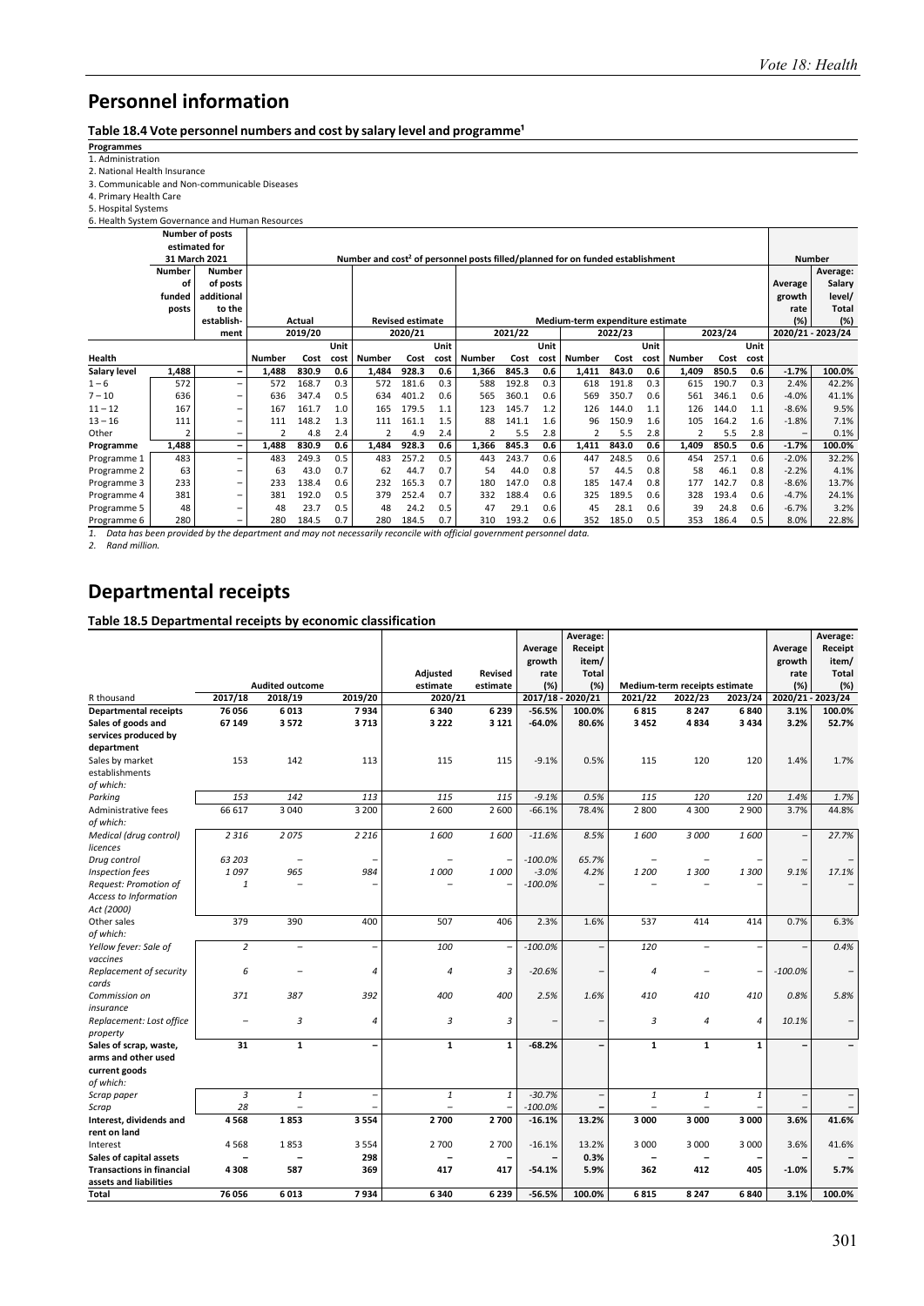## Table 18.4 Vote personnel numbers and cost by salary level and programme<sup>1</sup> Programmes

#### **Programmes**

1. Administration  2. National Health Insurance 

3. Communicable and Non‐communicable Diseases 

4. Primary Health Care 

5. Hospital Systems 

| 6. Health System Governance and Human Resources |               |                        |                |         |      |               |                         |      |               |         |      |                                                                                            |         |      |                         |         |      |              |                   |
|-------------------------------------------------|---------------|------------------------|----------------|---------|------|---------------|-------------------------|------|---------------|---------|------|--------------------------------------------------------------------------------------------|---------|------|-------------------------|---------|------|--------------|-------------------|
|                                                 |               | <b>Number of posts</b> |                |         |      |               |                         |      |               |         |      |                                                                                            |         |      |                         |         |      |              |                   |
|                                                 |               | estimated for          |                |         |      |               |                         |      |               |         |      |                                                                                            |         |      |                         |         |      |              |                   |
|                                                 |               | 31 March 2021          |                |         |      |               |                         |      |               |         |      | Number and cost <sup>2</sup> of personnel posts filled/planned for on funded establishment |         |      |                         |         |      |              | <b>Number</b>     |
|                                                 | <b>Number</b> | <b>Number</b>          |                |         |      |               |                         |      |               |         |      |                                                                                            |         |      |                         |         |      |              | Average:          |
|                                                 | οf            | of posts               |                |         |      |               |                         |      |               |         |      |                                                                                            |         |      |                         |         |      | Average      | Salary            |
|                                                 | funded        | additional             |                |         |      |               |                         |      |               |         |      |                                                                                            |         |      |                         |         |      | growth       | level/            |
|                                                 | posts         | to the                 |                |         |      |               |                         |      |               |         |      |                                                                                            |         |      |                         |         | rate | <b>Total</b> |                   |
|                                                 |               | establish-             |                | Actual  |      |               | <b>Revised estimate</b> |      |               |         |      | Medium-term expenditure estimate                                                           |         |      |                         |         |      | (%)          | (%)               |
|                                                 |               | ment                   |                | 2019/20 |      |               | 2020/21                 |      |               | 2021/22 |      |                                                                                            | 2022/23 |      |                         | 2023/24 |      |              | 2020/21 - 2023/24 |
|                                                 |               |                        |                |         | Unit |               |                         | Unit |               |         | Unit |                                                                                            |         | Unit |                         |         | Unit |              |                   |
| Health                                          |               |                        | <b>Number</b>  | Cost    | cost | <b>Number</b> | Cost                    | cost | <b>Number</b> | Cost    | cost | <b>Number</b>                                                                              | Cost    | cost | <b>Number</b>           | Cost    | cost |              |                   |
| <b>Salary level</b>                             | 1,488         | -                      | 1,488          | 830.9   | 0.6  | 1,484         | 928.3                   | 0.6  | 1,366         | 845.3   | 0.6  | 1,411                                                                                      | 843.0   | 0.6  | 1,409                   | 850.5   | 0.6  | $-1.7%$      | 100.0%            |
| $1 - 6$                                         | 572           | Ξ.                     | 572            | 168.7   | 0.3  | 572           | 181.6                   | 0.3  | 588           | 192.8   | 0.3  | 618                                                                                        | 191.8   | 0.3  | 615                     | 190.7   | 0.3  | 2.4%         | 42.2%             |
| $7 - 10$                                        | 636           | -                      | 636            | 347.4   | 0.5  | 634           | 401.2                   | 0.6  | 565           | 360.1   | 0.6  | 569                                                                                        | 350.7   | 0.6  | 561                     | 346.1   | 0.6  | $-4.0%$      | 41.1%             |
| $11 - 12$                                       | 167           | $\equiv$               | 167            | 161.7   | 1.0  | 165           | 179.5                   | 1.1  | 123           | 145.7   | 1.2  | 126                                                                                        | 144.0   | 1.1  | 126                     | 144.0   | 1.1  | $-8.6%$      | 9.5%              |
| $13 - 16$                                       | 111           | $\equiv$               | 111            | 148.2   | 1.3  | 111           | 161.1                   | 1.5  | 88            | 141.1   | 1.6  | 96                                                                                         | 150.9   | 1.6  | 105                     | 164.2   | 1.6  | $-1.8%$      | 7.1%              |
| Other                                           |               | $\qquad \qquad \qquad$ | $\mathfrak{p}$ | 4.8     | 2.4  | 2             | 4.9                     | 2.4  |               | 5.5     | 2.8  |                                                                                            | 5.5     | 2.8  | $\overline{\mathbf{c}}$ | 5.5     | 2.8  | -            | 0.1%              |
| Programme                                       | 1,488         | -                      | 1,488          | 830.9   | 0.6  | 1,484         | 928.3                   | 0.6  | 1,366         | 845.3   | 0.6  | 1,411                                                                                      | 843.0   | 0.6  | 1,409                   | 850.5   | 0.6  | $-1.7%$      | 100.0%            |
| Programme 1                                     | 483           | -                      | 483            | 249.3   | 0.5  | 483           | 257.2                   | 0.5  | 443           | 243.7   | 0.6  | 447                                                                                        | 248.5   | 0.6  | 454                     | 257.1   | 0.6  | $-2.0%$      | 32.2%             |
| Programme 2                                     | 63            | $\qquad \qquad \qquad$ | 63             | 43.0    | 0.7  | 62            | 44.7                    | 0.7  | 54            | 44.0    | 0.8  | 57                                                                                         | 44.5    | 0.8  | 58                      | 46.1    | 0.8  | $-2.2%$      | 4.1%              |
| Programme 3                                     | 233           | -                      | 233            | 138.4   | 0.6  | 232           | 165.3                   | 0.7  | 180           | 147.0   | 0.8  | 185                                                                                        | 147.4   | 0.8  | 177                     | 142.7   | 0.8  | $-8.6%$      | 13.7%             |
| Programme 4                                     | 381           | $\qquad \qquad \qquad$ | 381            | 192.0   | 0.5  | 379           | 252.4                   | 0.7  | 332           | 188.4   | 0.6  | 325                                                                                        | 189.5   | 0.6  | 328                     | 193.4   | 0.6  | $-4.7%$      | 24.1%             |
| Programme 5                                     | 48            | -                      | 48             | 23.7    | 0.5  | 48            | 24.2                    | 0.5  | 47            | 29.1    | 0.6  | 45                                                                                         | 28.1    | 0.6  | 39                      | 24.8    | 0.6  | $-6.7%$      | 3.2%              |
| Programme 6                                     | 280           | -                      | 280            | 184.5   | 0.7  | 280           | 184.5                   | 0.7  | 310           | 193.2   | 0.6  | 352                                                                                        | 185.0   | 0.5  | 353                     | 186.4   | 0.5  | 8.0%         | 22.8%             |

*1. Data has been provided by the department and may not necessarily reconcile with official government personnel data. 2. Rand million.* 

## **Departmental receipts**

#### **Table 18.5 Departmental receipts by economic classification**

|                                    |                          |                          |                          |                          |                |                   | Average: |                          |                               |                          |                          | Average:          |
|------------------------------------|--------------------------|--------------------------|--------------------------|--------------------------|----------------|-------------------|----------|--------------------------|-------------------------------|--------------------------|--------------------------|-------------------|
|                                    |                          |                          |                          |                          |                | Average           | Receipt  |                          |                               |                          | Average                  | Receipt           |
|                                    |                          |                          |                          |                          |                | growth            | item/    |                          |                               |                          | growth                   | item/             |
|                                    |                          |                          |                          | <b>Adjusted</b>          | <b>Revised</b> | rate              | Total    |                          |                               |                          | rate                     | <b>Total</b>      |
|                                    |                          | <b>Audited outcome</b>   |                          | estimate                 | estimate       | (%)               | (%)      |                          | Medium-term receipts estimate |                          | (%)                      | (%)               |
| R thousand                         | 2017/18                  | 2018/19                  | 2019/20                  | 2020/21                  |                | 2017/18 - 2020/21 |          | 2021/22                  | 2022/23                       | 2023/24                  |                          | 2020/21 - 2023/24 |
| <b>Departmental receipts</b>       | 76 056                   | 6013                     | 7934                     | 6340                     | 6239           | $-56.5%$          | 100.0%   | 6815                     | 8 2 4 7                       | 6840                     | 3.1%                     | 100.0%            |
| Sales of goods and                 | 67 149                   | 3572                     | 3713                     | 3 2 2 2                  | 3 1 2 1        | $-64.0%$          | 80.6%    | 3452                     | 4834                          | 3434                     | 3.2%                     | 52.7%             |
| services produced by               |                          |                          |                          |                          |                |                   |          |                          |                               |                          |                          |                   |
| department                         |                          |                          |                          |                          |                |                   |          |                          |                               |                          |                          |                   |
| Sales by market                    | 153                      | 142                      | 113                      | 115                      | 115            | $-9.1%$           | 0.5%     | 115                      | 120                           | 120                      | 1.4%                     | 1.7%              |
| establishments                     |                          |                          |                          |                          |                |                   |          |                          |                               |                          |                          |                   |
| of which:                          |                          |                          |                          |                          |                |                   |          |                          |                               |                          |                          |                   |
| Parking                            | 153                      | 142                      | 113                      | 115                      | 115            | $-9.1%$           | 0.5%     | 115                      | 120                           | 120                      | 1.4%                     | 1.7%              |
| Administrative fees                | 66 617                   | 3 0 4 0                  | 3 2 0 0                  | 2600                     | 2 600          | $-66.1%$          | 78.4%    | 2800                     | 4 3 0 0                       | 2 900                    | 3.7%                     | 44.8%             |
| of which:                          |                          |                          |                          |                          |                |                   |          |                          |                               |                          |                          |                   |
| Medical (drug control)<br>licences | 2 3 1 6                  | 2075                     | 2 2 1 6                  | 1600                     | 1600           | $-11.6%$          | 8.5%     | 1600                     | 3 000                         | 1600                     |                          | 27.7%             |
| Drug control                       | 63 203                   | $\overline{\phantom{a}}$ |                          | $\overline{\phantom{a}}$ |                | $-100.0%$         | 65.7%    |                          |                               |                          |                          |                   |
| Inspection fees                    | 1097                     | 965                      | 984                      | 1000                     | 1000           | $-3.0%$           | 4.2%     | 1 200                    | 1300                          | 1300                     | 9.1%                     | 17.1%             |
| Request: Promotion of              | 1                        | $\overline{\phantom{a}}$ |                          |                          |                | $-100.0%$         |          |                          |                               |                          |                          |                   |
| <b>Access to Information</b>       |                          |                          |                          |                          |                |                   |          |                          |                               |                          |                          |                   |
| Act (2000)                         |                          |                          |                          |                          |                |                   |          |                          |                               |                          |                          |                   |
| Other sales                        | 379                      | 390                      | 400                      | 507                      | 406            | 2.3%              | 1.6%     | 537                      | 414                           | 414                      | 0.7%                     | 6.3%              |
| of which:                          |                          |                          |                          |                          |                |                   |          |                          |                               |                          |                          |                   |
| Yellow fever: Sale of              | $\overline{2}$           | $\overline{\phantom{0}}$ | $\overline{a}$           | 100                      | $\overline{ }$ | $-100.0%$         |          | 120                      | $\overline{\phantom{0}}$      | $\overline{\phantom{0}}$ | $\overline{\phantom{a}}$ | 0.4%              |
| vaccines                           |                          |                          |                          |                          |                |                   |          |                          |                               |                          |                          |                   |
| Replacement of security            | 6                        |                          | 4                        | $\overline{4}$           | 3              | $-20.6%$          |          | 4                        |                               |                          | $-100.0%$                |                   |
| cards                              |                          |                          |                          |                          |                |                   |          |                          |                               |                          |                          |                   |
| Commission on                      | 371                      | 387                      | 392                      | 400                      | 400            | 2.5%              | 1.6%     | 410                      | 410                           | 410                      | 0.8%                     | 5.8%              |
| insurance                          |                          |                          |                          |                          |                |                   |          |                          |                               |                          |                          |                   |
| Replacement: Lost office           | $\overline{\phantom{0}}$ | 3                        | 4                        | 3                        | 3              |                   |          | 3                        | $\overline{4}$                | $\overline{4}$           | 10.1%                    | -                 |
| property                           |                          |                          |                          |                          |                |                   |          |                          |                               |                          |                          |                   |
| Sales of scrap, waste,             | 31                       | $\mathbf{1}$             | -                        | $\mathbf{1}$             | $\mathbf{1}$   | $-68.2%$          |          | $\mathbf{1}$             | $\mathbf{1}$                  | $\mathbf{1}$             |                          |                   |
| arms and other used                |                          |                          |                          |                          |                |                   |          |                          |                               |                          |                          |                   |
| current goods                      |                          |                          |                          |                          |                |                   |          |                          |                               |                          |                          |                   |
| of which:                          |                          |                          |                          |                          |                |                   |          |                          |                               |                          |                          |                   |
| Scrap paper                        | 3                        | $\it 1$                  | $\overline{\phantom{0}}$ | $\it 1$                  | $\it 1$        | $-30.7%$          |          | $\it 1$                  | $\mathbf{1}$                  | $\it 1$                  | $\overline{\phantom{a}}$ | $\qquad \qquad -$ |
| Scrap                              | 28                       | $\overline{\phantom{0}}$ |                          | $\overline{\phantom{0}}$ |                | $-100.0%$         |          | $\overline{\phantom{0}}$ | $\overline{\phantom{0}}$      |                          |                          |                   |
| Interest, dividends and            | 4568                     | 1853                     | 3554                     | 2700                     | 2700           | $-16.1%$          | 13.2%    | 3000                     | 3 0 0 0                       | 3000                     | 3.6%                     | 41.6%             |
| rent on land                       |                          |                          |                          |                          |                |                   |          |                          |                               |                          |                          |                   |
| Interest                           | 4568                     | 1853                     | 3554                     | 2700                     | 2 700          | $-16.1%$          | 13.2%    | 3 0 0 0                  | 3 0 0 0                       | 3 0 0 0                  | 3.6%                     | 41.6%             |
| Sales of capital assets            |                          |                          | 298                      |                          |                |                   | 0.3%     |                          |                               |                          |                          |                   |
| <b>Transactions in financial</b>   | 4308                     | 587                      | 369                      | 417                      | 417            | $-54.1%$          | 5.9%     | 362                      | 412                           | 405                      | $-1.0%$                  | 5.7%              |
| assets and liabilities             |                          |                          |                          |                          |                |                   |          |                          |                               |                          |                          |                   |
| <b>Total</b>                       | 76 056                   | 6013                     | 7934                     | 6340                     | 6239           | $-56.5%$          | 100.0%   | 6815                     | 8 2 4 7                       | 6840                     | 3.1%                     | 100.0%            |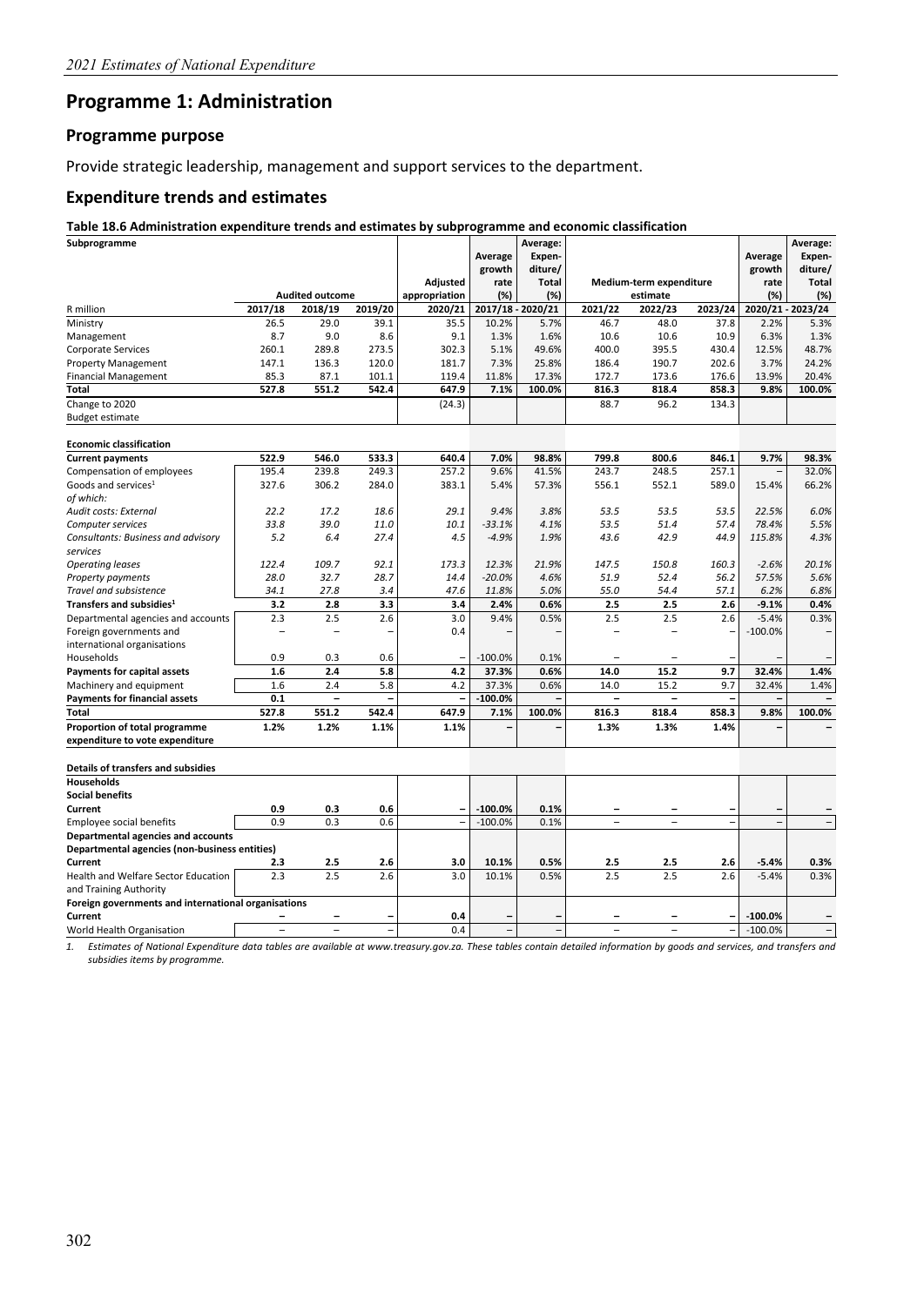## **Programme 1: Administration**

#### **Programme purpose**

Provide strategic leadership, management and support services to the department.

#### **Expenditure trends and estimates**

#### **Table 18.6 Administration expenditure trends and estimates by subprogramme and economic classification**

| Subprogramme                                        |         |                                   |         |                          |           | Average:                 |                          |                         |         |                          | Average:                 |
|-----------------------------------------------------|---------|-----------------------------------|---------|--------------------------|-----------|--------------------------|--------------------------|-------------------------|---------|--------------------------|--------------------------|
|                                                     |         |                                   |         |                          | Average   | Expen-                   |                          |                         |         | Average                  | Expen-                   |
|                                                     |         |                                   |         |                          | growth    | diture/                  |                          |                         |         | growth                   | diture/                  |
|                                                     |         |                                   |         | <b>Adjusted</b>          | rate      | <b>Total</b>             |                          | Medium-term expenditure |         | rate                     | Total                    |
| R million                                           | 2017/18 | <b>Audited outcome</b><br>2018/19 | 2019/20 | appropriation<br>2020/21 | (%)       | (%)<br>2017/18 - 2020/21 | 2021/22                  | estimate<br>2022/23     | 2023/24 | (%)                      | (%)<br>2020/21 - 2023/24 |
| Ministry                                            | 26.5    | 29.0                              | 39.1    | 35.5                     | 10.2%     | 5.7%                     | 46.7                     | 48.0                    | 37.8    | 2.2%                     | 5.3%                     |
| Management                                          | 8.7     | 9.0                               | 8.6     | 9.1                      | 1.3%      | 1.6%                     | 10.6                     | 10.6                    | 10.9    | 6.3%                     | 1.3%                     |
| <b>Corporate Services</b>                           | 260.1   | 289.8                             | 273.5   | 302.3                    | 5.1%      | 49.6%                    | 400.0                    | 395.5                   | 430.4   | 12.5%                    | 48.7%                    |
| <b>Property Management</b>                          | 147.1   | 136.3                             | 120.0   | 181.7                    | 7.3%      | 25.8%                    | 186.4                    | 190.7                   | 202.6   | 3.7%                     | 24.2%                    |
| <b>Financial Management</b>                         | 85.3    | 87.1                              | 101.1   | 119.4                    | 11.8%     | 17.3%                    | 172.7                    | 173.6                   | 176.6   | 13.9%                    | 20.4%                    |
| Total                                               | 527.8   | 551.2                             | 542.4   | 647.9                    | 7.1%      | 100.0%                   | 816.3                    | 818.4                   | 858.3   | 9.8%                     | 100.0%                   |
| Change to 2020                                      |         |                                   |         | (24.3)                   |           |                          | 88.7                     | 96.2                    | 134.3   |                          |                          |
| <b>Budget estimate</b>                              |         |                                   |         |                          |           |                          |                          |                         |         |                          |                          |
|                                                     |         |                                   |         |                          |           |                          |                          |                         |         |                          |                          |
| <b>Economic classification</b>                      |         |                                   |         |                          |           |                          |                          |                         |         |                          |                          |
| <b>Current payments</b>                             | 522.9   | 546.0                             | 533.3   | 640.4                    | 7.0%      | 98.8%                    | 799.8                    | 800.6                   | 846.1   | 9.7%                     | 98.3%                    |
| Compensation of employees                           | 195.4   | 239.8                             | 249.3   | 257.2                    | 9.6%      | 41.5%                    | 243.7                    | 248.5                   | 257.1   | $\overline{\phantom{a}}$ | 32.0%                    |
| Goods and services <sup>1</sup>                     | 327.6   | 306.2                             | 284.0   | 383.1                    | 5.4%      | 57.3%                    | 556.1                    | 552.1                   | 589.0   | 15.4%                    | 66.2%                    |
| of which:                                           |         |                                   |         |                          |           |                          |                          |                         |         |                          |                          |
| Audit costs: External                               | 22.2    | 17.2                              | 18.6    | 29.1                     | 9.4%      | 3.8%                     | 53.5                     | 53.5                    | 53.5    | 22.5%                    | 6.0%                     |
| Computer services                                   | 33.8    | 39.0                              | 11.0    | 10.1                     | $-33.1%$  | 4.1%                     | 53.5                     | 51.4                    | 57.4    | 78.4%                    | 5.5%                     |
| Consultants: Business and advisory                  | 5.2     | 6.4                               | 27.4    | 4.5                      | $-4.9%$   | 1.9%                     | 43.6                     | 42.9                    | 44.9    | 115.8%                   | 4.3%                     |
| services                                            |         |                                   |         |                          |           |                          |                          |                         |         |                          |                          |
| <b>Operating leases</b>                             | 122.4   | 109.7                             | 92.1    | 173.3                    | 12.3%     | 21.9%                    | 147.5                    | 150.8                   | 160.3   | $-2.6%$                  | 20.1%                    |
| Property payments                                   | 28.0    | 32.7                              | 28.7    | 14.4                     | $-20.0%$  | 4.6%                     | 51.9                     | 52.4                    | 56.2    | 57.5%                    | 5.6%                     |
| Travel and subsistence                              | 34.1    | 27.8                              | 3.4     | 47.6                     | 11.8%     | 5.0%                     | 55.0                     | 54.4                    | 57.1    | 6.2%                     | 6.8%                     |
| Transfers and subsidies <sup>1</sup>                | 3.2     | 2.8                               | 3.3     | 3.4                      | 2.4%      | 0.6%                     | 2.5                      | 2.5                     | 2.6     | $-9.1%$                  | 0.4%                     |
| Departmental agencies and accounts                  | 2.3     | 2.5                               | 2.6     | 3.0                      | 9.4%      | 0.5%                     | 2.5                      | 2.5                     | 2.6     | $-5.4%$                  | 0.3%                     |
| Foreign governments and                             |         |                                   |         | 0.4                      |           |                          |                          |                         |         | $-100.0%$                |                          |
| international organisations                         |         |                                   |         |                          |           |                          |                          |                         |         |                          |                          |
| Households                                          | 0.9     | 0.3                               | 0.6     |                          | $-100.0%$ | 0.1%                     |                          |                         |         |                          |                          |
| <b>Payments for capital assets</b>                  | 1.6     | 2.4                               | 5.8     | 4.2                      | 37.3%     | 0.6%                     | 14.0                     | 15.2                    | 9.7     | 32.4%                    | 1.4%                     |
| Machinery and equipment                             | 1.6     | 2.4                               | 5.8     | 4.2                      | 37.3%     | 0.6%                     | 14.0                     | 15.2                    | 9.7     | 32.4%                    | 1.4%                     |
| <b>Payments for financial assets</b>                | 0.1     |                                   |         | $\qquad \qquad -$        | $-100.0%$ |                          | $\overline{\phantom{0}}$ | $\qquad \qquad -$       | ÷       |                          |                          |
| Total                                               | 527.8   | 551.2                             | 542.4   | 647.9                    | 7.1%      | 100.0%                   | 816.3                    | 818.4                   | 858.3   | 9.8%                     | 100.0%                   |
| Proportion of total programme                       | 1.2%    | 1.2%                              | 1.1%    | 1.1%                     |           |                          | 1.3%                     | 1.3%                    | 1.4%    |                          |                          |
| expenditure to vote expenditure                     |         |                                   |         |                          |           |                          |                          |                         |         |                          |                          |
| Details of transfers and subsidies                  |         |                                   |         |                          |           |                          |                          |                         |         |                          |                          |
| <b>Households</b>                                   |         |                                   |         |                          |           |                          |                          |                         |         |                          |                          |
| <b>Social benefits</b>                              |         |                                   |         |                          |           |                          |                          |                         |         |                          |                          |
| Current                                             | 0.9     | 0.3                               | 0.6     |                          | $-100.0%$ | 0.1%                     |                          |                         |         |                          |                          |
| Employee social benefits                            | 0.9     | 0.3                               | 0.6     | $\equiv$                 | $-100.0%$ | 0.1%                     | $\overline{\phantom{0}}$ | $\equiv$                | L,      | $\overline{a}$           | $\overline{\phantom{a}}$ |
| Departmental agencies and accounts                  |         |                                   |         |                          |           |                          |                          |                         |         |                          |                          |
| Departmental agencies (non-business entities)       |         |                                   |         |                          |           |                          |                          |                         |         |                          |                          |
| Current                                             | 2.3     | 2.5                               | 2.6     | 3.0                      | 10.1%     | 0.5%                     | 2.5                      | 2.5                     | 2.6     | $-5.4%$                  | 0.3%                     |
| Health and Welfare Sector Education                 | 2.3     | 2.5                               | 2.6     | 3.0                      | 10.1%     | 0.5%                     | 2.5                      | 2.5                     | 2.6     | $-5.4%$                  | 0.3%                     |
| and Training Authority                              |         |                                   |         |                          |           |                          |                          |                         |         |                          |                          |
| Foreign governments and international organisations |         |                                   |         |                          |           |                          |                          |                         |         |                          |                          |
| Current                                             |         |                                   |         | 0.4                      |           |                          |                          |                         |         | $-100.0%$                |                          |
| World Health Organisation                           |         | L.                                | L.      | 0.4                      |           |                          | -                        |                         | L       | $-100.0%$                |                          |

*1. Estimates of National Expenditure data tables are available at www.treasury.gov.za. These tables contain detailed information by goods and services, and transfers and subsidies items by programme.*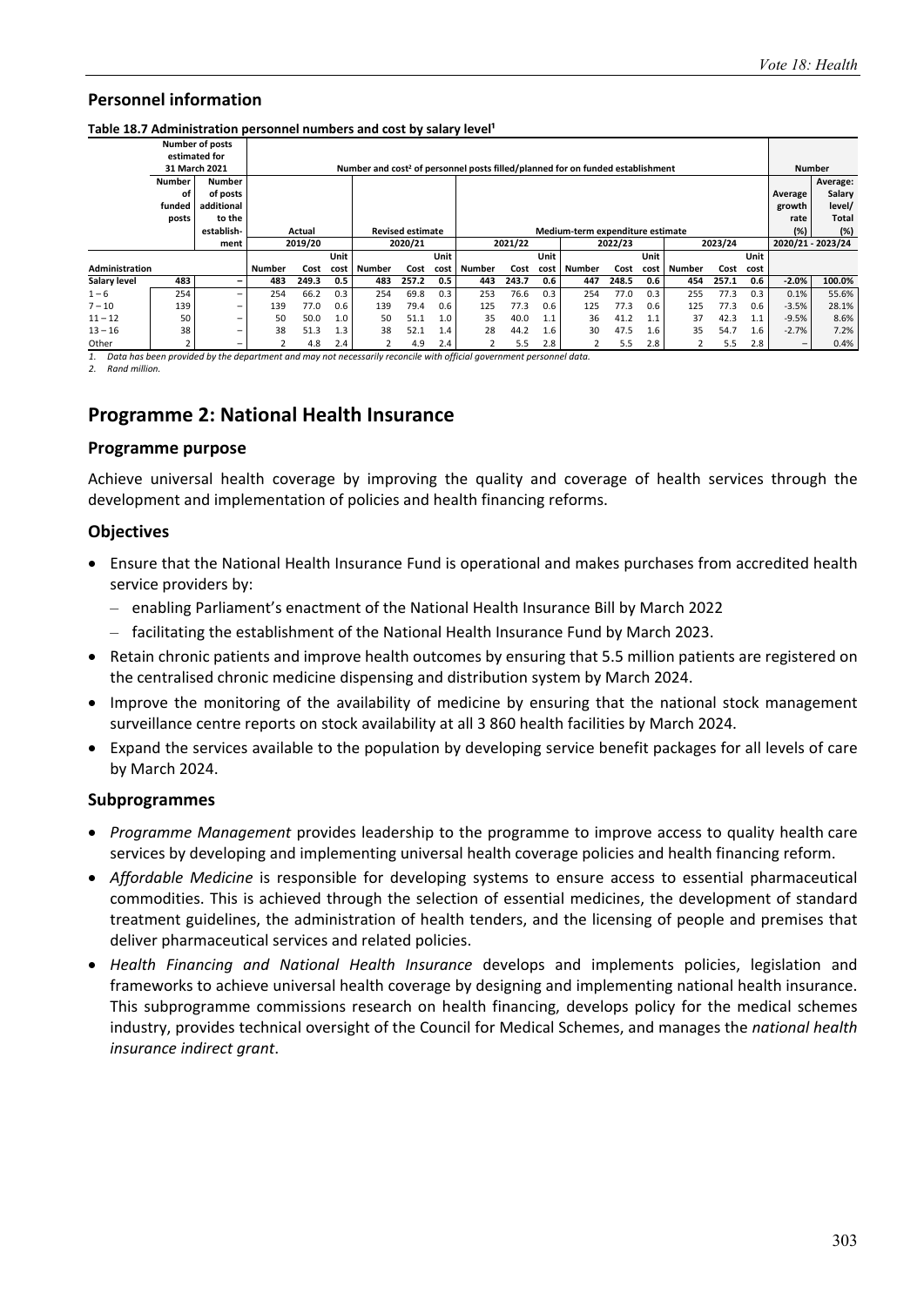|                |               | <b>Number of posts</b>   |                    |        |      |                                                                                            |                         |      |               |       |      |                                  |       |      |               |       |                  |                   |               |
|----------------|---------------|--------------------------|--------------------|--------|------|--------------------------------------------------------------------------------------------|-------------------------|------|---------------|-------|------|----------------------------------|-------|------|---------------|-------|------------------|-------------------|---------------|
|                |               | estimated for            |                    |        |      |                                                                                            |                         |      |               |       |      |                                  |       |      |               |       |                  |                   |               |
|                |               | 31 March 2021            |                    |        |      | Number and cost <sup>2</sup> of personnel posts filled/planned for on funded establishment |                         |      |               |       |      |                                  |       |      |               |       |                  |                   | <b>Number</b> |
|                | <b>Number</b> | <b>Number</b>            |                    |        |      |                                                                                            |                         |      |               |       |      |                                  |       |      |               |       |                  |                   | Average:      |
|                | οf            | of posts                 |                    |        |      |                                                                                            |                         |      |               |       |      |                                  |       |      |               |       |                  | Average           | Salary        |
|                | funded        | additional               |                    |        |      |                                                                                            |                         |      |               |       |      |                                  |       |      |               |       |                  | growth            | level/        |
|                | posts         | to the                   |                    |        |      |                                                                                            |                         |      |               |       |      |                                  |       |      |               |       |                  | rate              | Total         |
|                |               | establish-               |                    | Actual |      |                                                                                            | <b>Revised estimate</b> |      |               |       |      | Medium-term expenditure estimate |       |      |               |       |                  | (%)               | (%)           |
|                |               | ment                     | 2019/20<br>2020/21 |        |      |                                                                                            |                         |      | 2021/22       |       |      | 2022/23                          |       |      | 2023/24       |       |                  | 2020/21 - 2023/24 |               |
|                |               |                          |                    |        | Unit |                                                                                            |                         | Unit |               |       | Unit |                                  |       | Unit |               |       | Unit             |                   |               |
| Administration |               |                          | Number             | Cost   | cost | Number                                                                                     | Cost                    | cost | <b>Number</b> | Cost  | cost | <b>Number</b>                    | Cost  | cost | <b>Number</b> | Cost  | cost             |                   |               |
| Salary level   | 483           | -                        | 483                | 249.3  | 0.5  | 483                                                                                        | 257.2                   | 0.5  | 443           | 243.7 | 0.6  | 447                              | 248.5 | 0.6  | 454           | 257.1 | 0.6              | $-2.0%$           | 100.0%        |
| $1 - 6$        | 254           | $\overline{\phantom{0}}$ | 254                | 66.2   | 0.3  | 254                                                                                        | 69.8                    | 0.3  | 253           | 76.6  | 0.3  | 254                              | 77.0  | 0.3  | 255           | 77.3  | 0.3              | 0.1%              | 55.6%         |
| $7 - 10$       | 139           | $\overline{\phantom{m}}$ | 139                | 77.0   | 0.6  | 139                                                                                        | 79.4                    | 0.6  | 125           | 77.3  | 0.6  | 125                              | 77.3  | 0.6  | 125           | 77.3  | 0.6              | $-3.5%$           | 28.1%         |
| $11 - 12$      | 50            | $\overline{\phantom{m}}$ | 50                 | 50.0   | 1.0  | 50                                                                                         | 51.1                    | 1.0  | 35            | 40.0  | 1.1  | 36                               | 41.2  | 1.1  | 37            | 42.3  | 1.1              | $-9.5%$           | 8.6%          |
| $13 - 16$      | 38            |                          | 38                 | 51.3   | 1.3  | 38                                                                                         | 52.1                    | 1.4  | 28            | 44.2  | 1.6  | 30                               | 47.5  | 1.6  | 35            | 54.7  | 1.6 <sup>1</sup> | $-2.7%$           | 7.2%          |
| Other          |               | $\overline{\phantom{m}}$ |                    | 4.8    | 2.4  |                                                                                            | 4.9                     | 2.4  |               | 5.5   | 2.8  |                                  | 5.5   | 2.8  |               | 5.5   | 2.8              | -                 | 0.4%          |

Table 18.7 Administration personnel numbers and cost by salary level<sup>1</sup>

*1. Data has been provided by the department and may not necessarily reconcile with official government personnel data.* 

*2. Rand million.* 

## **Programme 2: National Health Insurance**

#### **Programme purpose**

Achieve universal health coverage by improving the quality and coverage of health services through the development and implementation of policies and health financing reforms.

#### **Objectives**

- Ensure that the National Health Insurance Fund is operational and makes purchases from accredited health service providers by:
	- enabling Parliament's enactment of the National Health Insurance Bill by March 2022
	- facilitating the establishment of the National Health Insurance Fund by March 2023.
- Retain chronic patients and improve health outcomes by ensuring that 5.5 million patients are registered on the centralised chronic medicine dispensing and distribution system by March 2024.
- Improve the monitoring of the availability of medicine by ensuring that the national stock management surveillance centre reports on stock availability at all 3 860 health facilities by March 2024.
- Expand the services available to the population by developing service benefit packages for all levels of care by March 2024.

#### **Subprogrammes**

- *Programme Management* provides leadership to the programme to improve access to quality health care services by developing and implementing universal health coverage policies and health financing reform.
- **•** Affordable Medicine is responsible for developing systems to ensure access to essential pharmaceutical commodities. This is achieved through the selection of essential medicines, the development of standard treatment guidelines, the administration of health tenders, and the licensing of people and premises that deliver pharmaceutical services and related policies.
- *Health Financing and National Health Insurance* develops and implements policies, legislation and frameworks to achieve universal health coverage by designing and implementing national health insurance. This subprogramme commissions research on health financing, develops policy for the medical schemes industry, provides technical oversight of the Council for Medical Schemes, and manages the *national health insurance indirect grant*.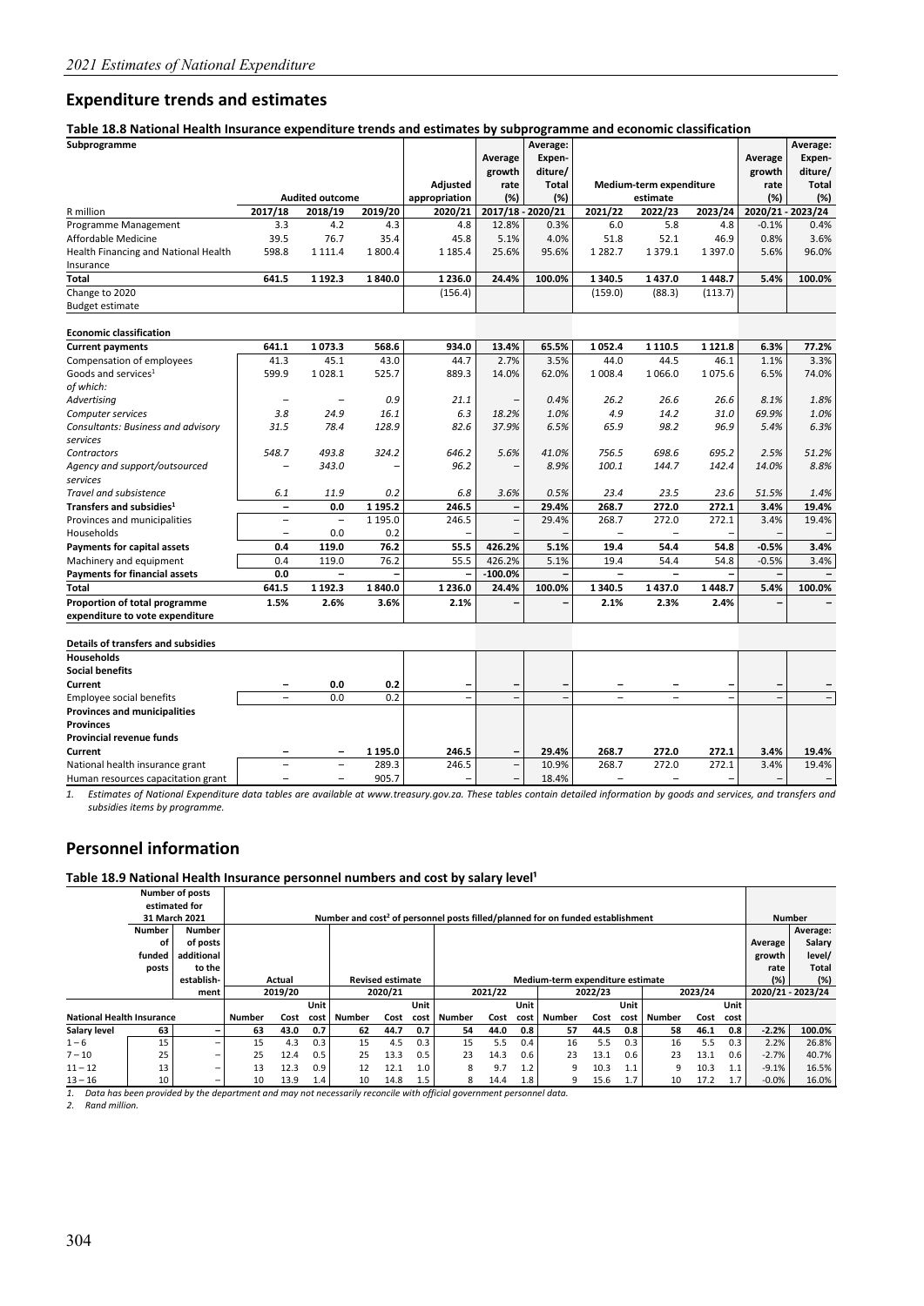#### **Expenditure trends and estimates**

**Table 18.8 National Health Insurance expenditure trends and estimates by subprogramme and economic classification** 

| Subprogramme                         |                          |                          |             |               |           |                    |                          |                          |           |         |                    |
|--------------------------------------|--------------------------|--------------------------|-------------|---------------|-----------|--------------------|--------------------------|--------------------------|-----------|---------|--------------------|
|                                      |                          |                          |             |               | Average   | Average:<br>Expen- |                          |                          |           | Average | Average:<br>Expen- |
|                                      |                          |                          |             |               | growth    | diture/            |                          |                          |           | growth  | diture/            |
|                                      |                          |                          |             | Adjusted      | rate      | <b>Total</b>       |                          | Medium-term expenditure  |           | rate    | <b>Total</b>       |
|                                      |                          | <b>Audited outcome</b>   |             | appropriation | (%)       | (%)                |                          | estimate                 |           | (%)     | (%)                |
| R million                            | 2017/18                  | 2018/19                  | 2019/20     | 2020/21       |           | 2017/18 - 2020/21  | 2021/22                  | 2022/23                  | 2023/24   |         | 2020/21 - 2023/24  |
| Programme Management                 | 3.3                      | 4.2                      | 4.3         | 4.8           | 12.8%     | 0.3%               | 6.0                      | 5.8                      | 4.8       | $-0.1%$ | 0.4%               |
| Affordable Medicine                  | 39.5                     | 76.7                     | 35.4        | 45.8          | 5.1%      | 4.0%               | 51.8                     | 52.1                     | 46.9      | 0.8%    | 3.6%               |
| Health Financing and National Health | 598.8                    | 1 1 1 1 . 4              | 1800.4      | 1 1 8 5 . 4   | 25.6%     | 95.6%              | 1 2 8 2.7                | 1379.1                   | 1397.0    | 5.6%    | 96.0%              |
| Insurance                            |                          |                          |             |               |           |                    |                          |                          |           |         |                    |
| Total                                | 641.5                    | 1 1 9 2 . 3              | 1840.0      | 1 2 3 6 .0    | 24.4%     | 100.0%             | 1 3 4 0.5                | 1437.0                   | 1448.7    | 5.4%    | 100.0%             |
| Change to 2020                       |                          |                          |             | (156.4)       |           |                    | (159.0)                  | (88.3)                   | (113.7)   |         |                    |
| <b>Budget estimate</b>               |                          |                          |             |               |           |                    |                          |                          |           |         |                    |
| <b>Economic classification</b>       |                          |                          |             |               |           |                    |                          |                          |           |         |                    |
| <b>Current payments</b>              | 641.1                    | 1073.3                   | 568.6       | 934.0         | 13.4%     | 65.5%              | 1052.4                   | 1 1 1 0 . 5              | 1 1 2 1.8 | 6.3%    | 77.2%              |
| Compensation of employees            | 41.3                     | 45.1                     | 43.0        | 44.7          | 2.7%      | 3.5%               | 44.0                     | 44.5                     | 46.1      | 1.1%    | 3.3%               |
| Goods and services <sup>1</sup>      | 599.9                    | 1028.1                   | 525.7       | 889.3         | 14.0%     | 62.0%              | 1 0 0 8.4                | 1066.0                   | 1075.6    | 6.5%    | 74.0%              |
| of which:                            |                          |                          |             |               |           |                    |                          |                          |           |         |                    |
| Advertising                          | -                        |                          | 0.9         | 21.1          |           | 0.4%               | 26.2                     | 26.6                     | 26.6      | 8.1%    | 1.8%               |
| Computer services                    | 3.8                      | 24.9                     | 16.1        | 6.3           | 18.2%     | 1.0%               | 4.9                      | 14.2                     | 31.0      | 69.9%   | 1.0%               |
| Consultants: Business and advisory   | 31.5                     | 78.4                     | 128.9       | 82.6          | 37.9%     | 6.5%               | 65.9                     | 98.2                     | 96.9      | 5.4%    | 6.3%               |
| services                             |                          |                          |             |               |           |                    |                          |                          |           |         |                    |
| Contractors                          | 548.7                    | 493.8                    | 324.2       | 646.2         | 5.6%      | 41.0%              | 756.5                    | 698.6                    | 695.2     | 2.5%    | 51.2%              |
| Agency and support/outsourced        |                          | 343.0                    |             | 96.2          |           | 8.9%               | 100.1                    | 144.7                    | 142.4     | 14.0%   | 8.8%               |
| services                             |                          |                          |             |               |           |                    |                          |                          |           |         |                    |
| Travel and subsistence               | 6.1                      | 11.9                     | 0.2         | 6.8           | 3.6%      | 0.5%               | 23.4                     | 23.5                     | 23.6      | 51.5%   | 1.4%               |
| Transfers and subsidies <sup>1</sup> | $\overline{\phantom{0}}$ | 0.0                      | 1 1 9 5 . 2 | 246.5         |           | 29.4%              | 268.7                    | 272.0                    | 272.1     | 3.4%    | 19.4%              |
| Provinces and municipalities         | $\overline{\phantom{0}}$ | $\qquad \qquad -$        | 1 1 9 5 . 0 | 246.5         |           | 29.4%              | 268.7                    | 272.0                    | 272.1     | 3.4%    | 19.4%              |
| Households                           | $\overline{\phantom{0}}$ | 0.0                      | 0.2         |               |           |                    |                          | $\overline{\phantom{0}}$ |           |         | $\qquad \qquad -$  |
| Payments for capital assets          | 0.4                      | 119.0                    | 76.2        | 55.5          | 426.2%    | 5.1%               | 19.4                     | 54.4                     | 54.8      | $-0.5%$ | 3.4%               |
| Machinery and equipment              | 0.4                      | 119.0                    | 76.2        | 55.5          | 426.2%    | 5.1%               | 19.4                     | 54.4                     | 54.8      | $-0.5%$ | 3.4%               |
| <b>Payments for financial assets</b> | 0.0                      | $\overline{\phantom{0}}$ |             |               | $-100.0%$ |                    | $\overline{\phantom{0}}$ | $\overline{\phantom{0}}$ |           |         |                    |
| Total                                | 641.5                    | 1 192.3                  | 1840.0      | 1 2 3 6 .0    | 24.4%     | 100.0%             | 1 3 4 0.5                | 1437.0                   | 1448.7    | 5.4%    | 100.0%             |
| Proportion of total programme        | 1.5%                     | 2.6%                     | 3.6%        | 2.1%          |           | -                  | 2.1%                     | 2.3%                     | 2.4%      |         |                    |
| expenditure to vote expenditure      |                          |                          |             |               |           |                    |                          |                          |           |         |                    |
| Dotails of transfors and subsidios   |                          |                          |             |               |           |                    |                          |                          |           |         |                    |

| Details Of traffsters and subsidies |                          |                          |         |                          |                          |       |       |       |       |                          |                          |
|-------------------------------------|--------------------------|--------------------------|---------|--------------------------|--------------------------|-------|-------|-------|-------|--------------------------|--------------------------|
| <b>Households</b>                   |                          |                          |         |                          |                          |       |       |       |       |                          |                          |
| <b>Social benefits</b>              |                          |                          |         |                          |                          |       |       |       |       |                          |                          |
| Current                             | $\overline{\phantom{a}}$ | 0.0                      | 0.2     | -                        | -                        | -     |       |       |       | $\overline{\phantom{0}}$ |                          |
| Employee social benefits            |                          | 0.0                      | 0.2     |                          | -                        | $-$   |       |       |       |                          |                          |
| <b>Provinces and municipalities</b> |                          |                          |         |                          |                          |       |       |       |       |                          |                          |
| <b>Provinces</b>                    |                          |                          |         |                          |                          |       |       |       |       |                          |                          |
| Provincial revenue funds            |                          |                          |         |                          |                          |       |       |       |       |                          |                          |
| Current                             |                          | $\overline{\phantom{0}}$ | 1 195.0 | 246.5                    | -                        | 29.4% | 268.7 | 272.0 | 272.1 | 3.4%                     | 19.4%                    |
| National health insurance grant     |                          |                          | 289.3   | 246.5                    | $\overline{\phantom{0}}$ | 10.9% | 268.7 | 272.0 | 272.1 | 3.4%                     | 19.4%                    |
| Human resources capacitation grant  |                          |                          | 905.7   | $\overline{\phantom{a}}$ | -                        | 18.4% |       |       |       |                          | $\overline{\phantom{0}}$ |

*1. Estimates of National Expenditure data tables are available at www.treasury.gov.za. These tables contain detailed information by goods and services, and transfers and subsidies items by programme.* 

#### **Personnel information**

Table 18.9 National Health Insurance personnel numbers and cost by salary level<sup>1</sup>

|                                  |               | <b>Number of posts</b>   |               |         |      |               |                         |      |              |         |      |                                                                                            |         |      |               |         |      |         |                   |
|----------------------------------|---------------|--------------------------|---------------|---------|------|---------------|-------------------------|------|--------------|---------|------|--------------------------------------------------------------------------------------------|---------|------|---------------|---------|------|---------|-------------------|
|                                  |               | estimated for            |               |         |      |               |                         |      |              |         |      |                                                                                            |         |      |               |         |      |         |                   |
|                                  |               | 31 March 2021            |               |         |      |               |                         |      |              |         |      | Number and cost <sup>2</sup> of personnel posts filled/planned for on funded establishment |         |      |               |         |      |         | <b>Number</b>     |
|                                  | <b>Number</b> | <b>Number</b>            |               |         |      |               |                         |      |              |         |      |                                                                                            |         |      |               |         |      |         | Average:          |
|                                  | οf            | of posts                 |               |         |      |               |                         |      |              |         |      |                                                                                            |         |      |               |         |      | Average | Salary            |
|                                  | funded        | additional               |               |         |      |               |                         |      |              |         |      |                                                                                            |         |      |               |         |      | growth  | level/            |
|                                  | posts         | to the                   |               |         |      |               |                         |      |              |         |      |                                                                                            |         |      |               |         |      | rate    | Total             |
|                                  |               | establish-               |               | Actual  |      |               | <b>Revised estimate</b> |      |              |         |      | Medium-term expenditure estimate                                                           |         |      |               |         |      | (%)     | (%)               |
|                                  |               | ment                     |               | 2019/20 |      |               | 2020/21                 |      |              | 2021/22 |      |                                                                                            | 2022/23 |      |               | 2023/24 |      |         | 2020/21 - 2023/24 |
|                                  |               |                          |               |         | Unit |               |                         | Unit |              |         | Unit |                                                                                            |         | Unit |               |         | Unit |         |                   |
| <b>National Health Insurance</b> |               |                          | <b>Number</b> | Cost    | cost | <b>Number</b> | Cost                    | cost | Number       | Cost    | cost | Number                                                                                     | Cost    | cost | <b>Number</b> | Cost    | cost |         |                   |
| Salary level                     | 63            | -                        | 63            | 43.0    | 0.7  | 62            | 44.7                    | 0.7  | 54           | 44.0    | 0.8  | 57                                                                                         | 44.5    | 0.8  | 58            | 46.1    | 0.8  | $-2.2%$ | 100.0%            |
| $1 - 6$                          | 15            | -                        | 15            | 4.3     | 0.3  | 15            | 4.5                     | 0.3  | 15           | 5.5     | 0.4  | 16                                                                                         | 5.5     | 0.3  | 16            | 5.5     | 0.3  | 2.2%    | 26.8%             |
| $7 - 10$                         | 25            | $\overline{\phantom{0}}$ | 25            | 12.4    | 0.5  | 25            | 13.3                    | 0.5  | 23           | 14.3    | 0.6  | 23                                                                                         | 13.1    | 0.6  | 23            | 13.1    | 0.6  | $-2.7%$ | 40.7%             |
| $11 - 12$                        | 13            | $\qquad \qquad$          | 13            | 12.3    | 0.9  | 12            | 12.1                    | 1.0  | <sub>8</sub> | 9.7     | 1.2  | q                                                                                          | 10.3    | 1.1  | 9             | 10.3    | 1.1  | $-9.1%$ | 16.5%             |
| $13 - 16$                        | 10            | $\overline{\phantom{0}}$ | 10            | 13.9    | 1.4  | 10            | 14.8                    | 1.5  | 8            | 14.4    | 1.8  | 9                                                                                          | 15.6    | 1.7  | 10            | 17.2    | 1.7  | $-0.0%$ | 16.0%             |

*1. Data has been provided by the department and may not necessarily reconcile with official government personnel data.* 

*2. Rand million.*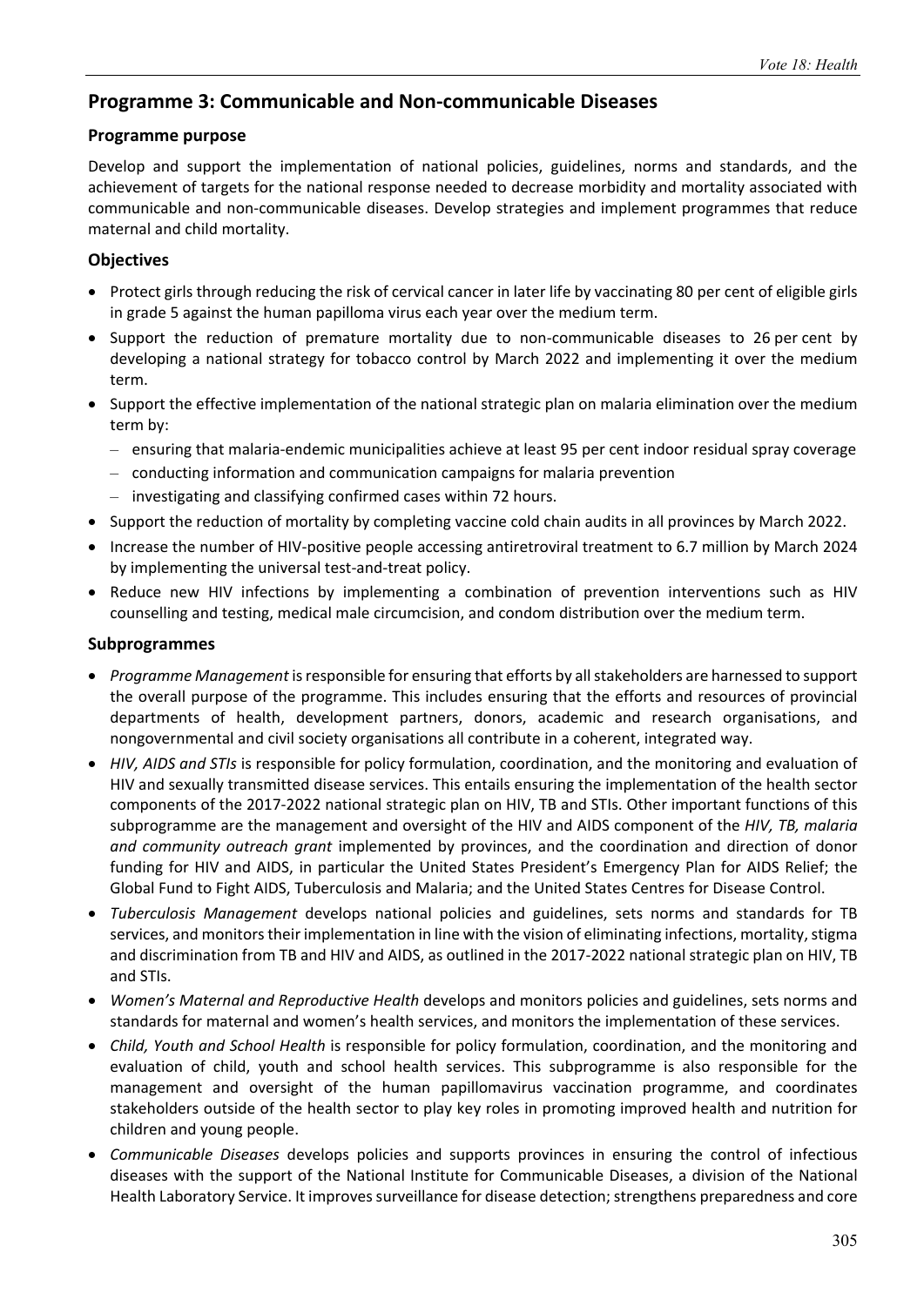## **Programme 3: Communicable and Non‐communicable Diseases**

#### **Programme purpose**

Develop and support the implementation of national policies, guidelines, norms and standards, and the achievement of targets for the national response needed to decrease morbidity and mortality associated with communicable and non‐communicable diseases. Develop strategies and implement programmes that reduce maternal and child mortality.

#### **Objectives**

- Protect girls through reducing the risk of cervical cancer in later life by vaccinating 80 per cent of eligible girls in grade 5 against the human papilloma virus each year over the medium term.
- Support the reduction of premature mortality due to non-communicable diseases to 26 per cent by developing a national strategy for tobacco control by March 2022 and implementing it over the medium term.
- Support the effective implementation of the national strategic plan on malaria elimination over the medium term by:
	- ensuring that malaria‐endemic municipalities achieve at least 95 per cent indoor residual spray coverage
	- conducting information and communication campaigns for malaria prevention
	- investigating and classifying confirmed cases within 72 hours.
- Support the reduction of mortality by completing vaccine cold chain audits in all provinces by March 2022.
- Increase the number of HIV-positive people accessing antiretroviral treatment to 6.7 million by March 2024 by implementing the universal test-and-treat policy.
- Reduce new HIV infections by implementing a combination of prevention interventions such as HIV counselling and testing, medical male circumcision, and condom distribution over the medium term.

#### **Subprogrammes**

- *Programme Management* is responsible for ensuring that efforts by all stakeholders are harnessed to support the overall purpose of the programme. This includes ensuring that the efforts and resources of provincial departments of health, development partners, donors, academic and research organisations, and nongovernmental and civil society organisations all contribute in a coherent, integrated way.
- *HIV, AIDS and STIs* is responsible for policy formulation, coordination, and the monitoring and evaluation of HIV and sexually transmitted disease services. This entails ensuring the implementation of the health sector components of the 2017‐2022 national strategic plan on HIV, TB and STIs. Other important functions of this subprogramme are the management and oversight of the HIV and AIDS component of the *HIV, TB, malaria and community outreach grant* implemented by provinces, and the coordination and direction of donor funding for HIV and AIDS, in particular the United States President's Emergency Plan for AIDS Relief; the Global Fund to Fight AIDS, Tuberculosis and Malaria; and the United States Centres for Disease Control.
- *Tuberculosis Management* develops national policies and guidelines, sets norms and standards for TB services, and monitors their implementation in line with the vision of eliminating infections, mortality, stigma and discrimination from TB and HIV and AIDS, as outlined in the 2017‐2022 national strategic plan on HIV, TB and STIs.
- *Women's Maternal and Reproductive Health* develops and monitors policies and guidelines, sets norms and standards for maternal and women's health services, and monitors the implementation of these services.
- *Child, Youth and School Health* is responsible for policy formulation, coordination, and the monitoring and evaluation of child, youth and school health services. This subprogramme is also responsible for the management and oversight of the human papillomavirus vaccination programme, and coordinates stakeholders outside of the health sector to play key roles in promoting improved health and nutrition for children and young people.
- *Communicable Diseases* develops policies and supports provinces in ensuring the control of infectious diseases with the support of the National Institute for Communicable Diseases, a division of the National Health Laboratory Service. It improves surveillance for disease detection; strengthens preparedness and core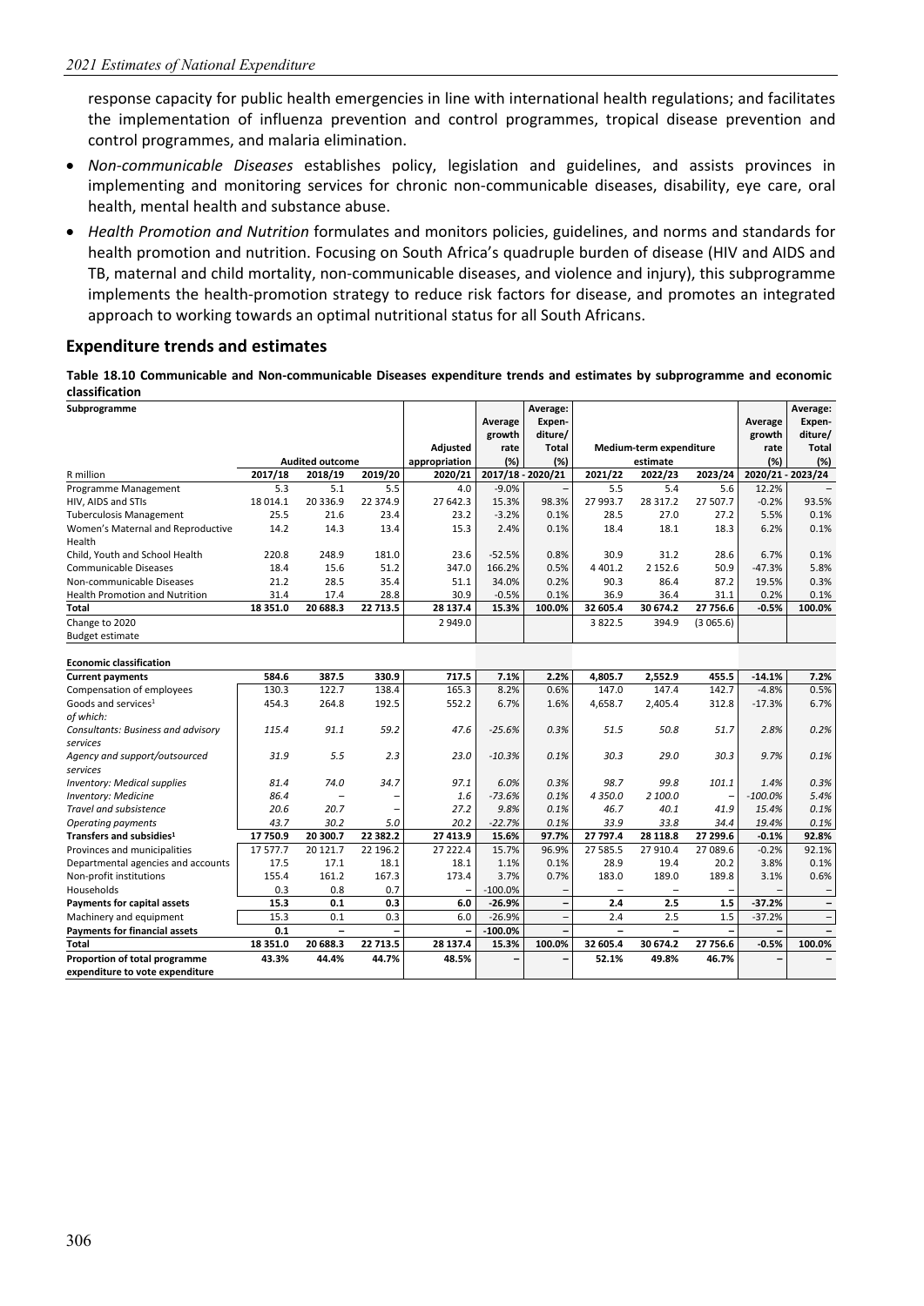response capacity for public health emergencies in line with international health regulations; and facilitates the implementation of influenza prevention and control programmes, tropical disease prevention and control programmes, and malaria elimination.

- *Non‐communicable Diseases* establishes policy, legislation and guidelines, and assists provinces in implementing and monitoring services for chronic non‐communicable diseases, disability, eye care, oral health, mental health and substance abuse.
- *Health Promotion and Nutrition* formulates and monitors policies, guidelines, and norms and standards for health promotion and nutrition. Focusing on South Africa's quadruple burden of disease (HIV and AIDS and TB, maternal and child mortality, non‐communicable diseases, and violence and injury), this subprogramme implements the health-promotion strategy to reduce risk factors for disease, and promotes an integrated approach to working towards an optimal nutritional status for all South Africans.

#### **Expenditure trends and estimates**

**Table 18.10 Communicable and Non‐communicable Diseases expenditure trends and estimates by subprogramme and economic classification** 

| Subprogramme                                   |          |                        |          |                 |           | Average:                 |                |                         |          |                   | Average:          |
|------------------------------------------------|----------|------------------------|----------|-----------------|-----------|--------------------------|----------------|-------------------------|----------|-------------------|-------------------|
|                                                |          |                        |          |                 | Average   | Expen-                   |                |                         |          | Average           | Expen-            |
|                                                |          |                        |          |                 | growth    | diture/                  |                |                         |          | growth            | diture/           |
|                                                |          |                        |          | <b>Adjusted</b> | rate      | Total                    |                | Medium-term expenditure |          | rate              | <b>Total</b>      |
|                                                |          | <b>Audited outcome</b> |          | appropriation   | (%)       | (%)                      |                | estimate                |          | (%)               | (%)               |
| R million                                      | 2017/18  | 2018/19                | 2019/20  | 2020/21         |           | 2017/18 - 2020/21        | 2021/22        | 2022/23                 | 2023/24  | 2020/21 - 2023/24 |                   |
| Programme Management                           | 5.3      | 5.1                    | 5.5      | 4.0             | $-9.0%$   | $\qquad \qquad -$        | 5.5            | 5.4                     | 5.6      | 12.2%             |                   |
| HIV, AIDS and STIs                             | 18 014.1 | 20 336.9               | 22 374.9 | 27 642.3        | 15.3%     | 98.3%                    | 27 993.7       | 28 317.2                | 27 507.7 | $-0.2%$           | 93.5%             |
| <b>Tuberculosis Management</b>                 | 25.5     | 21.6                   | 23.4     | 23.2            | $-3.2%$   | 0.1%                     | 28.5           | 27.0                    | 27.2     | 5.5%              | 0.1%              |
| Women's Maternal and Reproductive<br>Health    | 14.2     | 14.3                   | 13.4     | 15.3            | 2.4%      | 0.1%                     | 18.4           | 18.1                    | 18.3     | 6.2%              | 0.1%              |
| Child, Youth and School Health                 | 220.8    | 248.9                  | 181.0    | 23.6            | $-52.5%$  | 0.8%                     | 30.9           | 31.2                    | 28.6     | 6.7%              | 0.1%              |
| Communicable Diseases                          | 18.4     | 15.6                   | 51.2     | 347.0           | 166.2%    | 0.5%                     | 4 4 0 1.2      | 2 152.6                 | 50.9     | $-47.3%$          | 5.8%              |
| Non-communicable Diseases                      | 21.2     | 28.5                   | 35.4     | 51.1            | 34.0%     | 0.2%                     | 90.3           | 86.4                    | 87.2     | 19.5%             | 0.3%              |
| <b>Health Promotion and Nutrition</b>          | 31.4     | 17.4                   | 28.8     | 30.9            | $-0.5%$   | 0.1%                     | 36.9           | 36.4                    | 31.1     | 0.2%              | 0.1%              |
| Total                                          | 18 351.0 | 20 688.3               | 22 713.5 | 28 137.4        | 15.3%     | 100.0%                   | 32 605.4       | 30 674.2                | 27 756.6 | $-0.5%$           | 100.0%            |
| Change to 2020                                 |          |                        |          | 2 949.0         |           |                          | 3822.5         | 394.9                   | (3065.6) |                   |                   |
| <b>Budget estimate</b>                         |          |                        |          |                 |           |                          |                |                         |          |                   |                   |
| <b>Economic classification</b>                 |          |                        |          |                 |           |                          |                |                         |          |                   |                   |
| <b>Current payments</b>                        | 584.6    | 387.5                  | 330.9    | 717.5           | 7.1%      | 2.2%                     | 4,805.7        | 2,552.9                 | 455.5    | $-14.1%$          | 7.2%              |
| Compensation of employees                      | 130.3    | 122.7                  | 138.4    | 165.3           | 8.2%      | 0.6%                     | 147.0          | 147.4                   | 142.7    | $-4.8%$           | 0.5%              |
| Goods and services <sup>1</sup>                | 454.3    | 264.8                  | 192.5    | 552.2           | 6.7%      | 1.6%                     | 4,658.7        | 2,405.4                 | 312.8    | $-17.3%$          | 6.7%              |
| of which:                                      |          |                        |          |                 |           |                          |                |                         |          |                   |                   |
| Consultants: Business and advisory<br>services | 115.4    | 91.1                   | 59.2     | 47.6            | $-25.6%$  | 0.3%                     | 51.5           | 50.8                    | 51.7     | 2.8%              | 0.2%              |
| Agency and support/outsourced<br>services      | 31.9     | 5.5                    | 2.3      | 23.0            | $-10.3%$  | 0.1%                     | 30.3           | 29.0                    | 30.3     | 9.7%              | 0.1%              |
| <b>Inventory: Medical supplies</b>             | 81.4     | 74.0                   | 34.7     | 97.1            | 6.0%      | 0.3%                     | 98.7           | 99.8                    | 101.1    | 1.4%              | 0.3%              |
| <b>Inventory: Medicine</b>                     | 86.4     |                        |          | 1.6             | $-73.6%$  | 0.1%                     | 4 3 5 0.0      | 2 100.0                 |          | $-100.0%$         | 5.4%              |
| Travel and subsistence                         | 20.6     | 20.7                   |          | 27.2            | 9.8%      | 0.1%                     | 46.7           | 40.1                    | 41.9     | 15.4%             | 0.1%              |
| <b>Operating payments</b>                      | 43.7     | 30.2                   | 5.0      | 20.2            | $-22.7%$  | 0.1%                     | 33.9           | 33.8                    | 34.4     | 19.4%             | 0.1%              |
| Transfers and subsidies <sup>1</sup>           | 17750.9  | 20 300.7               | 22 382.2 | 27 413.9        | 15.6%     | 97.7%                    | 27 797.4       | 28 118.8                | 27 299.6 | $-0.1%$           | 92.8%             |
| Provinces and municipalities                   | 17577.7  | 20 12 1.7              | 22 196.2 | 27 222.4        | 15.7%     | 96.9%                    | 27 585.5       | 27 910.4                | 27 089.6 | $-0.2%$           | 92.1%             |
| Departmental agencies and accounts             | 17.5     | 17.1                   | 18.1     | 18.1            | 1.1%      | 0.1%                     | 28.9           | 19.4                    | 20.2     | 3.8%              | 0.1%              |
| Non-profit institutions                        | 155.4    | 161.2                  | 167.3    | 173.4           | 3.7%      | 0.7%                     | 183.0          | 189.0                   | 189.8    | 3.1%              | 0.6%              |
| Households                                     | 0.3      | 0.8                    | 0.7      |                 | $-100.0%$ |                          |                |                         |          |                   | $\qquad \qquad -$ |
| <b>Payments for capital assets</b>             | 15.3     | 0.1                    | 0.3      | 6.0             | $-26.9%$  | $\overline{\phantom{a}}$ | 2.4            | 2.5                     | 1.5      | $-37.2%$          | $\qquad \qquad -$ |
| Machinery and equipment                        | 15.3     | 0.1                    | 0.3      | 6.0             | $-26.9%$  | $\overline{\phantom{a}}$ | 2.4            | 2.5                     | 1.5      | $-37.2%$          | $\qquad \qquad -$ |
| <b>Payments for financial assets</b>           | 0.1      | $\equiv$               |          |                 | $-100.0%$ | $\overline{a}$           | $\overline{a}$ | $\overline{a}$          |          |                   |                   |
| <b>Total</b>                                   | 18 351.0 | 20 688.3               | 22 713.5 | 28 137.4        | 15.3%     | 100.0%                   | 32 605.4       | 30 674.2                | 27 756.6 | $-0.5%$           | 100.0%            |
| Proportion of total programme                  | 43.3%    | 44.4%                  | 44.7%    | 48.5%           |           | $\overline{\phantom{0}}$ | 52.1%          | 49.8%                   | 46.7%    |                   |                   |
| expenditure to vote expenditure                |          |                        |          |                 |           |                          |                |                         |          |                   |                   |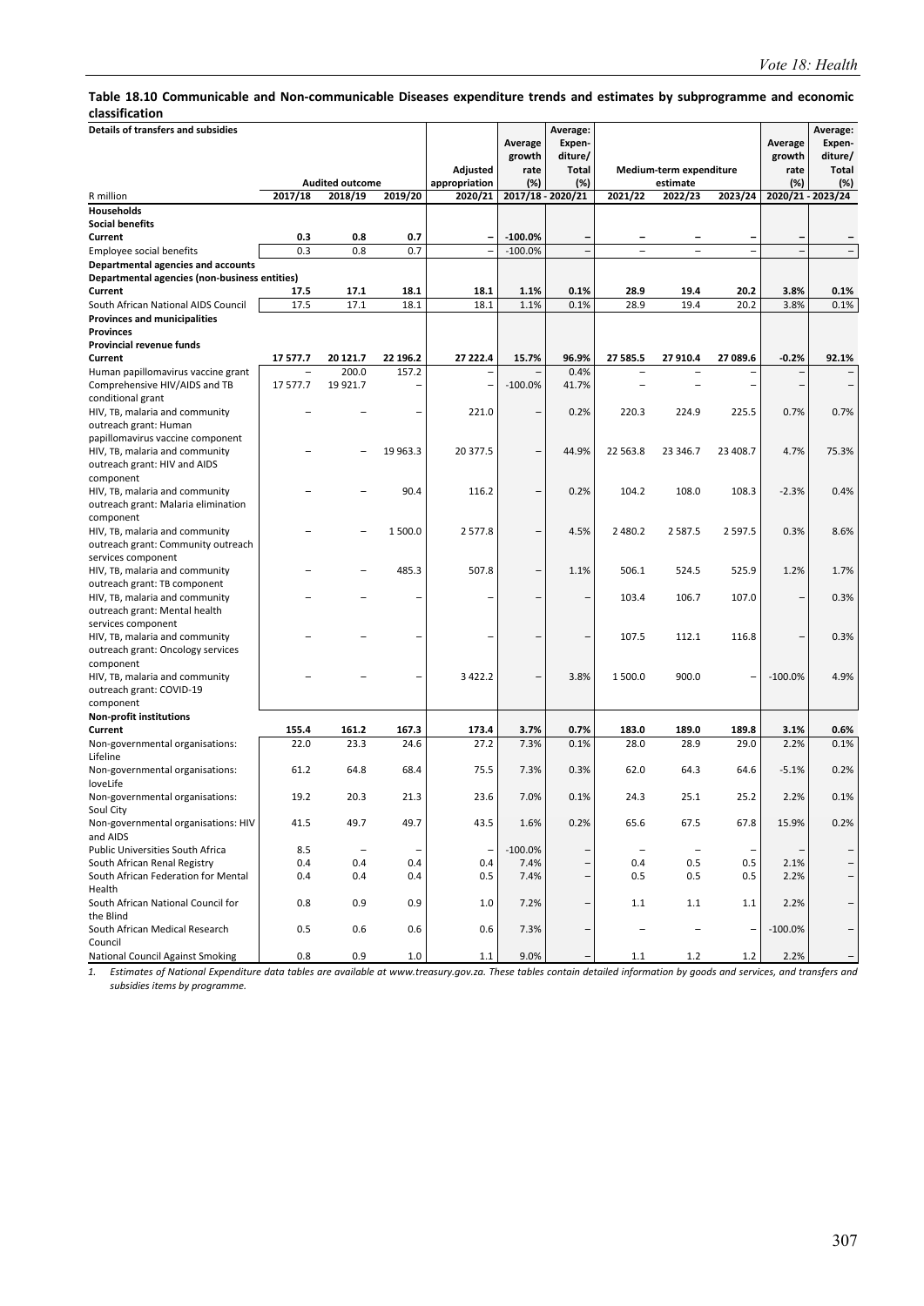#### **Table 18.10 Communicable and Non‐communicable Diseases expenditure trends and estimates by subprogramme and economic classification**

| Details of transfers and subsidies                                                  |            |                                   |                   |                          |                        | Average:                 |                          |                         |                   |           | Average:                 |
|-------------------------------------------------------------------------------------|------------|-----------------------------------|-------------------|--------------------------|------------------------|--------------------------|--------------------------|-------------------------|-------------------|-----------|--------------------------|
|                                                                                     |            |                                   |                   |                          | Average                | Expen-                   |                          |                         |                   | Average   | Expen-                   |
|                                                                                     |            |                                   |                   |                          | growth                 | diture/                  |                          |                         |                   | growth    | diture/                  |
|                                                                                     |            |                                   |                   | Adjusted                 | rate                   | <b>Total</b>             |                          | Medium-term expenditure |                   | rate      | <b>Total</b>             |
| R million                                                                           | 2017/18    | <b>Audited outcome</b><br>2018/19 | 2019/20           | appropriation<br>2020/21 | (%)                    | (%)<br>2017/18 - 2020/21 | 2021/22                  | estimate<br>2022/23     | 2023/24           | (%)       | (%)<br>2020/21 - 2023/24 |
| Households                                                                          |            |                                   |                   |                          |                        |                          |                          |                         |                   |           |                          |
| <b>Social benefits</b>                                                              |            |                                   |                   |                          |                        |                          |                          |                         |                   |           |                          |
|                                                                                     |            |                                   |                   |                          |                        |                          |                          |                         |                   |           |                          |
| Current                                                                             | 0.3<br>0.3 | 0.8                               | 0.7<br>0.7        |                          | $-100.0%$<br>$-100.0%$ | -                        | $\overline{\phantom{0}}$ |                         | -<br>Ē,           |           |                          |
| Employee social benefits                                                            |            | 0.8                               |                   |                          |                        |                          |                          |                         |                   |           |                          |
| Departmental agencies and accounts<br>Departmental agencies (non-business entities) |            |                                   |                   |                          |                        |                          |                          |                         |                   |           |                          |
| Current                                                                             | 17.5       | 17.1                              | 18.1              | 18.1                     | 1.1%                   | 0.1%                     | 28.9                     | 19.4                    | 20.2              | 3.8%      | 0.1%                     |
| South African National AIDS Council                                                 | 17.5       | 17.1                              | 18.1              | 18.1                     | 1.1%                   | 0.1%                     | 28.9                     | 19.4                    | 20.2              | 3.8%      | 0.1%                     |
| <b>Provinces and municipalities</b>                                                 |            |                                   |                   |                          |                        |                          |                          |                         |                   |           |                          |
| <b>Provinces</b>                                                                    |            |                                   |                   |                          |                        |                          |                          |                         |                   |           |                          |
| Provincial revenue funds                                                            |            |                                   |                   |                          |                        |                          |                          |                         |                   |           |                          |
| Current                                                                             | 17 577.7   | 20 121.7                          | 22 196.2          | 27 222.4                 | 15.7%                  | 96.9%                    | 27 585.5                 | 27 910.4                | 27 089.6          | $-0.2%$   | 92.1%                    |
| Human papillomavirus vaccine grant                                                  |            | 200.0                             | 157.2             |                          |                        | 0.4%                     |                          |                         |                   |           |                          |
| Comprehensive HIV/AIDS and TB                                                       | 17 577.7   | 19 921.7                          | $\overline{a}$    |                          | $-100.0%$              | 41.7%                    |                          |                         |                   |           |                          |
| conditional grant                                                                   |            |                                   |                   |                          |                        |                          |                          |                         |                   |           |                          |
| HIV, TB, malaria and community                                                      |            |                                   |                   | 221.0                    |                        | 0.2%                     | 220.3                    | 224.9                   | 225.5             | 0.7%      | 0.7%                     |
| outreach grant: Human                                                               |            |                                   |                   |                          |                        |                          |                          |                         |                   |           |                          |
| papillomavirus vaccine component                                                    |            |                                   |                   |                          |                        |                          |                          |                         |                   |           |                          |
| HIV, TB, malaria and community                                                      |            |                                   | 19 963.3          | 20 377.5                 |                        | 44.9%                    | 22 563.8                 | 23 346.7                | 23 408.7          | 4.7%      | 75.3%                    |
| outreach grant: HIV and AIDS                                                        |            |                                   |                   |                          |                        |                          |                          |                         |                   |           |                          |
| component                                                                           |            |                                   |                   |                          |                        |                          |                          |                         |                   |           |                          |
| HIV, TB, malaria and community                                                      |            |                                   | 90.4              | 116.2                    |                        | 0.2%                     | 104.2                    | 108.0                   | 108.3             | $-2.3%$   | 0.4%                     |
| outreach grant: Malaria elimination                                                 |            |                                   |                   |                          |                        |                          |                          |                         |                   |           |                          |
| component                                                                           |            |                                   |                   |                          |                        |                          |                          |                         |                   |           |                          |
| HIV, TB, malaria and community                                                      |            |                                   | 1500.0            | 2577.8                   |                        | 4.5%                     | 2 4 8 0.2                | 2587.5                  | 2 5 9 7 . 5       | 0.3%      | 8.6%                     |
| outreach grant: Community outreach                                                  |            |                                   |                   |                          |                        |                          |                          |                         |                   |           |                          |
| services component                                                                  |            |                                   |                   |                          |                        |                          |                          |                         |                   |           |                          |
| HIV, TB, malaria and community                                                      |            |                                   | 485.3             | 507.8                    |                        | 1.1%                     | 506.1                    | 524.5                   | 525.9             | 1.2%      | 1.7%                     |
| outreach grant: TB component                                                        |            |                                   |                   |                          |                        |                          |                          |                         |                   |           |                          |
| HIV, TB, malaria and community                                                      |            |                                   |                   |                          |                        | -                        | 103.4                    | 106.7                   | 107.0             |           | 0.3%                     |
| outreach grant: Mental health                                                       |            |                                   |                   |                          |                        |                          |                          |                         |                   |           |                          |
| services component                                                                  |            |                                   |                   |                          |                        |                          |                          |                         |                   |           |                          |
| HIV, TB, malaria and community                                                      |            |                                   |                   |                          |                        | -                        | 107.5                    | 112.1                   | 116.8             |           | 0.3%                     |
| outreach grant: Oncology services                                                   |            |                                   |                   |                          |                        |                          |                          |                         |                   |           |                          |
| component                                                                           |            |                                   |                   |                          |                        |                          |                          |                         |                   |           |                          |
| HIV, TB, malaria and community                                                      |            |                                   |                   | 3 4 2 2.2                |                        | 3.8%                     | 1 500.0                  | 900.0                   |                   | $-100.0%$ | 4.9%                     |
| outreach grant: COVID-19                                                            |            |                                   |                   |                          |                        |                          |                          |                         |                   |           |                          |
| component                                                                           |            |                                   |                   |                          |                        |                          |                          |                         |                   |           |                          |
| <b>Non-profit institutions</b>                                                      |            |                                   |                   |                          |                        |                          |                          |                         |                   |           |                          |
| Current                                                                             | 155.4      | 161.2                             | 167.3             | 173.4                    | 3.7%                   | 0.7%                     | 183.0                    | 189.0                   | 189.8             | 3.1%      | 0.6%                     |
| Non-governmental organisations:                                                     | 22.0       | 23.3                              | 24.6              | 27.2                     | 7.3%                   | 0.1%                     | 28.0                     | 28.9                    | 29.0              | 2.2%      | 0.1%                     |
| Lifeline                                                                            |            |                                   |                   |                          |                        |                          |                          |                         |                   |           |                          |
| Non-governmental organisations:                                                     | 61.2       | 64.8                              | 68.4              | 75.5                     | 7.3%                   | 0.3%                     | 62.0                     | 64.3                    | 64.6              | $-5.1%$   | 0.2%                     |
| loveLife                                                                            |            |                                   |                   |                          |                        |                          |                          |                         |                   |           |                          |
| Non-governmental organisations:                                                     | 19.2       | 20.3                              | 21.3              | 23.6                     | 7.0%                   | 0.1%                     | 24.3                     | 25.1                    | 25.2              | 2.2%      | 0.1%                     |
| Soul City                                                                           |            |                                   |                   |                          |                        |                          |                          |                         |                   |           |                          |
| Non-governmental organisations: HIV                                                 | 41.5       | 49.7                              | 49.7              | 43.5                     | 1.6%                   | 0.2%                     | 65.6                     | 67.5                    | 67.8              | 15.9%     | 0.2%                     |
| and AIDS                                                                            |            |                                   |                   |                          |                        |                          |                          |                         |                   |           |                          |
| Public Universities South Africa                                                    | 8.5        | $\overline{\phantom{a}}$          | $\qquad \qquad -$ |                          | $-100.0%$              | -                        | $\qquad \qquad -$        | $\qquad \qquad -$       | $\qquad \qquad -$ |           |                          |
| South African Renal Registry                                                        | 0.4        | 0.4                               | 0.4               | 0.4                      | 7.4%                   | -                        | 0.4                      | 0.5                     | 0.5               | 2.1%      |                          |
| South African Federation for Mental                                                 | 0.4        | 0.4                               | 0.4               | 0.5                      | 7.4%                   | -                        | 0.5                      | 0.5                     | 0.5               | 2.2%      | -                        |
| Health                                                                              |            |                                   |                   |                          |                        |                          |                          |                         |                   |           |                          |
| South African National Council for                                                  | 0.8        | 0.9                               | 0.9               | 1.0                      | 7.2%                   | $\overline{\phantom{0}}$ | 1.1                      | 1.1                     | 1.1               | 2.2%      | -                        |
| the Blind                                                                           |            |                                   |                   |                          |                        |                          |                          |                         |                   |           |                          |
| South African Medical Research                                                      | 0.5        | 0.6                               | 0.6               | 0.6                      | 7.3%                   | -                        |                          | $\qquad \qquad -$       | $\overline{a}$    | $-100.0%$ |                          |
| Council                                                                             |            |                                   |                   |                          |                        |                          |                          |                         |                   |           |                          |
| National Council Against Smoking                                                    | 0.8        | 0.9                               | $1.0\,$           | 1.1                      | 9.0%                   |                          | 1.1                      | $1.2$                   | $1.2\,$           | 2.2%      |                          |

*1. Estimates of National Expenditure data tables are available at www.treasury.gov.za. These tables contain detailed information by goods and services, and transfers and subsidies items by programme.*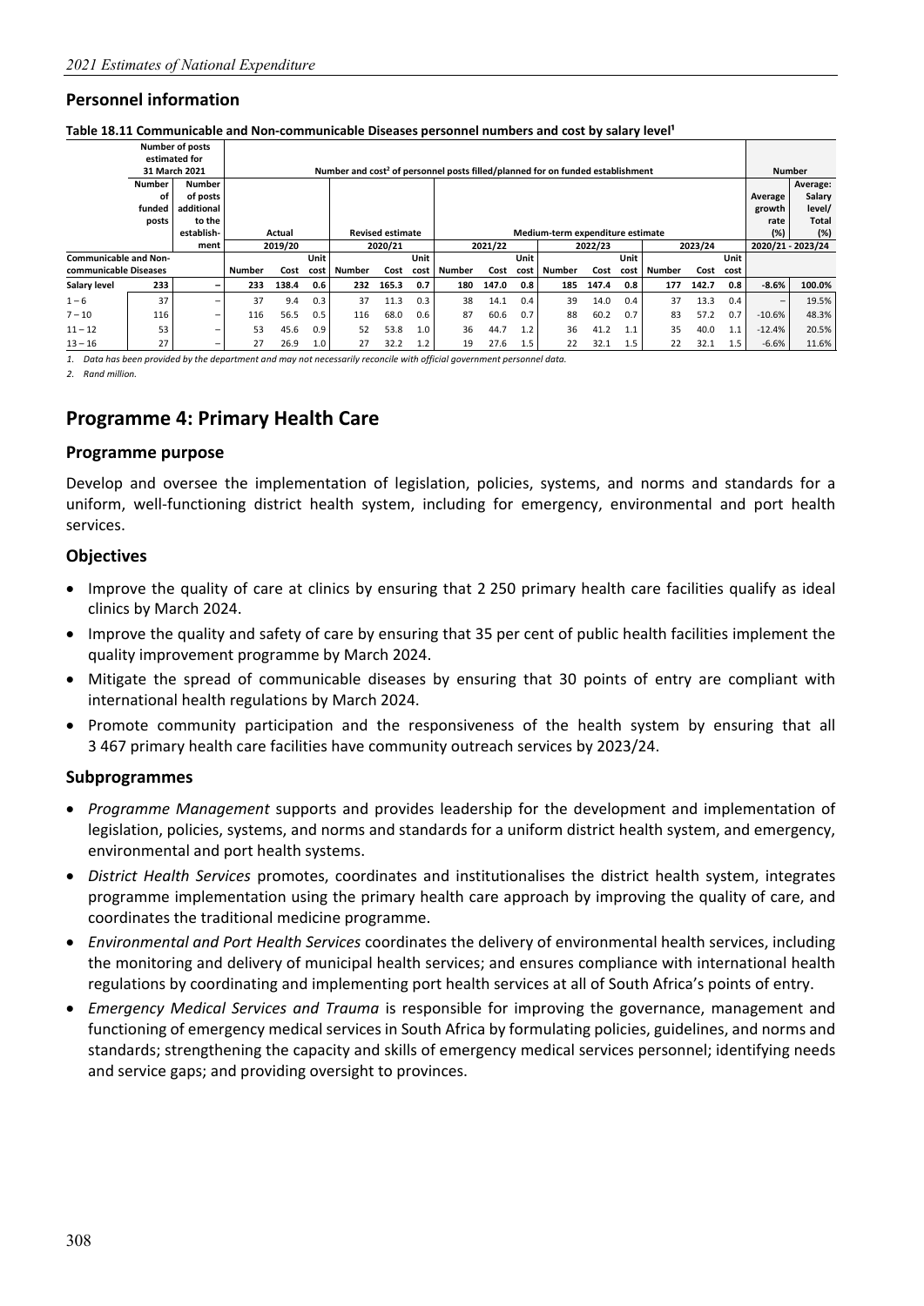#### Table 18.11 Communicable and Non-communicable Diseases personnel numbers and cost by salary level<sup>1</sup>

|                       |                              | <b>Number of posts</b><br>estimated for |               |         |      |                                                                                            |                         |      |               |         |      |                                  |         |      |               |         |                  |          |                   |
|-----------------------|------------------------------|-----------------------------------------|---------------|---------|------|--------------------------------------------------------------------------------------------|-------------------------|------|---------------|---------|------|----------------------------------|---------|------|---------------|---------|------------------|----------|-------------------|
|                       |                              | 31 March 2021                           |               |         |      | Number and cost <sup>2</sup> of personnel posts filled/planned for on funded establishment |                         |      |               |         |      |                                  |         |      |               |         |                  |          | <b>Number</b>     |
|                       | <b>Number</b>                | <b>Number</b>                           |               |         |      |                                                                                            |                         |      |               |         |      |                                  |         |      |               |         |                  |          | Average:          |
|                       | οf                           | of posts                                |               |         |      |                                                                                            |                         |      |               |         |      |                                  |         |      |               |         |                  | Average  | Salary            |
|                       | funded                       | additional                              |               |         |      |                                                                                            |                         |      |               |         |      |                                  |         |      |               |         |                  | growth   | level/            |
|                       | posts                        | to the                                  |               |         |      |                                                                                            |                         |      |               |         |      |                                  |         |      |               |         |                  | rate     | <b>Total</b>      |
|                       |                              | establish-                              |               | Actual  |      |                                                                                            | <b>Revised estimate</b> |      |               |         |      | Medium-term expenditure estimate |         |      |               |         |                  | (%)      | (%)               |
|                       |                              | ment                                    |               | 2019/20 |      |                                                                                            | 2020/21                 |      |               | 2021/22 |      |                                  | 2022/23 |      |               | 2023/24 |                  |          | 2020/21 - 2023/24 |
|                       | <b>Communicable and Non-</b> |                                         |               |         | Unit |                                                                                            |                         | Unit |               |         | Unit |                                  |         | Unit |               |         | Unit             |          |                   |
| communicable Diseases |                              |                                         | <b>Number</b> | Cost    | cost | Number                                                                                     | Cost                    | cost | <b>Number</b> | Cost    | cost | Number                           | Cost    | cost | <b>Number</b> | Cost    | cost             |          |                   |
| Salary level          | 233                          | $\qquad \qquad$                         | 233           | 138.4   | 0.6  | 232                                                                                        | 165.3                   | 0.7  | 180           | 147.0   | 0.8  | 185                              | 147.4   | 0.8  | 177           | 142.7   | 0.8              | $-8.6%$  | 100.0%            |
| $1 - 6$               | 37                           |                                         | 37            | 9.4     | 0.3  | 37                                                                                         | 11.3                    | 0.3  | 38            | 14.1    | 0.4  | 39                               | 14.0    | 0.4  | 37            | 13.3    | 0.4              | -        | 19.5%             |
| $7 - 10$              | 116                          | $\qquad \qquad =$                       | 116           | 56.5    | 0.5  | 116                                                                                        | 68.0                    | 0.6  | 87            | 60.6    | 0.7  | 88                               | 60.2    | 0.7  | 83            | 57.2    | 0.7              | $-10.6%$ | 48.3%             |
| $11 - 12$             | 53                           |                                         | 53            | 45.6    | 0.9  | 52                                                                                         | 53.8                    | 1.0  | 36            | 44.7    | 1.2  | 36                               | 41.2    | 1.1  | 35            | 40.0    | 1.1              | $-12.4%$ | 20.5%             |
| $13 - 16$             | 27                           | $\overline{\phantom{m}}$                | 27            | 26.9    | 1.0  | 27                                                                                         | 32.2                    | 1.2  | 19            | 27.6    | 1.5  | 22                               | 32.1    | 1.5  | 22            | 32.1    | $1.5\phantom{0}$ | $-6.6%$  | 11.6%             |

*1. Data has been provided by the department and may not necessarily reconcile with official government personnel data.* 

*2. Rand million.* 

## **Programme 4: Primary Health Care**

#### **Programme purpose**

Develop and oversee the implementation of legislation, policies, systems, and norms and standards for a uniform, well-functioning district health system, including for emergency, environmental and port health services.

#### **Objectives**

- Improve the quality of care at clinics by ensuring that 2 250 primary health care facilities qualify as ideal clinics by March 2024.
- Improve the quality and safety of care by ensuring that 35 per cent of public health facilities implement the quality improvement programme by March 2024.
- Mitigate the spread of communicable diseases by ensuring that 30 points of entry are compliant with international health regulations by March 2024.
- Promote community participation and the responsiveness of the health system by ensuring that all 3 467 primary health care facilities have community outreach services by 2023/24.

#### **Subprogrammes**

- *Programme Management* supports and provides leadership for the development and implementation of legislation, policies, systems, and norms and standards for a uniform district health system, and emergency, environmental and port health systems.
- *District Health Services* promotes, coordinates and institutionalises the district health system, integrates programme implementation using the primary health care approach by improving the quality of care, and coordinates the traditional medicine programme.
- *Environmental and Port Health Services* coordinates the delivery of environmental health services, including the monitoring and delivery of municipal health services; and ensures compliance with international health regulations by coordinating and implementing port health services at all of South Africa's points of entry.
- *Emergency Medical Services and Trauma* is responsible for improving the governance, management and functioning of emergency medical services in South Africa by formulating policies, guidelines, and norms and standards; strengthening the capacity and skills of emergency medical services personnel; identifying needs and service gaps; and providing oversight to provinces.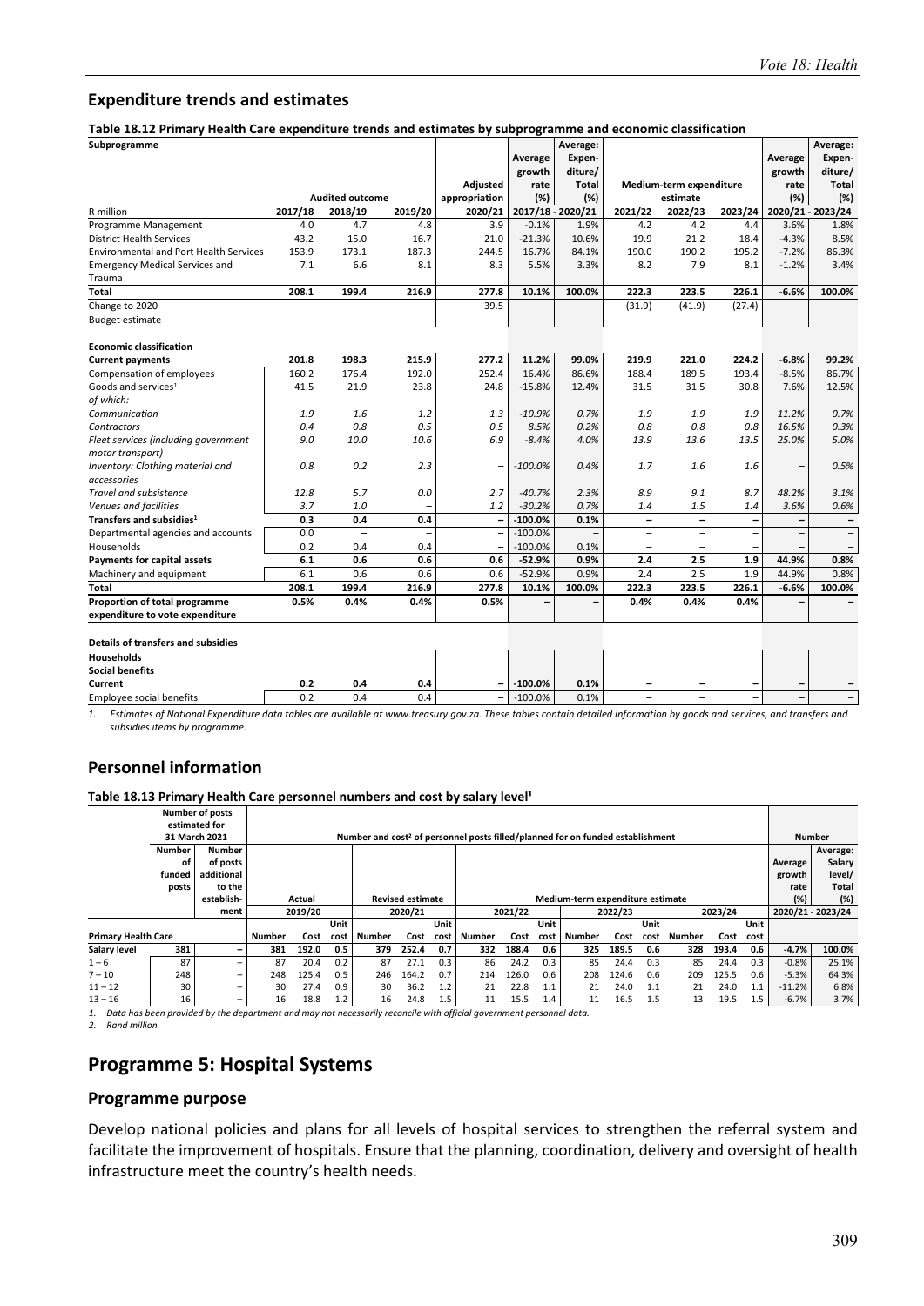#### **Expenditure trends and estimates**

**Table 18.12 Primary Health Care expenditure trends and estimates by subprogramme and economic classification** 

| Subprogramme                                  |         |                          |         |                          |                | Average:          |                          |                          |                          |                | Average:                 |
|-----------------------------------------------|---------|--------------------------|---------|--------------------------|----------------|-------------------|--------------------------|--------------------------|--------------------------|----------------|--------------------------|
|                                               |         |                          |         |                          |                | Expen-            |                          |                          |                          |                |                          |
|                                               |         |                          |         |                          | Average        | diture/           |                          |                          |                          | Average        | Expen-                   |
|                                               |         |                          |         | <b>Adjusted</b>          | growth<br>rate | <b>Total</b>      |                          | Medium-term expenditure  |                          | growth<br>rate | diture/<br><b>Total</b>  |
|                                               |         | <b>Audited outcome</b>   |         | appropriation            | (%)            | (%)               |                          | estimate                 |                          | (%)            | (%)                      |
| R million                                     | 2017/18 | 2018/19                  | 2019/20 | 2020/21                  |                | 2017/18 - 2020/21 | 2021/22                  | 2022/23                  | 2023/24                  |                | 2020/21 - 2023/24        |
| Programme Management                          | 4.0     | 4.7                      | 4.8     | 3.9                      | $-0.1%$        | 1.9%              | 4.2                      | 4.2                      | 4.4                      | 3.6%           | 1.8%                     |
| <b>District Health Services</b>               | 43.2    | 15.0                     | 16.7    | 21.0                     | $-21.3%$       | 10.6%             | 19.9                     | 21.2                     | 18.4                     | $-4.3%$        | 8.5%                     |
| <b>Environmental and Port Health Services</b> | 153.9   | 173.1                    | 187.3   | 244.5                    | 16.7%          | 84.1%             | 190.0                    | 190.2                    | 195.2                    | $-7.2%$        | 86.3%                    |
| <b>Emergency Medical Services and</b>         | 7.1     | 6.6                      | 8.1     | 8.3                      | 5.5%           | 3.3%              | 8.2                      | 7.9                      | 8.1                      | $-1.2%$        | 3.4%                     |
| Trauma                                        |         |                          |         |                          |                |                   |                          |                          |                          |                |                          |
| Total                                         | 208.1   | 199.4                    | 216.9   | 277.8                    | 10.1%          | 100.0%            | 222.3                    | 223.5                    | 226.1                    | $-6.6%$        | 100.0%                   |
| Change to 2020                                |         |                          |         | 39.5                     |                |                   | (31.9)                   | (41.9)                   | (27.4)                   |                |                          |
| <b>Budget estimate</b>                        |         |                          |         |                          |                |                   |                          |                          |                          |                |                          |
| <b>Economic classification</b>                |         |                          |         |                          |                |                   |                          |                          |                          |                |                          |
| <b>Current payments</b>                       | 201.8   | 198.3                    | 215.9   | 277.2                    | 11.2%          | 99.0%             | 219.9                    | 221.0                    | 224.2                    | $-6.8%$        | 99.2%                    |
| Compensation of employees                     | 160.2   | 176.4                    | 192.0   | 252.4                    | 16.4%          | 86.6%             | 188.4                    | 189.5                    | 193.4                    | $-8.5%$        | 86.7%                    |
| Goods and services <sup>1</sup>               | 41.5    | 21.9                     | 23.8    | 24.8                     | $-15.8%$       | 12.4%             | 31.5                     | 31.5                     | 30.8                     | 7.6%           | 12.5%                    |
| of which:                                     |         |                          |         |                          |                |                   |                          |                          |                          |                |                          |
| Communication                                 | 1.9     | 1.6                      | 1.2     | 1.3                      | $-10.9%$       | 0.7%              | 1.9                      | 1.9                      | 1.9                      | 11.2%          | 0.7%                     |
| Contractors                                   | 0.4     | 0.8                      | 0.5     | 0.5                      | 8.5%           | 0.2%              | 0.8                      | 0.8                      | 0.8                      | 16.5%          | 0.3%                     |
| Fleet services (including government          | 9.0     | 10.0                     | 10.6    | 6.9                      | $-8.4%$        | 4.0%              | 13.9                     | 13.6                     | 13.5                     | 25.0%          | 5.0%                     |
| motor transport)                              |         |                          |         |                          |                |                   |                          |                          |                          |                |                          |
| Inventory: Clothing material and              | 0.8     | 0.2                      | 2.3     |                          | $-100.0%$      | 0.4%              | 1.7                      | 1.6                      | 1.6                      |                | 0.5%                     |
| accessories                                   |         |                          |         |                          |                |                   |                          |                          |                          |                |                          |
| Travel and subsistence                        | 12.8    | 5.7                      | 0.0     | 2.7                      | $-40.7%$       | 2.3%              | 8.9                      | 9.1                      | 8.7                      | 48.2%          | 3.1%                     |
| Venues and facilities                         | 3.7     | 1.0                      |         | 1.2                      | $-30.2%$       | 0.7%              | 1.4                      | 1.5                      | 1.4                      | 3.6%           | 0.6%                     |
| Transfers and subsidies <sup>1</sup>          | 0.3     | 0.4                      | 0.4     | $\overline{\phantom{0}}$ | $-100.0%$      | 0.1%              | $\overline{\phantom{0}}$ | $\overline{\phantom{0}}$ | $\overline{\phantom{a}}$ |                | $\overline{\phantom{0}}$ |
| Departmental agencies and accounts            | 0.0     | $\overline{\phantom{0}}$ | ۳       |                          | $-100.0%$      |                   | $\overline{\phantom{0}}$ | ۰                        | $\overline{\phantom{0}}$ |                |                          |
| Households                                    | 0.2     | 0.4                      | 0.4     |                          | $-100.0%$      | 0.1%              | $\overline{\phantom{0}}$ | ۰                        |                          |                |                          |
| <b>Payments for capital assets</b>            | 6.1     | 0.6                      | 0.6     | 0.6                      | $-52.9%$       | 0.9%              | 2.4                      | 2.5                      | 1.9                      | 44.9%          | 0.8%                     |
| Machinery and equipment                       | 6.1     | 0.6                      | 0.6     | 0.6                      | $-52.9%$       | 0.9%              | 2.4                      | 2.5                      | 1.9                      | 44.9%          | 0.8%                     |
| <b>Total</b>                                  | 208.1   | 199.4                    | 216.9   | 277.8                    | 10.1%          | 100.0%            | 222.3                    | 223.5                    | 226.1                    | $-6.6%$        | 100.0%                   |
| Proportion of total programme                 | 0.5%    | 0.4%                     | 0.4%    | 0.5%                     |                |                   | 0.4%                     | 0.4%                     | 0.4%                     |                |                          |
| expenditure to vote expenditure               |         |                          |         |                          |                |                   |                          |                          |                          |                |                          |
| Details of transfers and subsidies            |         |                          |         |                          |                |                   |                          |                          |                          |                |                          |
| <b>Households</b>                             |         |                          |         |                          |                |                   |                          |                          |                          |                |                          |
| <b>Social benefits</b>                        |         |                          |         |                          |                |                   |                          |                          |                          |                |                          |
| Current                                       | 0.2     | 0.4                      | 0.4     |                          | $-100.0%$      | 0.1%              |                          |                          |                          |                |                          |
| <b>Employee social benefits</b>               | 0.2     | 0.4                      | 0.4     |                          | $-100.0%$      | 0.1%              |                          |                          |                          |                | $\overline{\phantom{m}}$ |

*1. Estimates of National Expenditure data tables are available at www.treasury.gov.za. These tables contain detailed information by goods and services, and transfers and subsidies items by programme.* 

#### **Personnel information**

Table 18.13 Primary Health Care personnel numbers and cost by salary level<sup>1</sup>

|                            |               | <b>Number of posts</b>   |               |                                              |      |                                                                                            |       |      |               |         |      |                                  |         |      |               |         |      |          |                   |
|----------------------------|---------------|--------------------------|---------------|----------------------------------------------|------|--------------------------------------------------------------------------------------------|-------|------|---------------|---------|------|----------------------------------|---------|------|---------------|---------|------|----------|-------------------|
|                            |               | estimated for            |               |                                              |      |                                                                                            |       |      |               |         |      |                                  |         |      |               |         |      |          |                   |
|                            |               | 31 March 2021            |               |                                              |      | Number and cost <sup>2</sup> of personnel posts filled/planned for on funded establishment |       |      |               |         |      |                                  |         |      |               |         |      |          | <b>Number</b>     |
|                            | <b>Number</b> | <b>Number</b>            |               |                                              |      |                                                                                            |       |      |               |         |      |                                  |         |      |               |         |      |          | Average:          |
|                            | οf            | of posts                 |               |                                              |      |                                                                                            |       |      |               |         |      |                                  |         |      |               |         |      | Average  | Salary            |
|                            | funded        | additional               |               |                                              |      |                                                                                            |       |      |               |         |      |                                  |         |      |               |         |      | growth   | level/            |
|                            | posts         | to the                   |               |                                              |      |                                                                                            |       |      |               |         |      |                                  |         |      |               |         |      | rate     | Total             |
|                            |               | establish-               |               | <b>Revised estimate</b><br>Actual<br>2020/21 |      |                                                                                            |       |      |               |         |      | Medium-term expenditure estimate |         |      |               |         |      | (%)      | (%)               |
|                            |               | ment                     |               | 2019/20                                      |      |                                                                                            |       |      |               | 2021/22 |      |                                  | 2022/23 |      |               | 2023/24 |      |          | 2020/21 - 2023/24 |
|                            |               |                          |               | Unit                                         |      |                                                                                            |       | Unit |               |         | Unit |                                  |         | Unit |               |         | Unit |          |                   |
| <b>Primary Health Care</b> |               |                          | <b>Number</b> | Cost                                         | cost | Number                                                                                     | Cost  | cost | <b>Number</b> | Cost    | cost | Number                           | Cost    | cost | <b>Number</b> | Cost    | cost |          |                   |
| Salary level               | 381           | $\overline{\phantom{0}}$ | 381           | 192.0                                        | 0.5  | 379                                                                                        | 252.4 | 0.7  | 332           | 188.4   | 0.6  | 325                              | 189.5   | 0.6  | 328           | 193.4   | 0.6  | $-4.7%$  | 100.0%            |
| $1 - 6$                    | 87            | $\overline{\phantom{a}}$ | 87            | 20.4                                         | 0.2  | 87                                                                                         | 27.1  | 0.3  | 86            | 24.2    | 0.3  | 85                               | 24.4    | 0.3  | 85            | 24.4    | 0.3  | $-0.8%$  | 25.1%             |
| $7 - 10$                   | 248           | $\overline{\phantom{m}}$ | 248           | 125.4                                        | 0.5  | 246                                                                                        | 164.2 | 0.7  | 214           | 126.0   | 0.6  | 208                              | 124.6   | 0.6  | 209           | 125.5   | 0.6  | $-5.3%$  | 64.3%             |
| $11 - 12$                  | 30            | $\overline{\phantom{a}}$ | 30            | 27.4                                         | 0.9  | 30                                                                                         | 36.2  | 1.2  | 21            | 22.8    | 1.1  | 21                               | 24.0    | 1.1  | 21            | 24.0    | 1.1  | $-11.2%$ | 6.8%              |
| $13 - 16$                  | 16            | $\overline{\phantom{m}}$ | 16            | 18.8                                         | 1.2  | 16                                                                                         | 24.8  | 1.5  | 11            | 15.5    | 1.4  | 11                               | 16.5    | 1.5  | 13            | 19.5    | 1.5  | $-6.7%$  | 3.7%              |

*1. Data has been provided by the department and may not necessarily reconcile with official government personnel data. 2. Rand million.* 

## **Programme 5: Hospital Systems**

#### **Programme purpose**

Develop national policies and plans for all levels of hospital services to strengthen the referral system and facilitate the improvement of hospitals. Ensure that the planning, coordination, delivery and oversight of health infrastructure meet the country's health needs.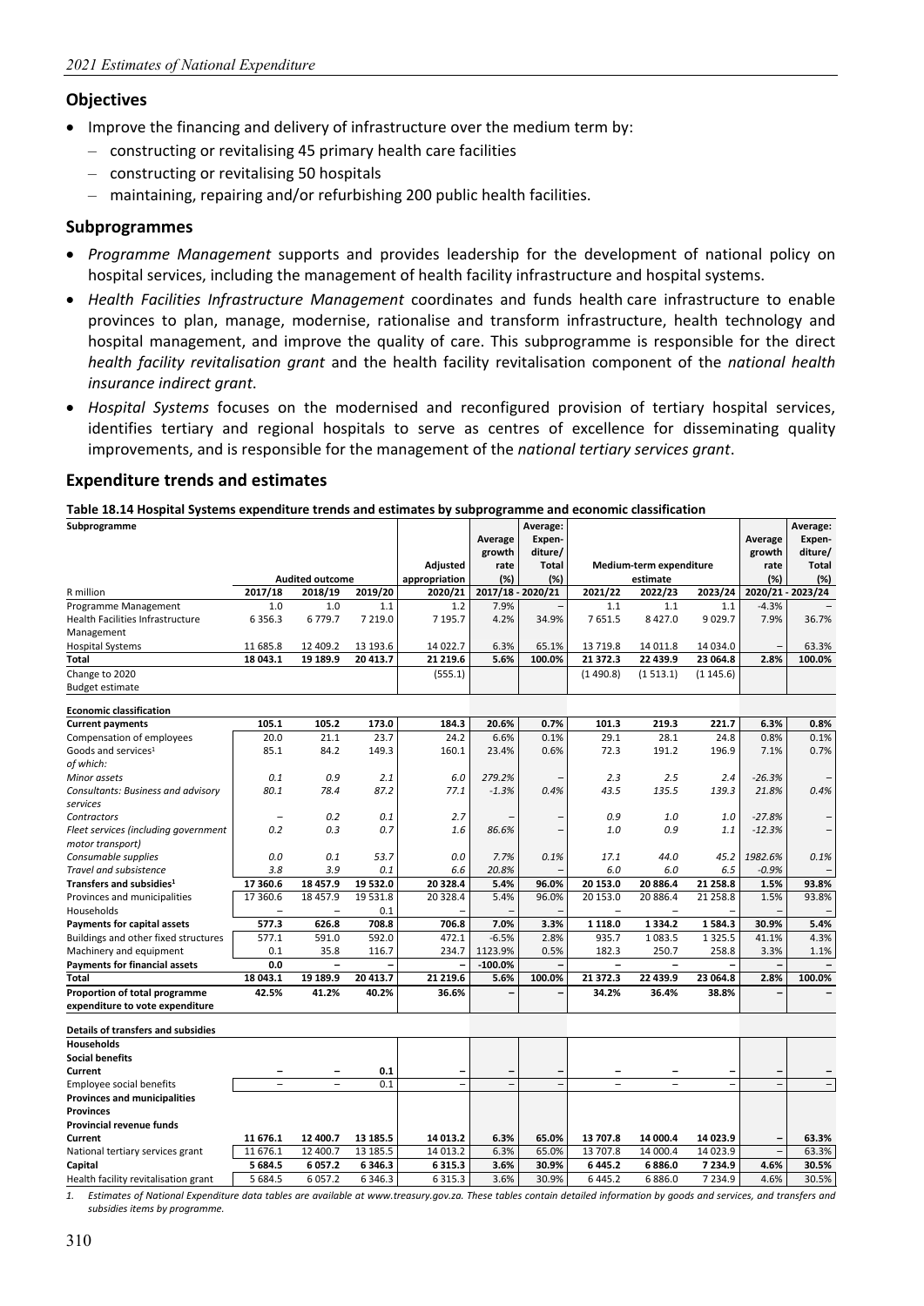#### **Objectives**

- Improve the financing and delivery of infrastructure over the medium term by:
	- constructing or revitalising 45 primary health care facilities
	- constructing or revitalising 50 hospitals
	- maintaining, repairing and/or refurbishing 200 public health facilities.

#### **Subprogrammes**

- *Programme Management* supports and provides leadership for the development of national policy on hospital services, including the management of health facility infrastructure and hospital systems.
- *Health Facilities Infrastructure Management* coordinates and funds health care infrastructure to enable provinces to plan, manage, modernise, rationalise and transform infrastructure, health technology and hospital management, and improve the quality of care. This subprogramme is responsible for the direct *health facility revitalisation grant* and the health facility revitalisation component of the *national health insurance indirect grant*.
- *Hospital Systems* focuses on the modernised and reconfigured provision of tertiary hospital services, identifies tertiary and regional hospitals to serve as centres of excellence for disseminating quality improvements, and is responsible for the management of the *national tertiary services grant*.

#### **Expenditure trends and estimates**

| Table 18.14 Hospital Systems expenditure trends and estimates by subprogramme and economic classification |  |
|-----------------------------------------------------------------------------------------------------------|--|
|-----------------------------------------------------------------------------------------------------------|--|

| Subprogramme                         |                          |                          |             |                          | Average        | Average:<br>Expen-       |                          |                          |                          | Average                  | Average:<br>Expen- |
|--------------------------------------|--------------------------|--------------------------|-------------|--------------------------|----------------|--------------------------|--------------------------|--------------------------|--------------------------|--------------------------|--------------------|
|                                      |                          |                          |             |                          | growth         | diture/                  |                          |                          |                          | growth                   | diture/            |
|                                      |                          |                          |             | <b>Adjusted</b>          | rate           | <b>Total</b>             |                          | Medium-term expenditure  |                          | rate                     | <b>Total</b>       |
|                                      |                          | <b>Audited outcome</b>   |             | appropriation            | (%)            | (%)                      |                          | estimate                 |                          | (%)                      | (%)                |
| R million                            | 2017/18                  | 2018/19                  | 2019/20     | 2020/21                  |                | 2017/18 - 2020/21        | 2021/22                  | 2022/23                  | 2023/24                  |                          | 2020/21 - 2023/24  |
| Programme Management                 | 1.0                      | 1.0                      | 1.1         | 1.2                      | 7.9%           |                          | 1.1                      | 1.1                      | 1.1                      | $-4.3%$                  |                    |
| Health Facilities Infrastructure     | 6 3 5 6 . 3              | 6779.7                   | 7 2 1 9 . 0 | 7 195.7                  | 4.2%           | 34.9%                    | 7651.5                   | 8 4 2 7 .0               | 9029.7                   | 7.9%                     | 36.7%              |
| Management                           |                          |                          |             |                          |                |                          |                          |                          |                          |                          |                    |
| <b>Hospital Systems</b>              | 11 685.8                 | 12 409.2                 | 13 193.6    | 14 022.7                 | 6.3%           | 65.1%                    | 13 7 19.8                | 14 011.8                 | 14 034.0                 |                          | 63.3%              |
| Total                                | 18 043.1                 | 19 189.9                 | 20 413.7    | 21 219.6                 | 5.6%           | 100.0%                   | 21 372.3                 | 22 439.9                 | 23 064.8                 | 2.8%                     | 100.0%             |
| Change to 2020                       |                          |                          |             | (555.1)                  |                |                          | (1490.8)                 | (1513.1)                 | (1145.6)                 |                          |                    |
| <b>Budget estimate</b>               |                          |                          |             |                          |                |                          |                          |                          |                          |                          |                    |
| <b>Economic classification</b>       |                          |                          |             |                          |                |                          |                          |                          |                          |                          |                    |
| <b>Current payments</b>              | 105.1                    | 105.2                    | 173.0       | 184.3                    | 20.6%          | 0.7%                     | 101.3                    | 219.3                    | 221.7                    | 6.3%                     | 0.8%               |
| Compensation of employees            | 20.0                     | 21.1                     | 23.7        | 24.2                     | 6.6%           | 0.1%                     | 29.1                     | 28.1                     | 24.8                     | 0.8%                     | 0.1%               |
| Goods and services <sup>1</sup>      | 85.1                     | 84.2                     | 149.3       | 160.1                    | 23.4%          | 0.6%                     | 72.3                     | 191.2                    | 196.9                    | 7.1%                     | 0.7%               |
| of which:                            |                          |                          |             |                          |                |                          |                          |                          |                          |                          |                    |
| Minor assets                         | 0.1                      | 0.9                      | 2.1         | 6.0                      | 279.2%         |                          | 2.3                      | 2.5                      | 2.4                      | $-26.3%$                 |                    |
| Consultants: Business and advisory   | 80.1                     | 78.4                     | 87.2        | 77.1                     | $-1.3%$        | 0.4%                     | 43.5                     | 135.5                    | 139.3                    | 21.8%                    | 0.4%               |
| services                             |                          |                          |             |                          |                |                          |                          |                          |                          |                          |                    |
| Contractors                          | $\overline{\phantom{0}}$ | 0.2                      | 0.1         | 2.7                      |                |                          | 0.9                      | 1.0                      | 1.0                      | $-27.8%$                 |                    |
| Fleet services (including government | 0.2                      | 0.3                      | 0.7         | 1.6                      | 86.6%          |                          | 1.0                      | 0.9                      | 1.1                      | $-12.3%$                 |                    |
| motor transport)                     |                          |                          |             |                          |                |                          |                          |                          |                          |                          |                    |
| Consumable supplies                  | 0.0                      | 0.1                      | 53.7        | 0.0                      | 7.7%           | 0.1%                     | 17.1                     | 44.0                     | 45.2                     | 1982.6%                  | 0.1%               |
| Travel and subsistence               | 3.8                      | 3.9                      | 0.1         | 6.6                      | 20.8%          |                          | 6.0                      | 6.0                      | 6.5                      | $-0.9%$                  |                    |
| Transfers and subsidies <sup>1</sup> | 17 360.6                 | 18 457.9                 | 19 532.0    | 20 328.4                 | 5.4%           | 96.0%                    | 20 153.0                 | 20 886.4                 | 21 258.8                 | 1.5%                     | 93.8%              |
| Provinces and municipalities         | 17 360.6                 | 18 457.9                 | 19 531.8    | 20 328.4                 | 5.4%           | 96.0%                    | 20 153.0                 | 20 886.4                 | 21 258.8                 | 1.5%                     | 93.8%              |
| Households                           | $\overline{\phantom{a}}$ | $\overline{\phantom{m}}$ | 0.1         |                          |                |                          | $\overline{a}$           | $\overline{\phantom{0}}$ |                          |                          |                    |
| <b>Payments for capital assets</b>   | 577.3                    | 626.8                    | 708.8       | 706.8                    | 7.0%           | 3.3%                     | 1 1 1 8.0                | 1334.2                   | 1584.3                   | 30.9%                    | 5.4%               |
| Buildings and other fixed structures | 577.1                    | 591.0                    | 592.0       | 472.1                    | $-6.5%$        | 2.8%                     | 935.7                    | 1083.5                   | 1 3 2 5 .5               | 41.1%                    | 4.3%               |
| Machinery and equipment              | 0.1                      | 35.8                     | 116.7       | 234.7                    | 1123.9%        | 0.5%                     | 182.3                    | 250.7                    | 258.8                    | 3.3%                     | 1.1%               |
| <b>Payments for financial assets</b> | 0.0                      | $\overline{\phantom{0}}$ |             |                          | $-100.0%$      |                          | $\overline{\phantom{0}}$ | $\overline{\phantom{0}}$ |                          |                          |                    |
| Total                                | 18 043.1                 | 19 189.9                 | 20 413.7    | 21 219.6                 | 5.6%           | 100.0%                   | 21 372.3                 | 22 439.9                 | 23 064.8                 | 2.8%                     | 100.0%             |
| Proportion of total programme        | 42.5%                    | 41.2%                    | 40.2%       | 36.6%                    |                |                          | 34.2%                    | 36.4%                    | 38.8%                    |                          |                    |
| expenditure to vote expenditure      |                          |                          |             |                          |                |                          |                          |                          |                          |                          |                    |
| Details of transfers and subsidies   |                          |                          |             |                          |                |                          |                          |                          |                          |                          |                    |
| <b>Households</b>                    |                          |                          |             |                          |                |                          |                          |                          |                          |                          |                    |
| <b>Social benefits</b>               |                          |                          |             |                          |                |                          |                          |                          |                          |                          |                    |
| Current                              |                          |                          | 0.1         | $\overline{\phantom{0}}$ |                |                          | $\overline{\phantom{0}}$ |                          | $\overline{\phantom{0}}$ |                          |                    |
| <b>Employee social benefits</b>      | $\overline{a}$           |                          | 0.1         | $\overline{\phantom{0}}$ | $\overline{a}$ | $\overline{\phantom{a}}$ | ۳                        | -                        | L,                       | $\overline{\phantom{a}}$ |                    |
| <b>Provinces and municipalities</b>  |                          |                          |             |                          |                |                          |                          |                          |                          |                          |                    |
| <b>Provinces</b>                     |                          |                          |             |                          |                |                          |                          |                          |                          |                          |                    |
| <b>Provincial revenue funds</b>      |                          |                          |             |                          |                |                          |                          |                          |                          |                          |                    |
| Current                              | 11 676.1                 | 12 400.7                 | 13 185.5    | 14 013.2                 | 6.3%           | 65.0%                    | 13 707.8                 | 14 000.4                 | 14 023.9                 |                          | 63.3%              |
| National tertiary services grant     | 11 676.1                 | 12 400.7                 | 13 185.5    | 14 013.2                 | 6.3%           | 65.0%                    | 13 707.8                 | 14 000.4                 | 14 023.9                 | $\overline{a}$           | 63.3%              |
| Capital                              | 5 684.5                  | 6057.2                   | 6346.3      | 6315.3                   | 3.6%           | 30.9%                    | 6 4 4 5 . 2              | 6886.0                   | 7 234.9                  | 4.6%                     | 30.5%              |
| Health facility revitalisation grant | 5 684.5                  | 6057.2                   | 6 3 4 6 .3  | 6315.3                   | 3.6%           | 30.9%                    | 6 4 4 5 . 2              | 6886.0                   | 7 2 3 4 . 9              | 4.6%                     | 30.5%              |

*1. Estimates of National Expenditure data tables are available at www.treasury.gov.za. These tables contain detailed information by goods and services, and transfers and subsidies items by programme.*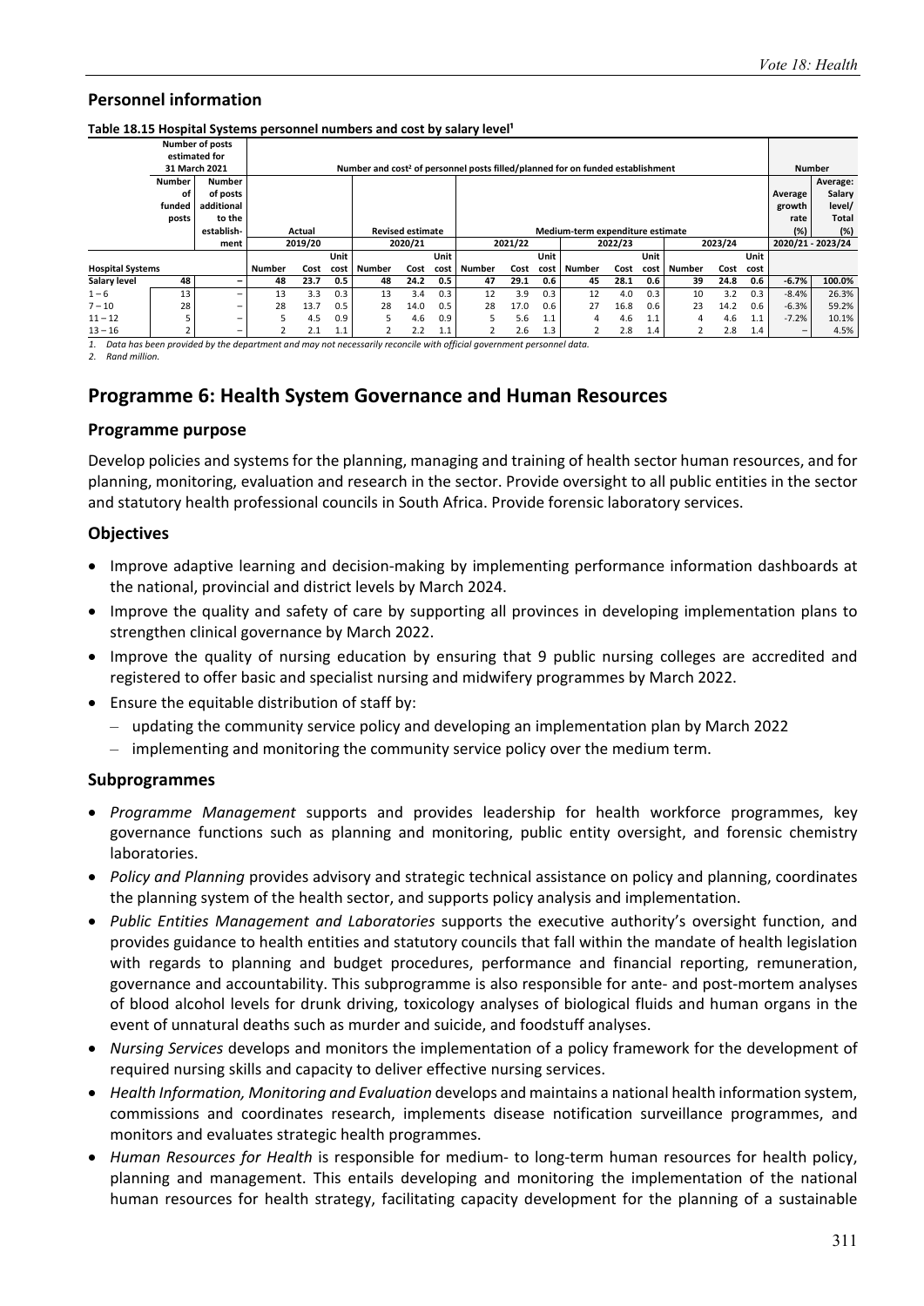#### Table 18.15 Hospital Systems personnel numbers and cost by salary level<sup>1</sup>

|                         |               | <b>Number of posts</b>   |        |                                   |      |               |      |      |        |         |      |                                                                                            |         |      |        |         |      |                 |                   |
|-------------------------|---------------|--------------------------|--------|-----------------------------------|------|---------------|------|------|--------|---------|------|--------------------------------------------------------------------------------------------|---------|------|--------|---------|------|-----------------|-------------------|
|                         |               | estimated for            |        |                                   |      |               |      |      |        |         |      |                                                                                            |         |      |        |         |      |                 |                   |
|                         |               | 31 March 2021            |        |                                   |      |               |      |      |        |         |      | Number and cost <sup>2</sup> of personnel posts filled/planned for on funded establishment |         |      |        |         |      |                 | <b>Number</b>     |
|                         | <b>Number</b> | <b>Number</b>            |        |                                   |      |               |      |      |        |         |      |                                                                                            |         |      |        |         |      |                 | Average:          |
|                         | οf            | of posts                 |        |                                   |      |               |      |      |        |         |      |                                                                                            |         |      |        |         |      | Average         | Salary            |
|                         | funded        | additional               |        |                                   |      |               |      |      |        |         |      |                                                                                            |         |      |        |         |      | growth          | level/            |
|                         | posts         | to the                   |        |                                   |      |               |      |      |        |         |      |                                                                                            |         |      |        |         |      | rate            | Total             |
|                         |               | establish-               |        | <b>Revised estimate</b><br>Actual |      |               |      |      |        |         |      | Medium-term expenditure estimate                                                           |         |      |        |         |      | (%)             | (%)               |
|                         |               | ment                     |        | 2019/20<br>2020/21                |      |               |      |      |        | 2021/22 |      |                                                                                            | 2022/23 |      |        | 2023/24 |      |                 | 2020/21 - 2023/24 |
|                         |               |                          | Unit   |                                   |      |               |      | Unit |        |         | Unit |                                                                                            |         | Unit |        |         | Unit |                 |                   |
| <b>Hospital Systems</b> |               |                          | Number | Cost                              | cost | <b>Number</b> | Cost | cost | Number | Cost    | cost | <b>Number</b>                                                                              | Cost    | cost | Number | Cost    | cost |                 |                   |
| Salary level            | 48            | $\overline{\phantom{0}}$ | 48     | 23.7                              | 0.5  | 48            | 24.2 | 0.5  | 47     | 29.1    | 0.6  | 45                                                                                         | 28.1    | 0.6  | 39     | 24.8    | 0.6  | $-6.7%$         | 100.0%            |
| $1 - 6$                 | 13            |                          | 13     | 3.3                               | 0.3  | 13            | 3.4  | 0.3  | 12     | 3.9     | 0.3  | 12                                                                                         | 4.0     | 0.3  | 10     | 3.2     | 0.3  | $-8.4%$         | 26.3%             |
| $7 - 10$                | 28            | $\overline{\phantom{m}}$ | 28     | 13.7                              | 0.5  | 28            | 14.0 | 0.5  | 28     | 17.0    | 0.6  | 27                                                                                         | 16.8    | 0.6  | 23     | 14.2    | 0.6  | $-6.3%$         | 59.2%             |
| $11 - 12$               |               | -                        | 5      | 4.5                               | 0.9  | 5.            | 4.6  | 0.9  | 5      | 5.6     | 1.1  | 4                                                                                          | 4.6     | 1.1  | 4      | 4.6     | 1.1  | $-7.2%$         | 10.1%             |
| $13 - 16$               |               | $\overline{\phantom{m}}$ |        | 2.1                               | 1.1  |               | 2.2  | 1.1  |        | 2.6     | 1.3  |                                                                                            | 2.8     | 1.4  |        | 2.8     | 1.4  | $\qquad \qquad$ | 4.5%              |

*1. Data has been provided by the department and may not necessarily reconcile with official government personnel data. 2. Rand million.* 

## **Programme 6: Health System Governance and Human Resources**

#### **Programme purpose**

Develop policies and systems for the planning, managing and training of health sector human resources, and for planning, monitoring, evaluation and research in the sector. Provide oversight to all public entities in the sector and statutory health professional councils in South Africa. Provide forensic laboratory services.

#### **Objectives**

- Improve adaptive learning and decision-making by implementing performance information dashboards at the national, provincial and district levels by March 2024.
- Improve the quality and safety of care by supporting all provinces in developing implementation plans to strengthen clinical governance by March 2022.
- Improve the quality of nursing education by ensuring that 9 public nursing colleges are accredited and registered to offer basic and specialist nursing and midwifery programmes by March 2022.
- Ensure the equitable distribution of staff by:
	- updating the community service policy and developing an implementation plan by March 2022
	- implementing and monitoring the community service policy over the medium term.

#### **Subprogrammes**

- *Programme Management* supports and provides leadership for health workforce programmes, key governance functions such as planning and monitoring, public entity oversight, and forensic chemistry laboratories.
- *Policy and Planning* provides advisory and strategic technical assistance on policy and planning, coordinates the planning system of the health sector, and supports policy analysis and implementation.
- *Public Entities Management and Laboratories* supports the executive authority's oversight function, and provides guidance to health entities and statutory councils that fall within the mandate of health legislation with regards to planning and budget procedures, performance and financial reporting, remuneration, governance and accountability. This subprogramme is also responsible for ante- and post-mortem analyses of blood alcohol levels for drunk driving, toxicology analyses of biological fluids and human organs in the event of unnatural deaths such as murder and suicide, and foodstuff analyses.
- *Nursing Services* develops and monitors the implementation of a policy framework for the development of required nursing skills and capacity to deliver effective nursing services.
- *Health Information, Monitoring and Evaluation* develops and maintains a national health information system, commissions and coordinates research, implements disease notification surveillance programmes, and monitors and evaluates strategic health programmes.
- *Human Resources for Health* is responsible for medium‐ to long‐term human resources for health policy, planning and management. This entails developing and monitoring the implementation of the national human resources for health strategy, facilitating capacity development for the planning of a sustainable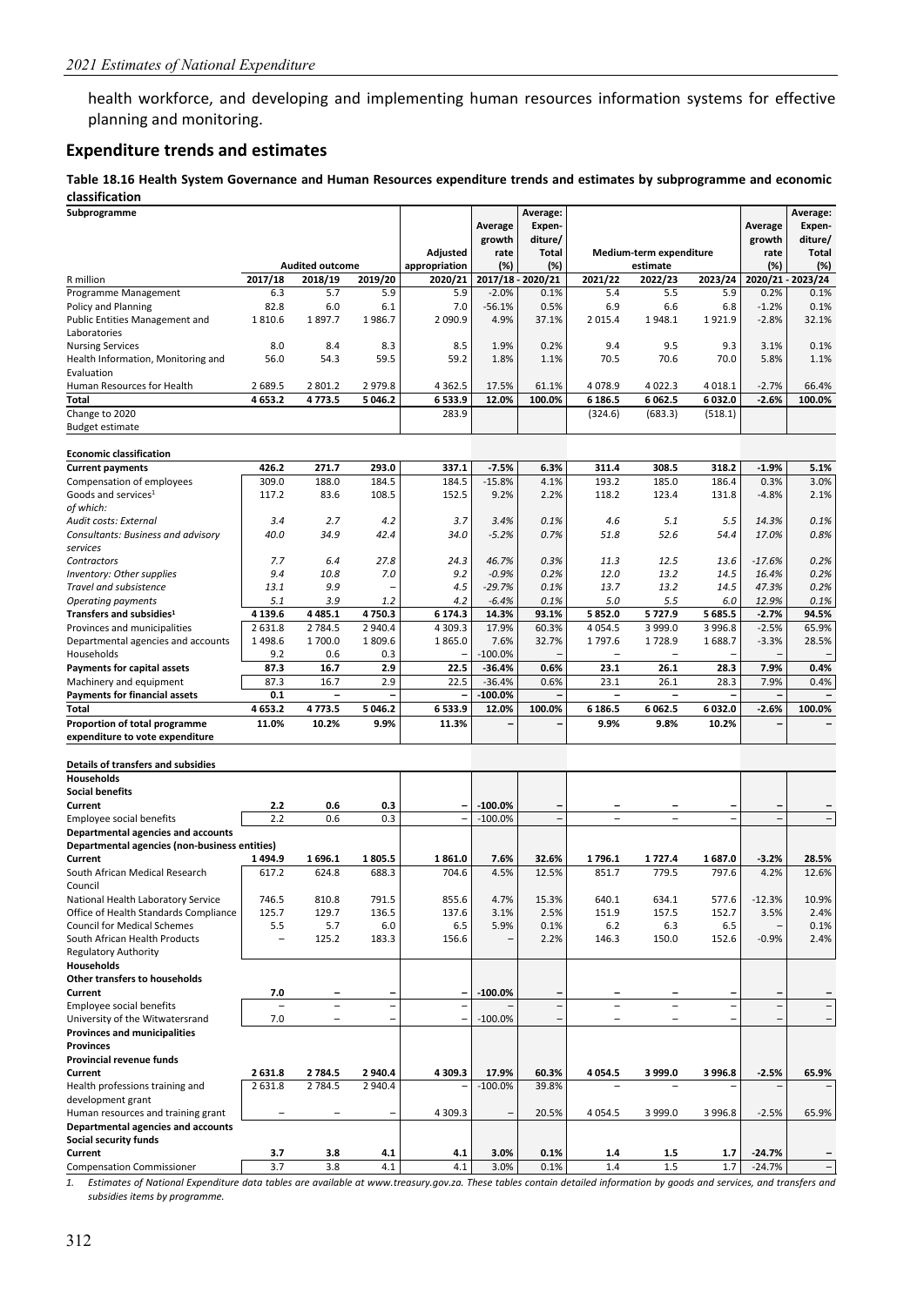health workforce, and developing and implementing human resources information systems for effective planning and monitoring.

#### **Expenditure trends and estimates**

#### **Table 18.16 Health System Governance and Human Resources expenditure trends and estimates by subprogramme and economic classification**

| Subprogramme                                                           |               |                          |               |                          | Average           | Average:<br>Expen-                                   |                          |                          |             | Average        | Average:<br>Expen-      |
|------------------------------------------------------------------------|---------------|--------------------------|---------------|--------------------------|-------------------|------------------------------------------------------|--------------------------|--------------------------|-------------|----------------|-------------------------|
|                                                                        |               |                          |               | Adjusted                 | growth<br>rate    | diture/<br>Total                                     |                          | Medium-term expenditure  |             | growth<br>rate | diture/<br><b>Total</b> |
|                                                                        |               | <b>Audited outcome</b>   |               | appropriation            | (%)               | (%)                                                  |                          | estimate                 |             | (%)            | (%)                     |
| R million                                                              | 2017/18       | 2018/19                  | 2019/20       | 2020/21                  |                   | 2017/18 - 2020/21                                    | 2021/22                  | 2022/23                  | 2023/24     |                | 2020/21 - 2023/24       |
| Programme Management                                                   | 6.3           | 5.7                      | 5.9           | 5.9                      | $-2.0%$           | 0.1%                                                 | 5.4                      | 5.5                      | 5.9         | 0.2%           | 0.1%                    |
| Policy and Planning                                                    | 82.8          | 6.0                      | 6.1           | 7.0                      | $-56.1%$          | 0.5%                                                 | 6.9                      | 6.6                      | 6.8         | $-1.2%$        | 0.1%                    |
| Public Entities Management and                                         | 1810.6        | 1897.7                   | 1986.7        | 2 090.9                  | 4.9%              | 37.1%                                                | 2 0 1 5 .4               | 1948.1                   | 1921.9      | $-2.8%$        | 32.1%                   |
| Laboratories                                                           |               |                          |               |                          |                   |                                                      |                          |                          |             |                |                         |
| <b>Nursing Services</b>                                                | 8.0           | 8.4<br>54.3              | 8.3<br>59.5   | 8.5<br>59.2              | 1.9%              | 0.2%                                                 | 9.4<br>70.5              | 9.5<br>70.6              | 9.3<br>70.0 | 3.1%<br>5.8%   | 0.1%                    |
| Health Information, Monitoring and<br>Evaluation                       | 56.0          |                          |               |                          | 1.8%              | 1.1%                                                 |                          |                          |             |                | 1.1%                    |
| Human Resources for Health                                             | 2689.5        | 2 801.2                  | 2979.8        | 4 3 6 2.5                | 17.5%             | 61.1%                                                | 4 0 78.9                 | 4 0 2 2.3                | 4 0 18.1    | $-2.7%$        | 66.4%                   |
| Total                                                                  | 4653.2        | 4773.5                   | 5 046.2       | 6533.9                   | 12.0%             | 100.0%                                               | 6 186.5                  | 6 0 6 2.5                | 6 032.0     | $-2.6%$        | 100.0%                  |
| Change to 2020                                                         |               |                          |               | 283.9                    |                   |                                                      | (324.6)                  | (683.3)                  | (518.1)     |                |                         |
| <b>Budget estimate</b>                                                 |               |                          |               |                          |                   |                                                      |                          |                          |             |                |                         |
| <b>Economic classification</b>                                         |               |                          |               |                          |                   |                                                      |                          |                          |             |                |                         |
| <b>Current payments</b>                                                | 426.2         | 271.7                    | 293.0         | 337.1                    | $-7.5%$           | 6.3%                                                 | 311.4                    | 308.5                    | 318.2       | $-1.9%$        | 5.1%                    |
| Compensation of employees                                              | 309.0         | 188.0                    | 184.5         | 184.5                    | $-15.8%$          | 4.1%                                                 | 193.2                    | 185.0                    | 186.4       | 0.3%           | 3.0%                    |
| Goods and services <sup>1</sup>                                        | 117.2         | 83.6                     | 108.5         | 152.5                    | 9.2%              | 2.2%                                                 | 118.2                    | 123.4                    | 131.8       | $-4.8%$        | 2.1%                    |
| of which:<br>Audit costs: External                                     | 3.4           | 2.7                      | 4.2           | 3.7                      | 3.4%              | 0.1%                                                 | 4.6                      | 5.1                      | 5.5         | 14.3%          | 0.1%                    |
| Consultants: Business and advisory                                     | 40.0          | 34.9                     | 42.4          | 34.0                     | $-5.2%$           | 0.7%                                                 | 51.8                     | 52.6                     | 54.4        | 17.0%          | 0.8%                    |
| services                                                               |               |                          |               |                          |                   |                                                      |                          |                          |             |                |                         |
| Contractors                                                            | 7.7           | 6.4                      | 27.8          | 24.3                     | 46.7%             | 0.3%                                                 | 11.3                     | 12.5                     | 13.6        | $-17.6%$       | 0.2%                    |
| <b>Inventory: Other supplies</b>                                       | 9.4           | 10.8                     | 7.0           | 9.2                      | $-0.9%$           | 0.2%                                                 | 12.0                     | 13.2                     | 14.5        | 16.4%          | 0.2%                    |
| Travel and subsistence                                                 | 13.1          | 9.9                      |               | 4.5                      | $-29.7%$          | 0.1%                                                 | 13.7                     | 13.2                     | 14.5        | 47.3%          | 0.2%                    |
| <b>Operating payments</b>                                              | 5.1           | 3.9                      | 1.2           | 4.2                      | $-6.4%$           | 0.1%                                                 | 5.0                      | 5.5                      | 6.0         | 12.9%          | 0.1%                    |
| Transfers and subsidies <sup>1</sup>                                   | 4 139.6       | 4 4 8 5.1                | 4750.3        | 6 174.3                  | 14.3%             | 93.1%                                                | 5852.0                   | 5727.9                   | 5 685.5     | $-2.7%$        | 94.5%                   |
| Provinces and municipalities                                           | 2631.8        | 2 7 8 4.5                | 2 940.4       | 4 3 0 9.3                | 17.9%             | 60.3%                                                | 4 0 5 4 .5               | 3 9 9 9.0                | 3 9 9 6.8   | $-2.5%$        | 65.9%                   |
| Departmental agencies and accounts<br>Households                       | 1498.6<br>9.2 | 1700.0<br>0.6            | 1809.6<br>0.3 | 1865.0                   | 7.6%<br>$-100.0%$ | 32.7%                                                | 1797.6                   | 1728.9                   | 1688.7      | $-3.3%$        | 28.5%                   |
| <b>Payments for capital assets</b>                                     | 87.3          | 16.7                     | 2.9           | 22.5                     | $-36.4%$          | 0.6%                                                 | 23.1                     | 26.1                     | 28.3        | 7.9%           | 0.4%                    |
| Machinery and equipment                                                | 87.3          | 16.7                     | 2.9           | 22.5                     | $-36.4%$          | 0.6%                                                 | 23.1                     | 26.1                     | 28.3        | 7.9%           | 0.4%                    |
| <b>Payments for financial assets</b>                                   | 0.1           | $\overline{\phantom{a}}$ |               |                          | $-100.0%$         |                                                      | $\overline{\phantom{a}}$ | $\overline{\phantom{a}}$ |             |                |                         |
| Total                                                                  | 4 6 5 3.2     | 4773.5                   | 5 046.2       | 6533.9                   | 12.0%             | 100.0%                                               | 6 186.5                  | 6 0 6 2.5                | 6 032.0     | $-2.6%$        | 100.0%                  |
| Proportion of total programme                                          | 11.0%         | 10.2%                    | 9.9%          | 11.3%                    |                   |                                                      | 9.9%                     | 9.8%                     | 10.2%       |                |                         |
| expenditure to vote expenditure                                        |               |                          |               |                          |                   |                                                      |                          |                          |             |                |                         |
| Details of transfers and subsidies                                     |               |                          |               |                          |                   |                                                      |                          |                          |             |                |                         |
| Households                                                             |               |                          |               |                          |                   |                                                      |                          |                          |             |                |                         |
| <b>Social benefits</b>                                                 |               |                          |               |                          |                   |                                                      |                          |                          |             |                |                         |
| Current                                                                | 2.2           | 0.6                      | 0.3           |                          | $-100.0%$         |                                                      |                          |                          |             | $\sim$         |                         |
| Employee social benefits<br>Departmental agencies and accounts         | 2.2           | 0.6                      | 0.3           | $\overline{a}$           | $-100.0%$         | $\equiv$                                             | ÷,                       | $\overline{\phantom{a}}$ | ۰           |                | $\overline{a}$          |
| Departmental agencies (non-business entities)                          |               |                          |               |                          |                   |                                                      |                          |                          |             |                |                         |
| Current                                                                | 1494.9        | 1696.1                   | 1805.5        | 1861.0                   | 7.6%              | 32.6%                                                | 1796.1                   | 1727.4                   | 1687.0      | $-3.2%$        | 28.5%                   |
| South African Medical Research                                         | 617.2         | 624.8                    | 688.3         | 704.6                    | 4.5%              | 12.5%                                                | 851.7                    | 779.5                    | 797.6       | 4.2%           | 12.6%                   |
| Council                                                                |               |                          |               |                          |                   |                                                      |                          |                          |             |                |                         |
| National Health Laboratory Service                                     | 746.5         | 810.8                    | 791.5         | 855.6                    | 4.7%              | 15.3%                                                | 640.1                    | 634.1                    | 577.6       | $-12.3%$       | 10.9%                   |
| Office of Health Standards Compliance                                  | 125.7         | 129.7                    | 136.5         | 137.6                    | 3.1%              | 2.5%                                                 | 151.9                    | 157.5                    | 152.7       | 3.5%           | 2.4%                    |
| <b>Council for Medical Schemes</b>                                     | 5.5           | 5.7                      | 6.0           | 6.5                      | 5.9%              | 0.1%                                                 | $6.2$                    | 6.3                      | 6.5         |                | 0.1%                    |
| South African Health Products<br><b>Regulatory Authority</b>           |               | 125.2                    | 183.3         | 156.6                    |                   | 2.2%                                                 | 146.3                    | 150.0                    | 152.6       | $-0.9%$        | 2.4%                    |
| Households                                                             |               |                          |               |                          |                   |                                                      |                          |                          |             |                |                         |
| Other transfers to households                                          |               |                          |               |                          |                   |                                                      |                          |                          |             |                |                         |
| Current                                                                | 7.0           |                          |               |                          | $-100.0%$         |                                                      |                          |                          |             |                |                         |
| Employee social benefits                                               |               |                          |               | Ξ                        |                   | $\overline{\phantom{m}}$<br>$\overline{\phantom{a}}$ |                          |                          |             |                | -                       |
| University of the Witwatersrand<br><b>Provinces and municipalities</b> | 7.0           | $\overline{\phantom{0}}$ |               | $\overline{\phantom{0}}$ | $-100.0%$         |                                                      | $\overline{\phantom{0}}$ | $\overline{\phantom{a}}$ |             |                | -                       |
| <b>Provinces</b>                                                       |               |                          |               |                          |                   |                                                      |                          |                          |             |                |                         |
| Provincial revenue funds                                               |               |                          |               |                          |                   |                                                      |                          |                          |             |                |                         |
| Current                                                                | 2631.8        | 2 7 8 4 .5               | 2 940.4       | 4 309.3                  | 17.9%             | 60.3%                                                | 4 0 54.5                 | 3 999.0                  | 3 9 9 6.8   | $-2.5%$        | 65.9%                   |
| Health professions training and                                        | 2 631.8       | 2 7 8 4.5                | 2 940.4       |                          | $-100.0%$         | 39.8%                                                |                          |                          |             |                | -                       |
| development grant                                                      |               |                          |               |                          |                   |                                                      |                          |                          |             |                |                         |
| Human resources and training grant                                     |               | $\overline{\phantom{0}}$ |               | 4 3 0 9.3                |                   | 20.5%                                                | 4 0 5 4 .5               | 3 9 9 9.0                | 3 9 9 6.8   | $-2.5%$        | 65.9%                   |
| Departmental agencies and accounts                                     |               |                          |               |                          |                   |                                                      |                          |                          |             |                |                         |
| Social security funds                                                  |               |                          |               |                          |                   |                                                      |                          |                          |             |                |                         |
| Current                                                                | 3.7           | 3.8                      | 4.1           | 4.1                      | 3.0%              | 0.1%                                                 | 1.4                      | 1.5                      | $1.7$       | $-24.7%$       |                         |
| <b>Compensation Commissioner</b>                                       | 3.7           | $3.8\,$                  | 4.1           | 4.1                      | 3.0%              | 0.1%                                                 | 1.4                      | 1.5                      | 1.7         | $-24.7%$       |                         |

*1. Estimates of National Expenditure data tables are available at www.treasury.gov.za. These tables contain detailed information by goods and services, and transfers and subsidies items by programme.*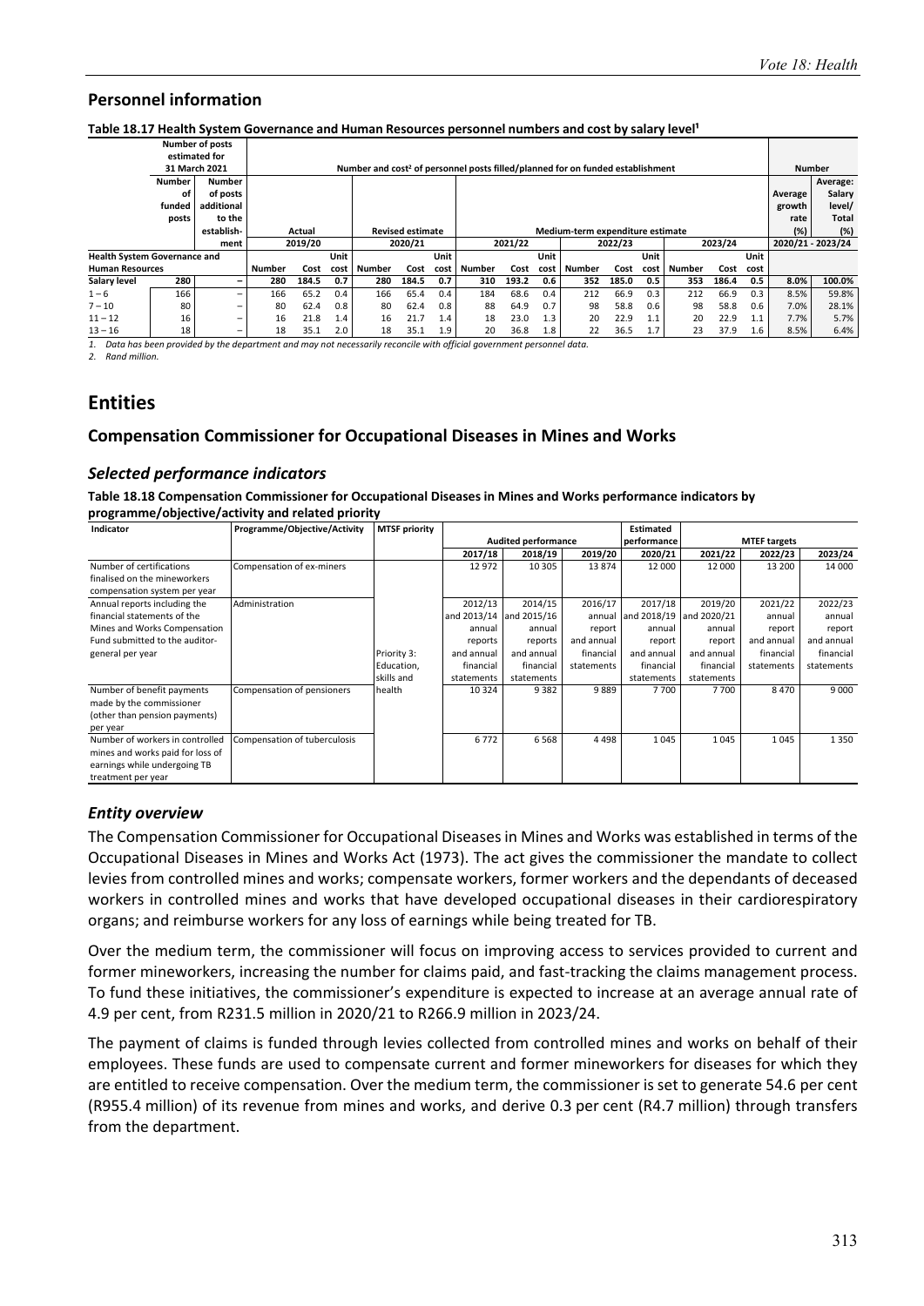#### Table 18.17 Health System Governance and Human Resources personnel numbers and cost by salary level<sup>1</sup>

|                        |                                     | <b>Number of posts</b>   |               |                                   |      |        |       |      |               |         |      |                                                                                            |         |      |               |         |      |         |                   |
|------------------------|-------------------------------------|--------------------------|---------------|-----------------------------------|------|--------|-------|------|---------------|---------|------|--------------------------------------------------------------------------------------------|---------|------|---------------|---------|------|---------|-------------------|
|                        |                                     | estimated for            |               |                                   |      |        |       |      |               |         |      |                                                                                            |         |      |               |         |      |         |                   |
|                        |                                     | 31 March 2021            |               |                                   |      |        |       |      |               |         |      | Number and cost <sup>2</sup> of personnel posts filled/planned for on funded establishment |         |      |               |         |      |         | <b>Number</b>     |
|                        | <b>Number</b>                       | <b>Number</b>            |               |                                   |      |        |       |      |               |         |      |                                                                                            |         |      |               |         |      |         | Average:          |
|                        | οf                                  | of posts                 |               |                                   |      |        |       |      |               |         |      |                                                                                            |         |      |               |         |      | Average | Salary            |
|                        | funded                              | additional               |               |                                   |      |        |       |      |               |         |      |                                                                                            |         |      |               |         |      | growth  | level/            |
|                        | posts                               | to the                   |               |                                   |      |        |       |      |               |         |      |                                                                                            |         |      |               |         |      | rate    | Total             |
|                        |                                     | establish-               |               | <b>Revised estimate</b><br>Actual |      |        |       |      |               |         |      | Medium-term expenditure estimate                                                           |         |      |               |         |      | (%)     | (%)               |
|                        |                                     | ment                     |               | 2019/20<br>2020/21                |      |        |       |      |               | 2021/22 |      |                                                                                            | 2022/23 |      |               | 2023/24 |      |         | 2020/21 - 2023/24 |
|                        | <b>Health System Governance and</b> |                          |               |                                   | Unit |        |       | Unit |               |         | Unit |                                                                                            |         | Unit |               |         | Unit |         |                   |
| <b>Human Resources</b> |                                     |                          | <b>Number</b> | Cost                              | cost | Number | Cost  | cost | <b>Number</b> | Cost    | cost | Number                                                                                     | Cost    | cost | <b>Number</b> | Cost    | cost |         |                   |
| Salary level           | 280                                 | $\overline{\phantom{0}}$ | 280           | 184.5                             | 0.7  | 280    | 184.5 | 0.7  | 310           | 193.2   | 0.6  | 352                                                                                        | 185.0   | 0.5  | 353           | 186.4   | 0.5  | 8.0%    | 100.0%            |
| $1 - 6$                | 166                                 | $\qquad \qquad =$        | 166           | 65.2                              | 0.4  | 166    | 65.4  | 0.4  | 184           | 68.6    | 0.4  | 212                                                                                        | 66.9    | 0.3  | 212           | 66.9    | 0.3  | 8.5%    | 59.8%             |
| $7 - 10$               | 80                                  | -                        | 80            | 62.4                              | 0.8  | 80     | 62.4  | 0.8  | 88            | 64.9    | 0.7  | 98                                                                                         | 58.8    | 0.6  | 98            | 58.8    | 0.6  | 7.0%    | 28.1%             |
| $11 - 12$              | 16                                  | $\overline{\phantom{m}}$ | 16            | 21.8                              | 1.4  | 16     | 21.7  | 1.4  | 18            | 23.0    | 1.3  | 20                                                                                         | 22.9    | 1.1  | 20            | 22.9    | 1.1  | 7.7%    | 5.7%              |
| $13 - 16$              | 18                                  |                          | 18            | 35.1                              | 2.0  | 18     | 35.1  | 1.9  | 20            | 36.8    | 1.8  | 22                                                                                         | 36.5    | 1.7  | 23            | 37.9    | 1.6  | 8.5%    | 6.4%              |

*1. Data has been provided by the department and may not necessarily reconcile with official government personnel data. 2. Rand million.* 

**Entities** 

#### **Compensation Commissioner for Occupational Diseases in Mines and Works**

#### *Selected performance indicators*

**Table 18.18 Compensation Commissioner for Occupational Diseases in Mines and Works performance indicators by programme/objective/activity and related priority** 

| Indicator                        | Programme/Objective/Activity | <b>MTSF priority</b> |             |                            |            | <b>Estimated</b>        |            |                     |            |
|----------------------------------|------------------------------|----------------------|-------------|----------------------------|------------|-------------------------|------------|---------------------|------------|
|                                  |                              |                      |             | <b>Audited performance</b> |            | performance             |            | <b>MTEF targets</b> |            |
|                                  |                              |                      | 2017/18     | 2018/19                    | 2019/20    | 2020/21                 | 2021/22    | 2022/23             | 2023/24    |
| Number of certifications         | Compensation of ex-miners    |                      | 12 972      | 10 305                     | 13874      | 12 000                  | 12 000     | 13 200              | 14 000     |
| finalised on the mineworkers     |                              |                      |             |                            |            |                         |            |                     |            |
| compensation system per year     |                              |                      |             |                            |            |                         |            |                     |            |
| Annual reports including the     | Administration               |                      | 2012/13     | 2014/15                    | 2016/17    | 2017/18                 | 2019/20    | 2021/22             | 2022/23    |
| financial statements of the      |                              |                      | and 2013/14 | and 2015/16                | annual     | and 2018/19 and 2020/21 |            | annual              | annual     |
| Mines and Works Compensation     |                              |                      | annual      | annual                     | report     | annual                  | annual     | report              | report     |
| Fund submitted to the auditor-   |                              |                      | reports     | reports                    | and annual | report                  | report     | and annual          | and annual |
| general per year                 |                              | Priority 3:          | and annual  | and annual                 | financial  | and annual              | and annual | financial           | financial  |
|                                  |                              | Education,           | financial   | financial                  | statements | financial               | financial  | statements          | statements |
|                                  |                              | skills and           | statements  | statements                 |            | statements              | statements |                     |            |
| Number of benefit payments       | Compensation of pensioners   | health               | 10 3 24     | 9382                       | 9889       | 7700                    | 7700       | 8470                | 9 0 0 0    |
| made by the commissioner         |                              |                      |             |                            |            |                         |            |                     |            |
| (other than pension payments)    |                              |                      |             |                            |            |                         |            |                     |            |
| per year                         |                              |                      |             |                            |            |                         |            |                     |            |
| Number of workers in controlled  | Compensation of tuberculosis |                      | 6772        | 6568                       | 4498       | 1045                    | 1045       | 1045                | 1350       |
| mines and works paid for loss of |                              |                      |             |                            |            |                         |            |                     |            |
| earnings while undergoing TB     |                              |                      |             |                            |            |                         |            |                     |            |
| treatment per year               |                              |                      |             |                            |            |                         |            |                     |            |

#### *Entity overview*

The Compensation Commissioner for Occupational Diseases in Mines and Works was established in terms of the Occupational Diseases in Mines and Works Act (1973). The act gives the commissioner the mandate to collect levies from controlled mines and works; compensate workers, former workers and the dependants of deceased workers in controlled mines and works that have developed occupational diseases in their cardiorespiratory organs; and reimburse workers for any loss of earnings while being treated for TB.

Over the medium term, the commissioner will focus on improving access to services provided to current and former mineworkers, increasing the number for claims paid, and fast-tracking the claims management process. To fund these initiatives, the commissioner's expenditure is expected to increase at an average annual rate of 4.9 per cent, from R231.5 million in 2020/21 to R266.9 million in 2023/24.

The payment of claims is funded through levies collected from controlled mines and works on behalf of their employees. These funds are used to compensate current and former mineworkers for diseases for which they are entitled to receive compensation. Over the medium term, the commissioner is set to generate 54.6 per cent (R955.4 million) of its revenue from mines and works, and derive 0.3 per cent (R4.7 million) through transfers from the department.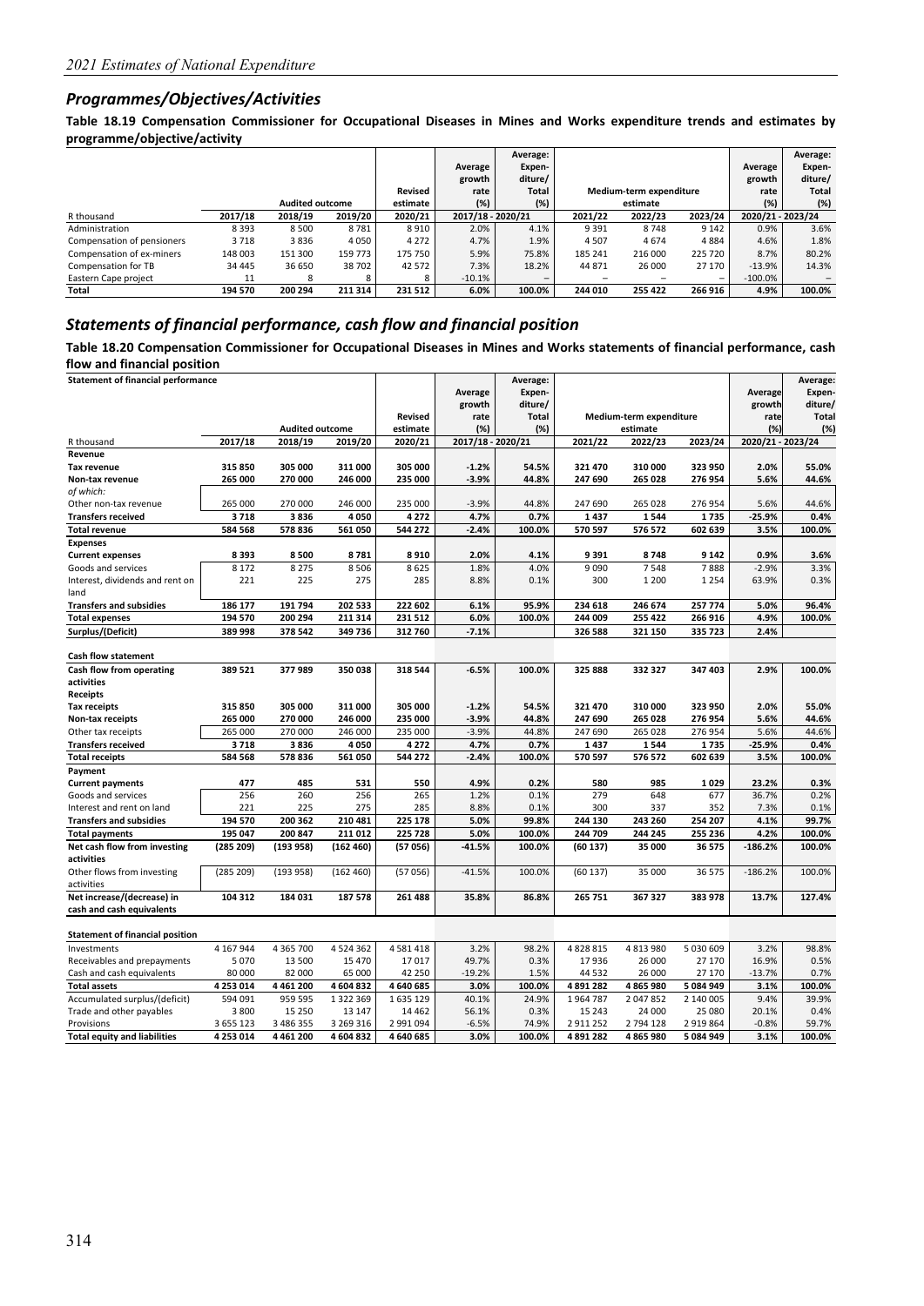#### *Programmes/Objectives/Activities*

**Table 18.19 Compensation Commissioner for Occupational Diseases in Mines and Works expenditure trends and estimates by programme/objective/activity** 

|                            |          |                        |         |          |                   | Average: |                               |                         |                          |                   | Average: |
|----------------------------|----------|------------------------|---------|----------|-------------------|----------|-------------------------------|-------------------------|--------------------------|-------------------|----------|
|                            |          |                        |         |          | Average           | Expen-   |                               |                         |                          | Average           | Expen-   |
|                            |          |                        |         |          | growth            | diture/  |                               |                         |                          | growth            | diture/  |
|                            |          |                        |         | Revised  | rate              | Total    |                               | Medium-term expenditure |                          | rate              | Total    |
|                            |          | <b>Audited outcome</b> |         | estimate | (%)               | (%)      |                               | estimate                |                          | $(\%)$            | (%)      |
| R thousand                 | 2017/18  | 2018/19                | 2019/20 | 2020/21  | 2017/18 - 2020/21 |          | 2023/24<br>2022/23<br>2021/22 |                         |                          | 2020/21 - 2023/24 |          |
| Administration             | 8393     | 8 5 0 0                | 8781    | 8910     | 2.0%              | 4.1%     | 9 3 9 1                       | 8748                    | 9 1 4 2                  | 0.9%              | 3.6%     |
| Compensation of pensioners | 3718     | 3836                   | 4050    | 4 2 7 2  | 4.7%              | 1.9%     | 4507                          | 4674                    | 4884                     | 4.6%              | 1.8%     |
| Compensation of ex-miners  | 148 003  | 151 300                | 159 773 | 175 750  | 5.9%              | 75.8%    | 185 241                       | 216 000                 | 225 720                  | 8.7%              | 80.2%    |
| Compensation for TB        | 34 4 4 5 | 36 650                 | 38702   | 42 572   | 7.3%              | 18.2%    | 44 871                        | 26 000                  | 27 170                   | $-13.9%$          | 14.3%    |
| Eastern Cape project       | 11       | 8                      |         | 8        | $-10.1%$          |          | $\qquad \qquad$               |                         | $\overline{\phantom{a}}$ | $-100.0\%$        |          |
| Total                      | 194 570  | 200 294                | 211 314 | 231 512  | 6.0%              | 100.0%   | 244 010                       | 255 422                 | 266 916                  | 4.9%              | 100.0%   |

#### *Statements of financial performance, cash flow and financial position*

**Table 18.20 Compensation Commissioner for Occupational Diseases in Mines and Works statements of financial performance, cash flow and financial position** 

|                                        | <b>Statement of financial performance</b> |                        |               |                |                   | Average:<br>Expen- |           |                         |           | Average           | Average:<br>Expen- |
|----------------------------------------|-------------------------------------------|------------------------|---------------|----------------|-------------------|--------------------|-----------|-------------------------|-----------|-------------------|--------------------|
|                                        |                                           |                        |               |                | Average<br>growth | diture/            |           |                         |           | growth            | diture/            |
|                                        |                                           |                        |               | <b>Revised</b> | rate              | <b>Total</b>       |           | Medium-term expenditure |           | rate              | <b>Total</b>       |
|                                        |                                           | <b>Audited outcome</b> |               | estimate       | (%)               | (%)                |           | estimate                |           | (%                | (%)                |
| R thousand                             | 2017/18                                   | 2018/19                | 2019/20       | 2020/21        | 2017/18 - 2020/21 |                    | 2021/22   | 2022/23                 | 2023/24   | 2020/21 - 2023/24 |                    |
| Revenue                                |                                           |                        |               |                |                   |                    |           |                         |           |                   |                    |
| <b>Tax revenue</b>                     | 315 850                                   | 305 000                | 311 000       | 305 000        | $-1.2%$           | 54.5%              | 321 470   | 310 000                 | 323 950   | 2.0%              | 55.0%              |
| Non-tax revenue                        | 265 000                                   | 270 000                | 246 000       | 235 000        | $-3.9%$           | 44.8%              | 247 690   | 265 028                 | 276 954   | 5.6%              | 44.6%              |
| of which:                              |                                           |                        |               |                |                   |                    |           |                         |           |                   |                    |
| Other non-tax revenue                  | 265 000                                   | 270 000                | 246 000       | 235 000        | $-3.9%$           | 44.8%              | 247 690   | 265 028                 | 276 954   | 5.6%              | 44.6%              |
| <b>Transfers received</b>              | 3718                                      | 3836                   | 4 0 5 0       | 4272           | 4.7%              | 0.7%               | 1437      | 1544                    | 1735      | $-25.9%$          | 0.4%               |
| <b>Total revenue</b>                   | 584 568                                   | 578 836                | 561 050       | 544 272        | $-2.4%$           | 100.0%             | 570 597   | 576 572                 | 602 639   | 3.5%              | 100.0%             |
| <b>Expenses</b>                        |                                           |                        |               |                |                   |                    |           |                         |           |                   |                    |
| <b>Current expenses</b>                | 8393                                      | 8500                   | 8781          | 8910           | 2.0%              | 4.1%               | 9391      | 8748                    | 9 1 4 2   | 0.9%              | 3.6%               |
| Goods and services                     | 8 1 7 2                                   | 8 2 7 5                | 8 5 0 6       | 8625           | 1.8%              | 4.0%               | 9 0 9 0   | 7548                    | 7888      | $-2.9%$           | 3.3%               |
| Interest, dividends and rent on        | 221                                       | 225                    | 275           | 285            | 8.8%              | 0.1%               | 300       | 1 2 0 0                 | 1 2 5 4   | 63.9%             | 0.3%               |
| land                                   |                                           |                        |               |                |                   |                    |           |                         |           |                   |                    |
| <b>Transfers and subsidies</b>         | 186 177                                   | 191 794                | 202 533       | 222 602        | 6.1%              | 95.9%              | 234 618   | 246 674                 | 257 774   | 5.0%              | 96.4%              |
| <b>Total expenses</b>                  | 194 570                                   | 200 294                | 211 314       | 231 512        | 6.0%              | 100.0%             | 244 009   | 255 422                 | 266 916   | 4.9%              | 100.0%             |
| Surplus/(Deficit)                      | 389 998                                   | 378 542                | 349 736       | 312 760        | $-7.1%$           |                    | 326 588   | 321 150                 | 335 723   | 2.4%              |                    |
|                                        |                                           |                        |               |                |                   |                    |           |                         |           |                   |                    |
| <b>Cash flow statement</b>             |                                           |                        |               |                |                   |                    |           |                         |           |                   |                    |
| Cash flow from operating               | 389 521                                   | 377 989                | 350 038       | 318 544        | $-6.5%$           | 100.0%             | 325 888   | 332 327                 | 347 403   | 2.9%              | 100.0%             |
| activities                             |                                           |                        |               |                |                   |                    |           |                         |           |                   |                    |
| <b>Receipts</b>                        |                                           |                        |               |                |                   |                    |           |                         |           |                   |                    |
| <b>Tax receipts</b>                    | 315 850                                   | 305 000                | 311 000       | 305 000        | $-1.2%$           | 54.5%              | 321 470   | 310 000                 | 323 950   | 2.0%              | 55.0%              |
| Non-tax receipts                       | 265 000                                   | 270 000                | 246 000       | 235 000        | $-3.9%$           | 44.8%              | 247 690   | 265 028                 | 276 954   | 5.6%              | 44.6%              |
| Other tax receipts                     | 265 000                                   | 270 000                | 246 000       | 235 000        | $-3.9%$           | 44.8%              | 247 690   | 265 028                 | 276 954   | 5.6%              | 44.6%              |
| <b>Transfers received</b>              | 3718                                      | 3836                   | 4 0 5 0       | 4272           | 4.7%              | 0.7%               | 1437      | 1544                    | 1735      | $-25.9%$          | 0.4%               |
| <b>Total receipts</b>                  | 584 568                                   | 578 836                | 561 050       | 544 272        | $-2.4%$           | 100.0%             | 570 597   | 576 572                 | 602 639   | 3.5%              | 100.0%             |
| Payment                                |                                           |                        |               |                |                   |                    |           |                         |           |                   |                    |
| <b>Current payments</b>                | 477                                       | 485                    | 531           | 550            | 4.9%              | 0.2%               | 580       | 985                     | 1029      | 23.2%             | 0.3%               |
| Goods and services                     | 256                                       | 260                    | 256           | 265            | 1.2%              | 0.1%               | 279       | 648                     | 677       | 36.7%             | 0.2%               |
| Interest and rent on land              | 221                                       | 225                    | 275           | 285            | 8.8%              | 0.1%               | 300       | 337                     | 352       | 7.3%              | 0.1%               |
| <b>Transfers and subsidies</b>         | 194 570                                   | 200 362                | 210 481       | 225 178        | 5.0%              | 99.8%              | 244 130   | 243 260                 | 254 207   | 4.1%              | 99.7%              |
| <b>Total payments</b>                  | 195 047                                   | 200 847                | 211 012       | 225 728        | 5.0%              | 100.0%             | 244 709   | 244 245                 | 255 236   | 4.2%              | 100.0%             |
| Net cash flow from investing           | (285 209)                                 | (193958)               | (162 460)     | (57056)        | $-41.5%$          | 100.0%             | (60137)   | 35 000                  | 36 575    | $-186.2%$         | 100.0%             |
| activities                             |                                           |                        |               |                |                   |                    |           |                         |           |                   |                    |
| Other flows from investing             | (285 209)                                 | (193958)               | (162 460)     | (57056)        | $-41.5%$          | 100.0%             | (60137)   | 35 000                  | 36 575    | $-186.2%$         | 100.0%             |
| activities                             |                                           |                        |               |                |                   |                    |           |                         |           |                   |                    |
| Net increase/(decrease) in             | 104 312                                   | 184 031                | 187578        | 261 488        | 35.8%             | 86.8%              | 265 751   | 367 327                 | 383 978   | 13.7%             | 127.4%             |
| cash and cash equivalents              |                                           |                        |               |                |                   |                    |           |                         |           |                   |                    |
| <b>Statement of financial position</b> |                                           |                        |               |                |                   |                    |           |                         |           |                   |                    |
| Investments                            | 4 167 944                                 | 4 3 6 5 7 0 0          | 4 5 2 4 3 6 2 | 4581418        | 3.2%              | 98.2%              | 4828815   | 4813980                 | 5 030 609 | 3.2%              | 98.8%              |
| Receivables and prepayments            | 5070                                      | 13 500                 | 15 470        | 17017          | 49.7%             | 0.3%               | 17936     | 26 000                  | 27 170    | 16.9%             | 0.5%               |
| Cash and cash equivalents              | 80 000                                    | 82 000                 | 65 000        | 42 250         | $-19.2%$          | 1.5%               | 44 5 32   | 26 000                  | 27 170    | $-13.7%$          | 0.7%               |
| <b>Total assets</b>                    | 4 253 014                                 | 4 4 6 1 2 0 0          | 4604832       | 4 640 685      | 3.0%              | 100.0%             | 4 891 282 | 4 865 980               | 5 084 949 | 3.1%              | 100.0%             |
| Accumulated surplus/(deficit)          | 594 091                                   | 959 595                | 1 3 2 2 3 6 9 | 1635129        | 40.1%             | 24.9%              | 1964787   | 2047852                 | 2 140 005 | 9.4%              | 39.9%              |
| Trade and other payables               | 3 800                                     | 15 2 50                | 13 147        | 14 4 62        | 56.1%             | 0.3%               | 15 24 3   | 24 000                  | 25 080    | 20.1%             | 0.4%               |
| Provisions                             | 3 655 123                                 | 3 486 355              | 3 269 316     | 2 991 094      | $-6.5%$           | 74.9%              | 2911252   | 2 794 128               | 2919864   | $-0.8%$           | 59.7%              |
| <b>Total equity and liabilities</b>    | 4 253 014                                 | 4 4 6 1 2 0 0          | 4 604 832     | 4 640 685      | 3.0%              | 100.0%             | 4 891 282 | 4865980                 | 5 084 949 | 3.1%              | 100.0%             |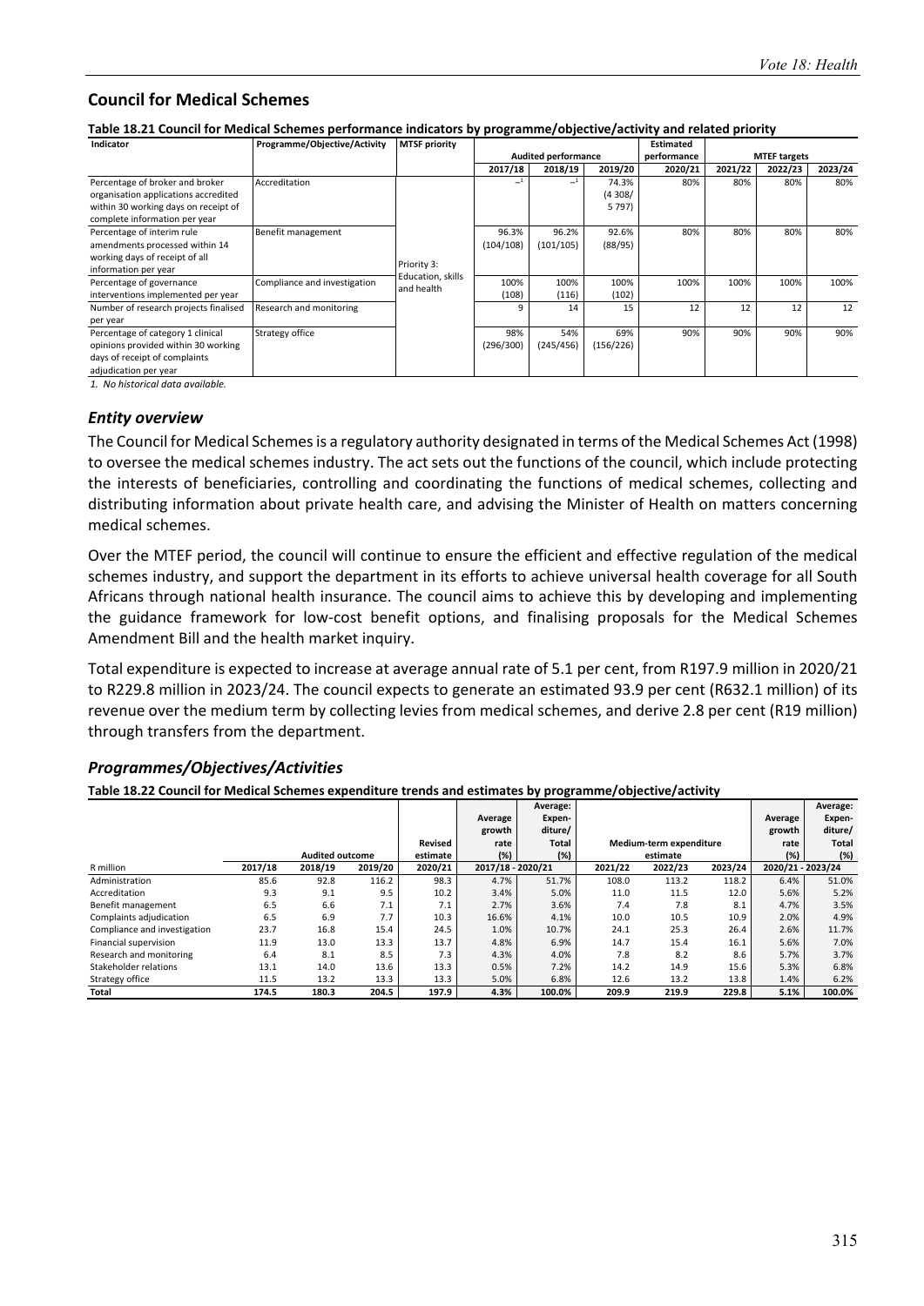#### **Council for Medical Schemes**

**Table 18.21 Council for Medical Schemes performance indicators by programme/objective/activity and related priority** 

| Indicator                                                                                                                                        | Programme/Objective/Activity | <b>MTSF priority</b>             |                    |                            |                              | <b>Estimated</b> |         |                     |         |
|--------------------------------------------------------------------------------------------------------------------------------------------------|------------------------------|----------------------------------|--------------------|----------------------------|------------------------------|------------------|---------|---------------------|---------|
|                                                                                                                                                  |                              |                                  |                    | <b>Audited performance</b> |                              | performance      |         | <b>MTEF targets</b> |         |
|                                                                                                                                                  |                              |                                  | 2017/18            | 2018/19                    | 2019/20                      | 2020/21          | 2021/22 | 2022/23             | 2023/24 |
| Percentage of broker and broker<br>organisation applications accredited<br>within 30 working days on receipt of<br>complete information per year | Accreditation                |                                  |                    |                            | 74.3%<br>(4308/<br>5 7 9 7 ) | 80%              | 80%     | 80%                 | 80%     |
| Percentage of interim rule<br>amendments processed within 14<br>working days of receipt of all<br>information per year                           | Benefit management           | Priority 3:<br>Education, skills | 96.3%<br>(104/108) | 96.2%<br>(101/105)         | 92.6%<br>(88/95)             | 80%              | 80%     | 80%                 | 80%     |
| Percentage of governance<br>interventions implemented per year                                                                                   | Compliance and investigation | and health                       | 100%<br>(108)      | 100%<br>(116)              | 100%<br>(102)                | 100%             | 100%    | 100%                | 100%    |
| Number of research projects finalised<br>per year                                                                                                | Research and monitoring      |                                  | q                  | 14                         | 15                           | 12               | 12      | 12                  | 12      |
| Percentage of category 1 clinical<br>opinions provided within 30 working<br>days of receipt of complaints<br>adjudication per year               | Strategy office              |                                  | 98%<br>(296/300)   | 54%<br>(245/456)           | 69%<br>(156/226)             | 90%              | 90%     | 90%                 | 90%     |

*1. No historical data available.*

#### *Entity overview*

The Council for Medical Schemes is a regulatory authority designated in terms of the Medical Schemes Act (1998) to oversee the medical schemes industry. The act sets out the functions of the council, which include protecting the interests of beneficiaries, controlling and coordinating the functions of medical schemes, collecting and distributing information about private health care, and advising the Minister of Health on matters concerning medical schemes.

Over the MTEF period, the council will continue to ensure the efficient and effective regulation of the medical schemes industry, and support the department in its efforts to achieve universal health coverage for all South Africans through national health insurance. The council aims to achieve this by developing and implementing the guidance framework for low-cost benefit options, and finalising proposals for the Medical Schemes Amendment Bill and the health market inquiry.

Total expenditure is expected to increase at average annual rate of 5.1 per cent, from R197.9 million in 2020/21 to R229.8 million in 2023/24. The council expects to generate an estimated 93.9 per cent (R632.1 million) of its revenue over the medium term by collecting levies from medical schemes, and derive 2.8 per cent (R19 million) through transfers from the department.

#### *Programmes/Objectives/Activities*

**Table 18.22 Council for Medical Schemes expenditure trends and estimates by programme/objective/activity** 

|                              |         |                        |         |          |                   | Average: |         |                         |         |                   | Average:     |
|------------------------------|---------|------------------------|---------|----------|-------------------|----------|---------|-------------------------|---------|-------------------|--------------|
|                              |         |                        |         |          | Average           | Expen-   |         |                         |         | Average           | Expen-       |
|                              |         |                        |         |          | growth            | diture/  |         |                         |         | growth            | diture/      |
|                              |         |                        |         | Revised  | rate              | Total    |         | Medium-term expenditure |         | rate              | <b>Total</b> |
|                              |         | <b>Audited outcome</b> |         | estimate | (%)               | (%)      |         | estimate                |         | (%)               | (%)          |
| R million                    | 2017/18 | 2018/19                | 2019/20 | 2020/21  | 2017/18 - 2020/21 |          | 2021/22 | 2022/23                 | 2023/24 | 2020/21 - 2023/24 |              |
| Administration               | 85.6    | 92.8                   | 116.2   | 98.3     | 4.7%              | 51.7%    | 108.0   | 113.2                   | 118.2   | 6.4%              | 51.0%        |
| Accreditation                | 9.3     | 9.1                    | 9.5     | 10.2     | 3.4%              | 5.0%     | 11.0    | 11.5                    | 12.0    | 5.6%              | 5.2%         |
| Benefit management           | 6.5     | 6.6                    | 7.1     | 7.1      | 2.7%              | 3.6%     | 7.4     | 7.8                     | 8.1     | 4.7%              | 3.5%         |
| Complaints adjudication      | 6.5     | 6.9                    | 7.7     | 10.3     | 16.6%             | 4.1%     | 10.0    | 10.5                    | 10.9    | 2.0%              | 4.9%         |
| Compliance and investigation | 23.7    | 16.8                   | 15.4    | 24.5     | 1.0%              | 10.7%    | 24.1    | 25.3                    | 26.4    | 2.6%              | 11.7%        |
| Financial supervision        | 11.9    | 13.0                   | 13.3    | 13.7     | 4.8%              | 6.9%     | 14.7    | 15.4                    | 16.1    | 5.6%              | 7.0%         |
| Research and monitoring      | 6.4     | 8.1                    | 8.5     | 7.3      | 4.3%              | 4.0%     | 7.8     | 8.2                     | 8.6     | 5.7%              | 3.7%         |
| Stakeholder relations        | 13.1    | 14.0                   | 13.6    | 13.3     | 0.5%              | 7.2%     | 14.2    | 14.9                    | 15.6    | 5.3%              | 6.8%         |
| Strategy office              | 11.5    | 13.2                   | 13.3    | 13.3     | 5.0%              | 6.8%     | 12.6    | 13.2                    | 13.8    | 1.4%              | 6.2%         |
| Total                        | 174.5   | 180.3                  | 204.5   | 197.9    | 4.3%              | 100.0%   | 209.9   | 219.9                   | 229.8   | 5.1%              | 100.0%       |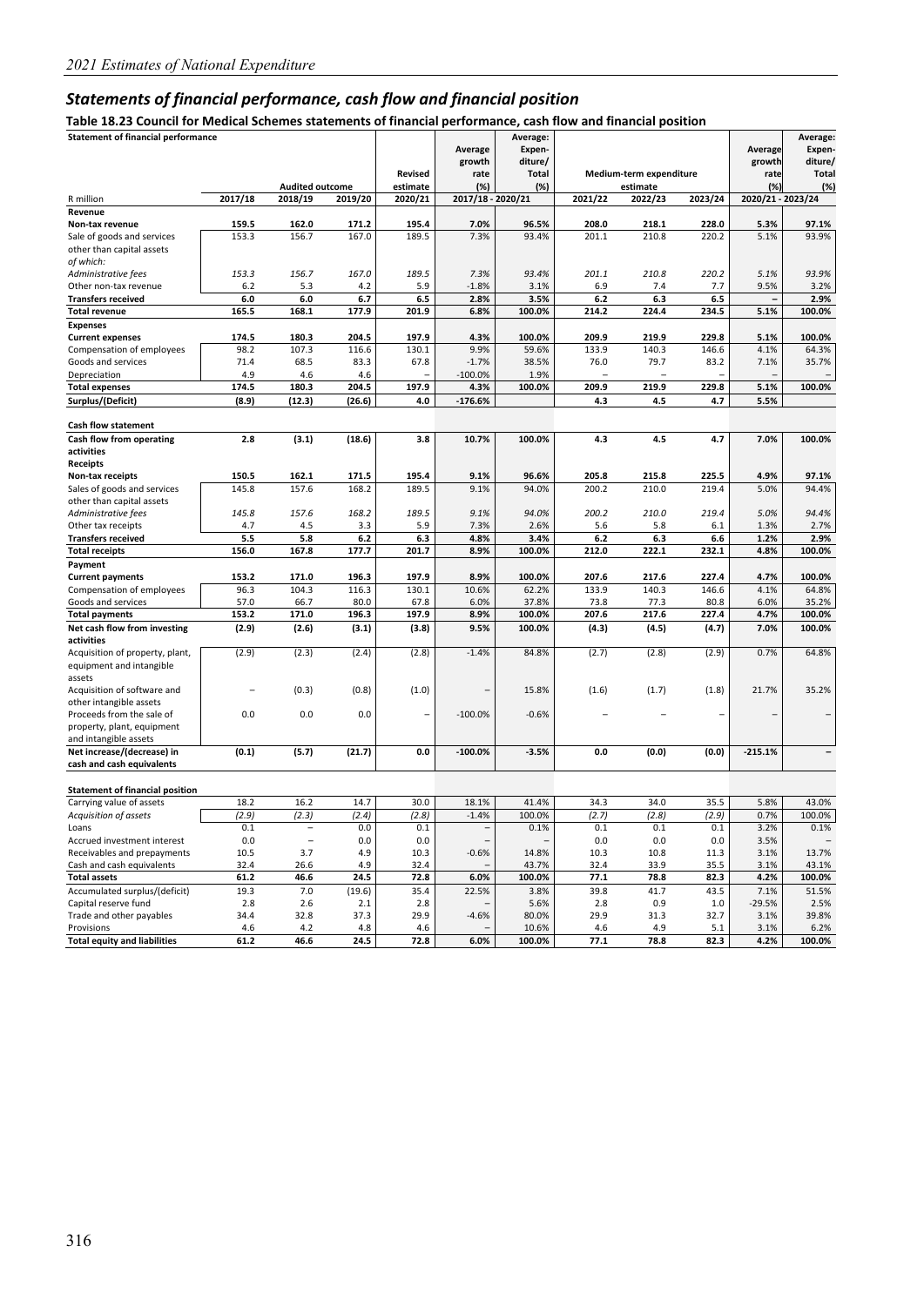## *Statements of financial performance, cash flow and financial position*

**Table 18.23 Council for Medical Schemes statements of financial performance, cash flow and financial position** 

| rable 18.25 Council for Medical Scrientes Statements of Initialidal performance, cash now and imancial position |         |                          |         |                |                   |              |                          |                         |         |                   |              |
|-----------------------------------------------------------------------------------------------------------------|---------|--------------------------|---------|----------------|-------------------|--------------|--------------------------|-------------------------|---------|-------------------|--------------|
| <b>Statement of financial performance</b>                                                                       |         |                          |         |                |                   | Average:     |                          |                         |         |                   | Average:     |
|                                                                                                                 |         |                          |         |                | Average           | Expen-       |                          |                         |         | Average           | Expen-       |
|                                                                                                                 |         |                          |         |                | growth            | diture/      |                          |                         |         | growth            | diture/      |
|                                                                                                                 |         |                          |         | <b>Revised</b> | rate              | <b>Total</b> |                          | Medium-term expenditure |         | rate              | <b>Total</b> |
|                                                                                                                 |         | <b>Audited outcome</b>   |         | estimate       | (%)               | (%)          |                          | estimate                |         | (%)               | (%)          |
| R million                                                                                                       | 2017/18 | 2018/19                  | 2019/20 | 2020/21        | 2017/18 - 2020/21 |              | 2021/22                  | 2022/23                 | 2023/24 | 2020/21 - 2023/24 |              |
| Revenue                                                                                                         |         |                          |         |                |                   |              |                          |                         |         |                   |              |
| Non-tax revenue                                                                                                 | 159.5   | 162.0                    | 171.2   | 195.4          | 7.0%              | 96.5%        | 208.0                    | 218.1                   | 228.0   | 5.3%              | 97.1%        |
|                                                                                                                 |         |                          |         |                |                   | 93.4%        |                          | 210.8                   |         | 5.1%              |              |
| Sale of goods and services                                                                                      | 153.3   | 156.7                    | 167.0   | 189.5          | 7.3%              |              | 201.1                    |                         | 220.2   |                   | 93.9%        |
| other than capital assets                                                                                       |         |                          |         |                |                   |              |                          |                         |         |                   |              |
| of which:                                                                                                       |         |                          |         |                |                   |              |                          |                         |         |                   |              |
| Administrative fees                                                                                             | 153.3   | 156.7                    | 167.0   | 189.5          | 7.3%              | 93.4%        | 201.1                    | 210.8                   | 220.2   | 5.1%              | 93.9%        |
| Other non-tax revenue                                                                                           | 6.2     | 5.3                      | 4.2     | 5.9            | $-1.8%$           | 3.1%         | 6.9                      | 7.4                     | 7.7     | 9.5%              | 3.2%         |
| <b>Transfers received</b>                                                                                       | $6.0\,$ | 6.0                      | 6.7     | 6.5            | 2.8%              | 3.5%         | $6.2$                    | 6.3                     | 6.5     |                   | 2.9%         |
| <b>Total revenue</b>                                                                                            | 165.5   | 168.1                    | 177.9   | 201.9          | 6.8%              | 100.0%       | 214.2                    | 224.4                   | 234.5   | 5.1%              | 100.0%       |
| <b>Expenses</b>                                                                                                 |         |                          |         |                |                   |              |                          |                         |         |                   |              |
| <b>Current expenses</b>                                                                                         | 174.5   | 180.3                    | 204.5   | 197.9          | 4.3%              | 100.0%       | 209.9                    | 219.9                   | 229.8   | 5.1%              | 100.0%       |
| Compensation of employees                                                                                       | 98.2    | 107.3                    | 116.6   | 130.1          | 9.9%              | 59.6%        | 133.9                    | 140.3                   | 146.6   | 4.1%              | 64.3%        |
| Goods and services                                                                                              | 71.4    | 68.5                     | 83.3    | 67.8           | $-1.7%$           | 38.5%        | 76.0                     | 79.7                    | 83.2    | 7.1%              | 35.7%        |
|                                                                                                                 | 4.9     | 4.6                      | 4.6     |                | $-100.0%$         | 1.9%         | $\overline{\phantom{0}}$ |                         |         |                   |              |
| Depreciation                                                                                                    |         |                          |         |                |                   |              |                          |                         |         |                   |              |
| <b>Total expenses</b>                                                                                           | 174.5   | 180.3                    | 204.5   | 197.9          | 4.3%              | 100.0%       | 209.9                    | 219.9                   | 229.8   | 5.1%              | 100.0%       |
| Surplus/(Deficit)                                                                                               | (8.9)   | (12.3)                   | (26.6)  | 4.0            | $-176.6%$         |              | 4.3                      | 4.5                     | 4.7     | 5.5%              |              |
|                                                                                                                 |         |                          |         |                |                   |              |                          |                         |         |                   |              |
| Cash flow statement                                                                                             |         |                          |         |                |                   |              |                          |                         |         |                   |              |
| Cash flow from operating                                                                                        | 2.8     | (3.1)                    | (18.6)  | 3.8            | 10.7%             | 100.0%       | 4.3                      | 4.5                     | 4.7     | 7.0%              | 100.0%       |
| activities                                                                                                      |         |                          |         |                |                   |              |                          |                         |         |                   |              |
| <b>Receipts</b>                                                                                                 |         |                          |         |                |                   |              |                          |                         |         |                   |              |
| Non-tax receipts                                                                                                | 150.5   | 162.1                    | 171.5   | 195.4          | 9.1%              | 96.6%        | 205.8                    | 215.8                   | 225.5   | 4.9%              | 97.1%        |
| Sales of goods and services                                                                                     | 145.8   | 157.6                    | 168.2   | 189.5          | 9.1%              | 94.0%        | 200.2                    | 210.0                   | 219.4   | 5.0%              | 94.4%        |
| other than capital assets                                                                                       |         |                          |         |                |                   |              |                          |                         |         |                   |              |
| Administrative fees                                                                                             | 145.8   | 157.6                    | 168.2   | 189.5          | 9.1%              | 94.0%        | 200.2                    | 210.0                   | 219.4   | 5.0%              | 94.4%        |
| Other tax receipts                                                                                              | 4.7     | 4.5                      | 3.3     | 5.9            | 7.3%              | 2.6%         | 5.6                      | 5.8                     | 6.1     | 1.3%              | 2.7%         |
| <b>Transfers received</b>                                                                                       | 5.5     | 5.8                      | 6.2     |                | 4.8%              | 3.4%         |                          |                         |         |                   | 2.9%         |
|                                                                                                                 |         |                          |         | 6.3            |                   |              | 6.2                      | 6.3                     | 6.6     | 1.2%              |              |
| <b>Total receipts</b>                                                                                           | 156.0   | 167.8                    | 177.7   | 201.7          | 8.9%              | 100.0%       | 212.0                    | 222.1                   | 232.1   | 4.8%              | 100.0%       |
| Payment                                                                                                         |         |                          |         |                |                   |              |                          |                         |         |                   |              |
| <b>Current payments</b>                                                                                         | 153.2   | 171.0                    | 196.3   | 197.9          | 8.9%              | 100.0%       | 207.6                    | 217.6                   | 227.4   | 4.7%              | 100.0%       |
| Compensation of employees                                                                                       | 96.3    | 104.3                    | 116.3   | 130.1          | 10.6%             | 62.2%        | 133.9                    | 140.3                   | 146.6   | 4.1%              | 64.8%        |
| Goods and services                                                                                              | 57.0    | 66.7                     | 80.0    | 67.8           | 6.0%              | 37.8%        | 73.8                     | 77.3                    | 80.8    | 6.0%              | 35.2%        |
| <b>Total payments</b>                                                                                           | 153.2   | 171.0                    | 196.3   | 197.9          | 8.9%              | 100.0%       | 207.6                    | 217.6                   | 227.4   | 4.7%              | 100.0%       |
| Net cash flow from investing                                                                                    | (2.9)   | (2.6)                    | (3.1)   | (3.8)          | 9.5%              | 100.0%       | (4.3)                    | (4.5)                   | (4.7)   | 7.0%              | 100.0%       |
| activities                                                                                                      |         |                          |         |                |                   |              |                          |                         |         |                   |              |
| Acquisition of property, plant,                                                                                 | (2.9)   | (2.3)                    | (2.4)   | (2.8)          | $-1.4%$           | 84.8%        | (2.7)                    | (2.8)                   | (2.9)   | 0.7%              | 64.8%        |
| equipment and intangible                                                                                        |         |                          |         |                |                   |              |                          |                         |         |                   |              |
| assets                                                                                                          |         |                          |         |                |                   |              |                          |                         |         |                   |              |
| Acquisition of software and                                                                                     |         | (0.3)                    | (0.8)   | (1.0)          |                   | 15.8%        | (1.6)                    | (1.7)                   | (1.8)   | 21.7%             | 35.2%        |
|                                                                                                                 |         |                          |         |                |                   |              |                          |                         |         |                   |              |
| other intangible assets                                                                                         |         |                          |         |                |                   |              |                          |                         |         |                   |              |
| Proceeds from the sale of                                                                                       | 0.0     | 0.0                      | 0.0     |                | $-100.0%$         | $-0.6%$      |                          |                         |         |                   |              |
| property, plant, equipment                                                                                      |         |                          |         |                |                   |              |                          |                         |         |                   |              |
| and intangible assets                                                                                           |         |                          |         |                |                   |              |                          |                         |         |                   |              |
| Net increase/(decrease) in                                                                                      | (0.1)   | (5.7)                    | (21.7)  | 0.0            | $-100.0%$         | $-3.5%$      | 0.0                      | (0.0)                   | (0.0)   | $-215.1%$         |              |
| cash and cash equivalents                                                                                       |         |                          |         |                |                   |              |                          |                         |         |                   |              |
|                                                                                                                 |         |                          |         |                |                   |              |                          |                         |         |                   |              |
| <b>Statement of financial position</b>                                                                          |         |                          |         |                |                   |              |                          |                         |         |                   |              |
| Carrying value of assets                                                                                        | 18.2    | 16.2                     | 14.7    | 30.0           | 18.1%             | 41.4%        | 34.3                     | 34.0                    | 35.5    | 5.8%              | 43.0%        |
| Acquisition of assets                                                                                           | (2.9)   | (2.3)                    | (2.4)   | (2.8)          | $-1.4%$           | 100.0%       | (2.7)                    | (2.8)                   | (2.9)   | 0.7%              | 100.0%       |
| Loans                                                                                                           | 0.1     | $\overline{a}$           | 0.0     | 0.1            |                   | 0.1%         | 0.1                      | $0.1\,$                 | 0.1     | 3.2%              | 0.1%         |
| Accrued investment interest                                                                                     | 0.0     | $\overline{\phantom{0}}$ | 0.0     | 0.0            |                   |              | 0.0                      | 0.0                     | 0.0     | 3.5%              |              |
| Receivables and prepayments                                                                                     | 10.5    | 3.7                      | 4.9     | 10.3           | $-0.6%$           | 14.8%        | 10.3                     | 10.8                    | 11.3    | 3.1%              | 13.7%        |
| Cash and cash equivalents                                                                                       | 32.4    | 26.6                     | 4.9     | 32.4           |                   | 43.7%        | 32.4                     | 33.9                    | 35.5    | 3.1%              | 43.1%        |
| <b>Total assets</b>                                                                                             | 61.2    | 46.6                     | 24.5    | 72.8           | 6.0%              | 100.0%       | 77.1                     | 78.8                    | 82.3    | 4.2%              | 100.0%       |
| Accumulated surplus/(deficit)                                                                                   | 19.3    | 7.0                      | (19.6)  | 35.4           | 22.5%             | 3.8%         | 39.8                     | 41.7                    | 43.5    | 7.1%              | 51.5%        |
|                                                                                                                 |         |                          |         |                |                   |              |                          |                         |         |                   |              |
| Capital reserve fund                                                                                            | 2.8     | 2.6                      | 2.1     | 2.8            |                   | 5.6%         | 2.8                      | 0.9                     | 1.0     | $-29.5%$          | 2.5%         |
| Trade and other payables                                                                                        | 34.4    | 32.8                     | 37.3    | 29.9           | -4.6%             | 80.0%        | 29.9                     | 31.3                    | 32.7    | 3.1%              | 39.8%        |
| Provisions                                                                                                      | 4.6     | 4.2                      | 4.8     | 4.6            |                   | 10.6%        | 4.6                      | 4.9                     | 5.1     | 3.1%              | 6.2%         |
| <b>Total equity and liabilities</b>                                                                             | 61.2    | 46.6                     | 24.5    | 72.8           | 6.0%              | 100.0%       | 77.1                     | 78.8                    | 82.3    | 4.2%              | 100.0%       |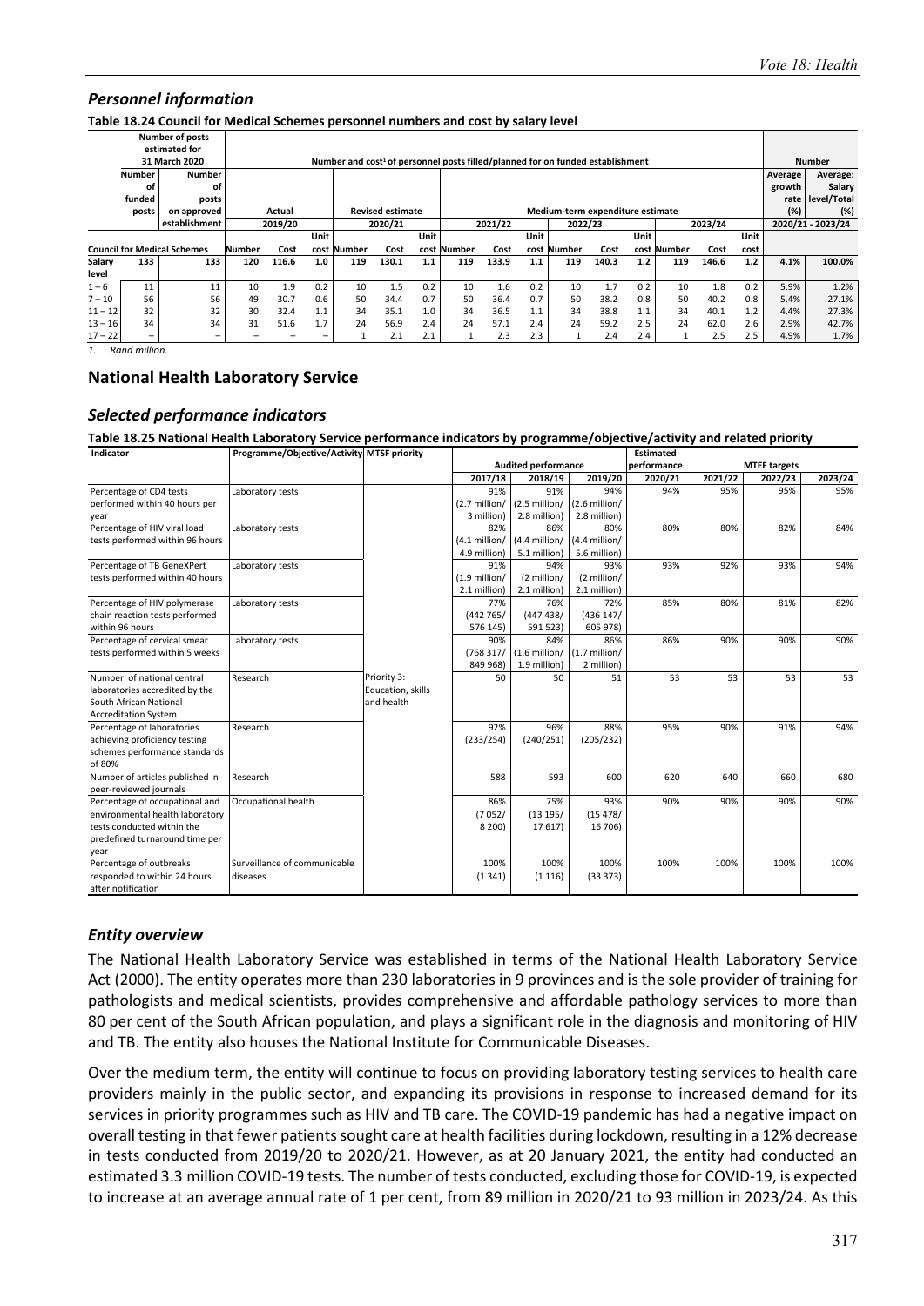**Table 18.24 Council for Medical Schemes personnel numbers and cost by salary level** 

|           |                      | <b>Number of posts</b>             |        |                                                     |      |                                                                                            |                         |      |             |       |                   |                                  |       |      |             |       |       |         |               |
|-----------|----------------------|------------------------------------|--------|-----------------------------------------------------|------|--------------------------------------------------------------------------------------------|-------------------------|------|-------------|-------|-------------------|----------------------------------|-------|------|-------------|-------|-------|---------|---------------|
|           |                      | estimated for                      |        |                                                     |      |                                                                                            |                         |      |             |       |                   |                                  |       |      |             |       |       |         |               |
|           |                      | 31 March 2020                      |        |                                                     |      | Number and cost <sup>1</sup> of personnel posts filled/planned for on funded establishment |                         |      |             |       |                   |                                  |       |      |             |       |       |         | <b>Number</b> |
|           | <b>Number</b>        | <b>Number</b>                      |        |                                                     |      |                                                                                            |                         |      |             |       |                   |                                  |       |      |             |       |       | Average | Average:      |
|           | οf                   | οf                                 |        |                                                     |      |                                                                                            |                         |      |             |       |                   |                                  |       |      |             |       |       | growth  | Salary        |
|           | funded               | posts                              |        |                                                     |      |                                                                                            |                         |      |             |       |                   |                                  |       |      |             |       |       | rate    | level/Total   |
|           | posts                | on approved                        |        | Actual                                              |      |                                                                                            | <b>Revised estimate</b> |      |             |       |                   | Medium-term expenditure estimate |       |      |             |       |       | (%)     | (%)           |
|           |                      | establishment                      |        | 2019/20<br>2021/22<br>2023/24<br>2020/21<br>2022/23 |      |                                                                                            |                         |      |             |       | 2020/21 - 2023/24 |                                  |       |      |             |       |       |         |               |
|           |                      |                                    |        |                                                     | Unit |                                                                                            |                         | Unit |             |       | Unit              |                                  |       | Unit |             |       | Unit  |         |               |
|           |                      | <b>Council for Medical Schemes</b> | Number | Cost                                                | cost | Number                                                                                     | Cost                    |      | cost Number | Cost  | cost              | Number                           | Cost  |      | cost Number | Cost  | cost  |         |               |
| Salary    | 133                  | 133                                | 120    | 116.6                                               | 1.0  | 119                                                                                        | 130.1                   | 1.1  | 119         | 133.9 | 1.1               | 119                              | 140.3 | 1.2  | 119         | 146.6 | $1.2$ | 4.1%    | 100.0%        |
| level     |                      |                                    |        |                                                     |      |                                                                                            |                         |      |             |       |                   |                                  |       |      |             |       |       |         |               |
| $1 - 6$   | 11                   | 11                                 | 10     | 1.9                                                 | 0.2  | 10                                                                                         | 1.5                     | 0.2  | 10          | 1.6   | 0.2               | 10                               | 1.7   | 0.2  | 10          | 1.8   | 0.2   | 5.9%    | 1.2%          |
| $7 - 10$  | 56                   | 56                                 | 49     | 30.7                                                | 0.6  | 50                                                                                         | 34.4                    | 0.7  | 50          | 36.4  | 0.7               | 50                               | 38.2  | 0.8  | 50          | 40.2  | 0.8   | 5.4%    | 27.1%         |
| $11 - 12$ | 32                   | 32                                 | 30     | 32.4                                                | 1.1  | 34                                                                                         | 35.1                    | 1.0  | 34          | 36.5  | 1.1               | 34                               | 38.8  | 1.1  | 34          | 40.1  | 1.2   | 4.4%    | 27.3%         |
| $13 - 16$ | 34                   | 34                                 | 31     | 51.6                                                | 1.7  | 24                                                                                         | 56.9                    | 2.4  | 24          | 57.1  | 2.4               | 24                               | 59.2  | 2.5  | 24          | 62.0  | 2.6   | 2.9%    | 42.7%         |
| $17 - 22$ |                      | $\overline{\phantom{m}}$           |        |                                                     |      |                                                                                            | 2.1                     | 2.1  |             | 2.3   | 2.3               |                                  | 2.4   | 2.4  |             | 2.5   | 2.5   | 4.9%    | 1.7%          |
|           | $P = -1$ $-1111 - 1$ |                                    |        |                                                     |      |                                                                                            |                         |      |             |       |                   |                                  |       |      |             |       |       |         |               |

*1. Rand million.* 

#### **National Health Laboratory Service**

#### *Selected performance indicators*

**Table 18.25 National Health Laboratory Service performance indicators by programme/objective/activity and related priority** 

| Indicator                       | Programme/Objective/Activity MTSF priority |                   |                 |                            |                 | <b>Estimated</b> |         |                     |         |
|---------------------------------|--------------------------------------------|-------------------|-----------------|----------------------------|-----------------|------------------|---------|---------------------|---------|
|                                 |                                            |                   |                 | <b>Audited performance</b> |                 | performance      |         | <b>MTEF targets</b> |         |
|                                 |                                            |                   | 2017/18         | 2018/19                    | 2019/20         | 2020/21          | 2021/22 | 2022/23             | 2023/24 |
| Percentage of CD4 tests         | Laboratory tests                           |                   | 91%             | 91%                        | 94%             | 94%              | 95%     | 95%                 | 95%     |
| performed within 40 hours per   |                                            |                   | $(2.7$ million/ | (2.5 million/              | $(2.6$ million/ |                  |         |                     |         |
| year                            |                                            |                   | 3 million)      | 2.8 million)               | 2.8 million)    |                  |         |                     |         |
| Percentage of HIV viral load    | Laboratory tests                           |                   | 82%             | 86%                        | 80%             | 80%              | 80%     | 82%                 | 84%     |
| tests performed within 96 hours |                                            |                   | $(4.1$ million/ | (4.4 million/              | (4.4 million/   |                  |         |                     |         |
|                                 |                                            |                   | 4.9 million)    | 5.1 million)               | 5.6 million)    |                  |         |                     |         |
| Percentage of TB GeneXPert      | Laboratory tests                           |                   | 91%             | 94%                        | 93%             | 93%              | 92%     | 93%                 | 94%     |
| tests performed within 40 hours |                                            |                   | $(1.9$ million/ | (2 million/                | (2 million/     |                  |         |                     |         |
|                                 |                                            |                   | 2.1 million)    | 2.1 million)               | 2.1 million)    |                  |         |                     |         |
| Percentage of HIV polymerase    | Laboratory tests                           |                   | 77%             | 76%                        | 72%             | 85%              | 80%     | 81%                 | 82%     |
| chain reaction tests performed  |                                            |                   | (442765)        | (447438)                   | (436147)        |                  |         |                     |         |
| within 96 hours                 |                                            |                   | 576 145)        | 591 523)                   | 605 978)        |                  |         |                     |         |
| Percentage of cervical smear    | Laboratory tests                           |                   | 90%             | 84%                        | 86%             | 86%              | 90%     | 90%                 | 90%     |
| tests performed within 5 weeks  |                                            |                   | (768317)        | $(1.6$ million/            | $(1.7$ million/ |                  |         |                     |         |
|                                 |                                            |                   | 849 968)        | 1.9 million)               | 2 million)      |                  |         |                     |         |
| Number of national central      | Research                                   | Priority 3:       | 50              | 50                         | 51              | 53               | 53      | 53                  | 53      |
| laboratories accredited by the  |                                            | Education, skills |                 |                            |                 |                  |         |                     |         |
| South African National          |                                            | and health        |                 |                            |                 |                  |         |                     |         |
| <b>Accreditation System</b>     |                                            |                   |                 |                            |                 |                  |         |                     |         |
| Percentage of laboratories      | Research                                   |                   | 92%             | 96%                        | 88%             | 95%              | 90%     | 91%                 | 94%     |
| achieving proficiency testing   |                                            |                   | (233/254)       | (240/251)                  | (205/232)       |                  |         |                     |         |
| schemes performance standards   |                                            |                   |                 |                            |                 |                  |         |                     |         |
| of 80%                          |                                            |                   |                 |                            |                 |                  |         |                     |         |
| Number of articles published in | Research                                   |                   | 588             | 593                        | 600             | 620              | 640     | 660                 | 680     |
| peer-reviewed journals          |                                            |                   |                 |                            |                 |                  |         |                     |         |
| Percentage of occupational and  | Occupational health                        |                   | 86%             | 75%                        | 93%             | 90%              | 90%     | 90%                 | 90%     |
| environmental health laboratory |                                            |                   | (7052/          | (13195/                    | (15.478)        |                  |         |                     |         |
| tests conducted within the      |                                            |                   | 8 200)          | 17 617)                    | 16 706)         |                  |         |                     |         |
| predefined turnaround time per  |                                            |                   |                 |                            |                 |                  |         |                     |         |
| year                            |                                            |                   |                 |                            |                 |                  |         |                     |         |
| Percentage of outbreaks         | Surveillance of communicable               |                   | 100%            | 100%                       | 100%            | 100%             | 100%    | 100%                | 100%    |
| responded to within 24 hours    | diseases                                   |                   | (1341)          | (1116)                     | (33373)         |                  |         |                     |         |
| after notification              |                                            |                   |                 |                            |                 |                  |         |                     |         |
|                                 |                                            |                   |                 |                            |                 |                  |         |                     |         |

#### *Entity overview*

The National Health Laboratory Service was established in terms of the National Health Laboratory Service Act (2000). The entity operates more than 230 laboratories in 9 provinces and is the sole provider of training for pathologists and medical scientists, provides comprehensive and affordable pathology services to more than 80 per cent of the South African population, and plays a significant role in the diagnosis and monitoring of HIV and TB. The entity also houses the National Institute for Communicable Diseases.

Over the medium term, the entity will continue to focus on providing laboratory testing services to health care providers mainly in the public sector, and expanding its provisions in response to increased demand for its services in priority programmes such as HIV and TB care. The COVID‐19 pandemic has had a negative impact on overall testing in that fewer patients sought care at health facilities during lockdown, resulting in a 12% decrease in tests conducted from 2019/20 to 2020/21. However, as at 20 January 2021, the entity had conducted an estimated 3.3 million COVID‐19 tests. The number of tests conducted, excluding those for COVID‐19, is expected to increase at an average annual rate of 1 per cent, from 89 million in 2020/21 to 93 million in 2023/24. As this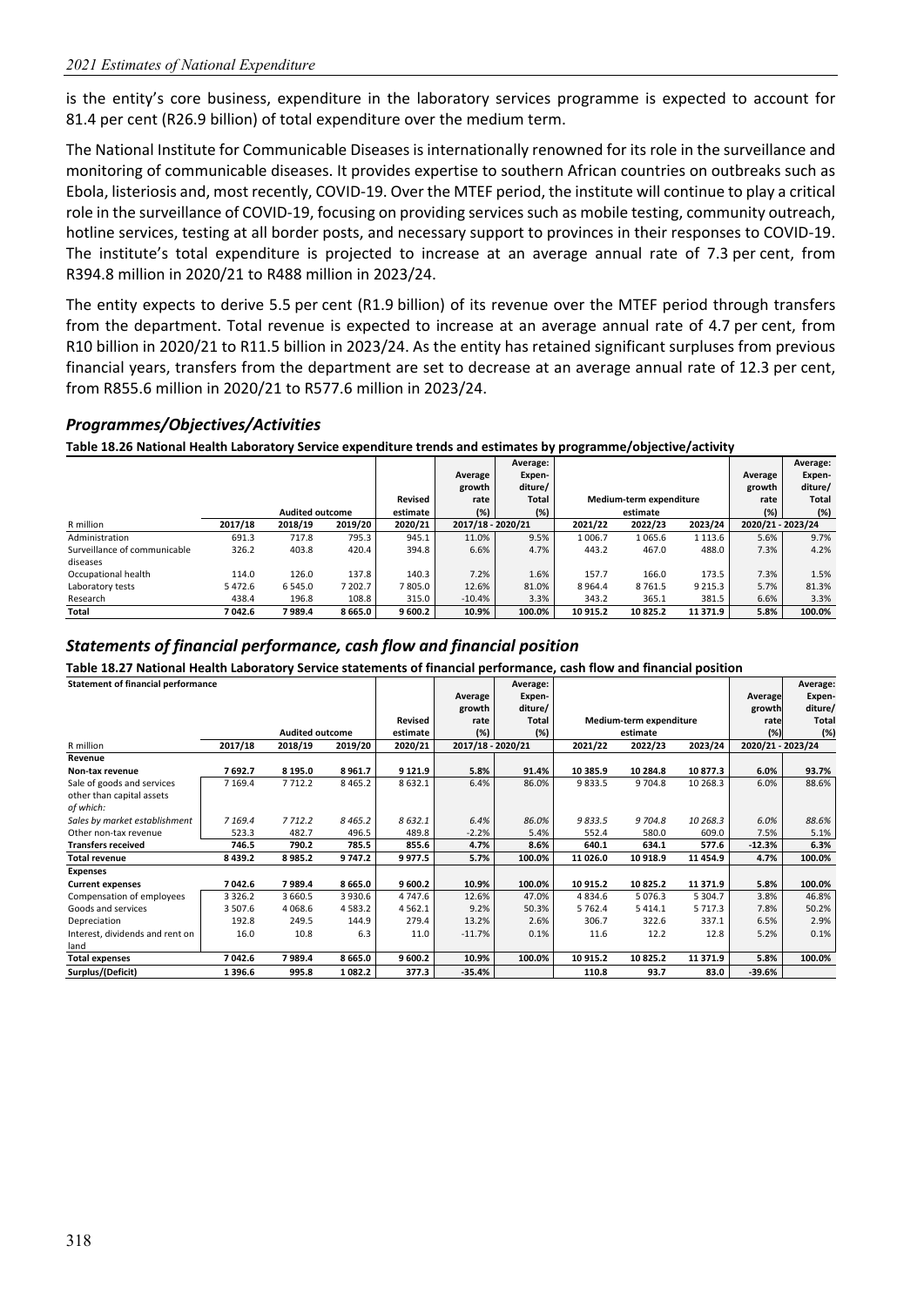is the entity's core business, expenditure in the laboratory services programme is expected to account for 81.4 per cent (R26.9 billion) of total expenditure over the medium term.

The National Institute for Communicable Diseases is internationally renowned for its role in the surveillance and monitoring of communicable diseases. It provides expertise to southern African countries on outbreaks such as Ebola, listeriosis and, most recently, COVID‐19. Over the MTEF period, the institute will continue to play a critical role in the surveillance of COVID‐19, focusing on providing services such as mobile testing, community outreach, hotline services, testing at all border posts, and necessary support to provinces in their responses to COVID‐19. The institute's total expenditure is projected to increase at an average annual rate of 7.3 per cent, from R394.8 million in 2020/21 to R488 million in 2023/24.

The entity expects to derive 5.5 per cent (R1.9 billion) of its revenue over the MTEF period through transfers from the department. Total revenue is expected to increase at an average annual rate of 4.7 per cent, from R10 billion in 2020/21 to R11.5 billion in 2023/24. As the entity has retained significant surpluses from previous financial years, transfers from the department are set to decrease at an average annual rate of 12.3 per cent, from R855.6 million in 2020/21 to R577.6 million in 2023/24.

#### *Programmes/Objectives/Activities*

**Table 18.26 National Health Laboratory Service expenditure trends and estimates by programme/objective/activity** 

|                              |         |                        |             |          |                   | Average:     |         |                         |             |                   | Average: |
|------------------------------|---------|------------------------|-------------|----------|-------------------|--------------|---------|-------------------------|-------------|-------------------|----------|
|                              |         |                        |             |          | Average           | Expen-       |         |                         |             | Average           | Expen-   |
|                              |         |                        |             |          | growth            | diture/      |         |                         |             | growth            | diture/  |
|                              |         |                        |             | Revised  | rate              | <b>Total</b> |         | Medium-term expenditure |             | rate              | Total    |
|                              |         | <b>Audited outcome</b> |             | estimate | (%)               | $(\%)$       |         | estimate                |             | (%)               | (%)      |
| R million                    | 2017/18 | 2018/19                | 2019/20     | 2020/21  | 2017/18 - 2020/21 |              | 2021/22 | 2022/23                 | 2023/24     | 2020/21 - 2023/24 |          |
| Administration               | 691.3   | 717.8                  | 795.3       | 945.1    | 11.0%             | 9.5%         | 1006.7  | 1065.6                  | 1 1 1 3 .6  | 5.6%              | 9.7%     |
| Surveillance of communicable | 326.2   | 403.8                  | 420.4       | 394.8    | 6.6%              | 4.7%         | 443.2   | 467.0                   | 488.0       | 7.3%              | 4.2%     |
| diseases                     |         |                        |             |          |                   |              |         |                         |             |                   |          |
| Occupational health          | 114.0   | 126.0                  | 137.8       | 140.3    | 7.2%              | 1.6%         | 157.7   | 166.0                   | 173.5       | 7.3%              | 1.5%     |
| Laboratory tests             | 5472.6  | 6 5 4 5 .0             | 7 202.7     | 7805.0   | 12.6%             | 81.0%        | 8964.4  | 8761.5                  | 9 2 1 5 . 3 | 5.7%              | 81.3%    |
| Research                     | 438.4   | 196.8                  | 108.8       | 315.0    | $-10.4%$          | 3.3%         | 343.2   | 365.1                   | 381.5       | 6.6%              | 3.3%     |
| Total                        | 7042.6  | 7989.4                 | 8 6 6 5 . 0 | 9 600.2  | 10.9%             | 100.0%       | 10915.2 | 10825.2                 | 11 371.9    | 5.8%              | 100.0%   |

#### *Statements of financial performance, cash flow and financial position*

**Table 18.27 National Health Laboratory Service statements of financial performance, cash flow and financial position** 

|                                 | <b>Statement of financial performance</b> |                        |             |                |                   | Average:     |             |                         |            |                   | Average:     |
|---------------------------------|-------------------------------------------|------------------------|-------------|----------------|-------------------|--------------|-------------|-------------------------|------------|-------------------|--------------|
|                                 |                                           |                        |             |                | Average           | Expen-       |             |                         |            | Average           | Expen-       |
|                                 |                                           |                        |             |                | growth            | diture/      |             |                         |            | growth            | diture/      |
|                                 |                                           |                        |             | <b>Revised</b> | rate              | <b>Total</b> |             | Medium-term expenditure |            | rate              | <b>Total</b> |
|                                 |                                           | <b>Audited outcome</b> |             | estimate       | (%)               | (%)          |             | estimate                |            | (%)               | (%)          |
| R million                       | 2017/18                                   | 2018/19                | 2019/20     | 2020/21        | 2017/18 - 2020/21 |              | 2021/22     | 2022/23                 | 2023/24    | 2020/21 - 2023/24 |              |
| Revenue                         |                                           |                        |             |                |                   |              |             |                         |            |                   |              |
| Non-tax revenue                 | 7692.7                                    | 8 1 9 5 .0             | 8961.7      | 9 1 2 1.9      | 5.8%              | 91.4%        | 10 385.9    | 10 284.8                | 10877.3    | 6.0%              | 93.7%        |
| Sale of goods and services      | 7 1 6 9 . 4                               | 7 7 1 2.2              | 8465.2      | 8632.1         | 6.4%              | 86.0%        | 9833.5      | 9 704.8                 | 10 268.3   | 6.0%              | 88.6%        |
| other than capital assets       |                                           |                        |             |                |                   |              |             |                         |            |                   |              |
| of which:                       |                                           |                        |             |                |                   |              |             |                         |            |                   |              |
| Sales by market establishment   | 7 169.4                                   | 7712.2                 | 8 4 6 5.2   | 8 632.1        | 6.4%              | 86.0%        | 9833.5      | 9 704.8                 | 10 268.3   | 6.0%              | 88.6%        |
| Other non-tax revenue           | 523.3                                     | 482.7                  | 496.5       | 489.8          | $-2.2%$           | 5.4%         | 552.4       | 580.0                   | 609.0      | 7.5%              | 5.1%         |
| <b>Transfers received</b>       | 746.5                                     | 790.2                  | 785.5       | 855.6          | 4.7%              | 8.6%         | 640.1       | 634.1                   | 577.6      | $-12.3%$          | 6.3%         |
| <b>Total revenue</b>            | 8 4 3 9.2                                 | 8985.2                 | 9 747.2     | 9977.5         | 5.7%              | 100.0%       | 11 026.0    | 10918.9                 | 11454.9    | 4.7%              | 100.0%       |
| <b>Expenses</b>                 |                                           |                        |             |                |                   |              |             |                         |            |                   |              |
| <b>Current expenses</b>         | 7042.6                                    | 7989.4                 | 8 6 6 5 . 0 | 9600.2         | 10.9%             | 100.0%       | 10915.2     | 10825.2                 | 11 371.9   | 5.8%              | 100.0%       |
| Compensation of employees       | 3 3 2 6 . 2                               | 3 6 6 0.5              | 3930.6      | 4 747.6        | 12.6%             | 47.0%        | 4 8 3 4 . 6 | 5076.3                  | 5 3 0 4 .7 | 3.8%              | 46.8%        |
| Goods and services              | 3 507.6                                   | 4 0 68.6               | 4583.2      | 4 5 6 2.1      | 9.2%              | 50.3%        | 5762.4      | 5 4 1 4 . 1             | 5717.3     | 7.8%              | 50.2%        |
| Depreciation                    | 192.8                                     | 249.5                  | 144.9       | 279.4          | 13.2%             | 2.6%         | 306.7       | 322.6                   | 337.1      | 6.5%              | 2.9%         |
| Interest, dividends and rent on | 16.0                                      | 10.8                   | 6.3         | 11.0           | $-11.7%$          | 0.1%         | 11.6        | 12.2                    | 12.8       | 5.2%              | 0.1%         |
| land                            |                                           |                        |             |                |                   |              |             |                         |            |                   |              |
| <b>Total expenses</b>           | 7042.6                                    | 7989.4                 | 8 6 6 5 . 0 | 9 600.2        | 10.9%             | 100.0%       | 10915.2     | 10825.2                 | 11 371.9   | 5.8%              | 100.0%       |
| Surplus/(Deficit)               | 1 3 9 6 . 6                               | 995.8                  | 1 082.2     | 377.3          | $-35.4%$          |              | 110.8       | 93.7                    | 83.0       | $-39.6%$          |              |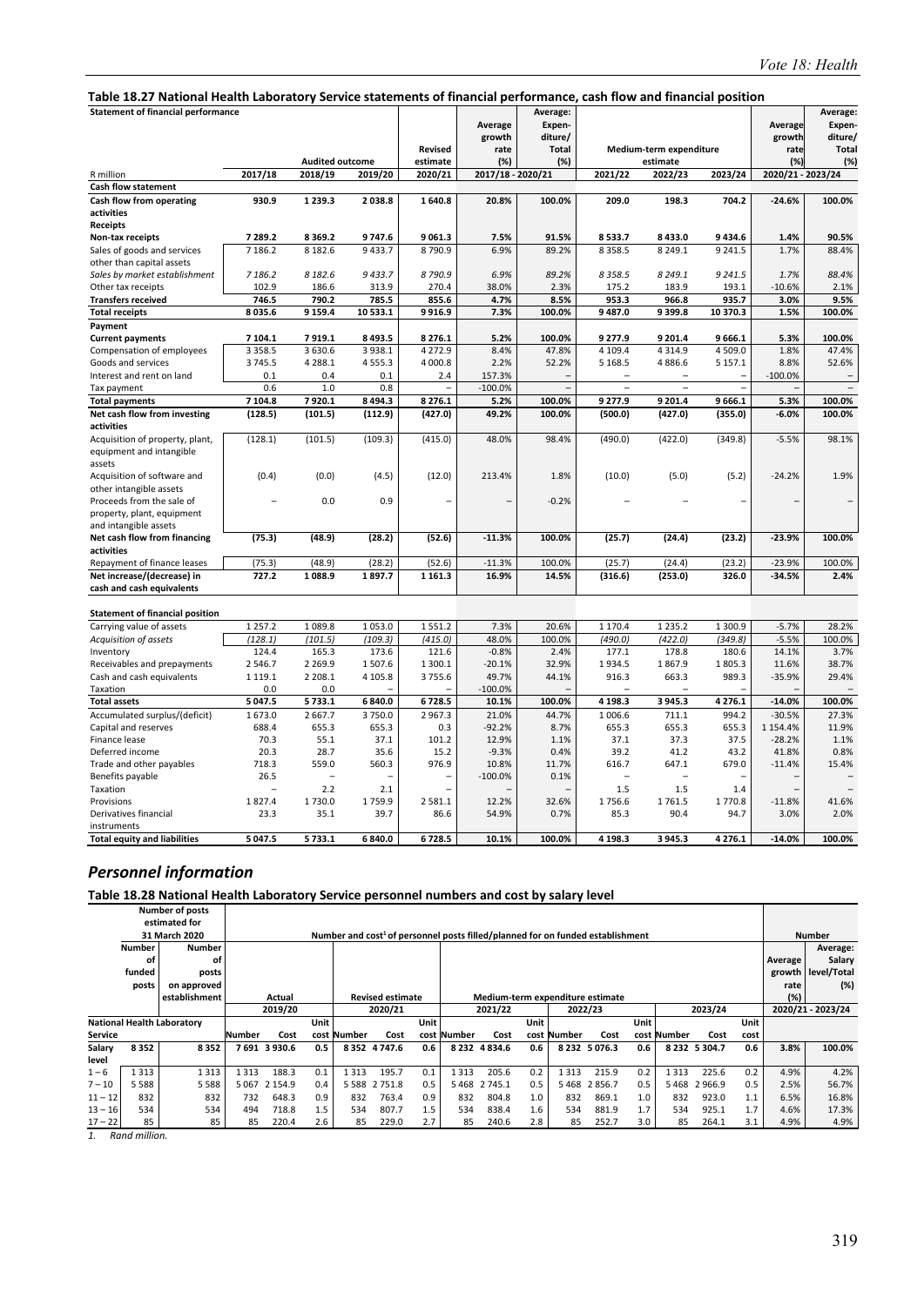#### **Table 18.27 National Health Laboratory Service statements of financial performance, cash flow and financial position**

| rabic 10.27 Ivational Health Laboratory Service Statements or miancial performance, cash now and miancial position |             |                |                        |                            |                                  |                                                      |                          |                                     |             |                                   |                                                      |
|--------------------------------------------------------------------------------------------------------------------|-------------|----------------|------------------------|----------------------------|----------------------------------|------------------------------------------------------|--------------------------|-------------------------------------|-------------|-----------------------------------|------------------------------------------------------|
| <b>Statement of financial performance</b><br>2017/18<br>R million<br><b>Cash flow statement</b>                    |             |                | <b>Audited outcome</b> | <b>Revised</b><br>estimate | Average<br>growth<br>rate<br>(%) | Average:<br>Expen-<br>diture/<br><b>Total</b><br>(%) |                          | Medium-term expenditure<br>estimate |             | Average<br>growth<br>rate<br>(% ) | Average:<br>Expen-<br>diture/<br><b>Total</b><br>(%) |
|                                                                                                                    |             | 2018/19        | 2019/20                | 2020/21                    | 2017/18 - 2020/21                |                                                      | 2021/22                  | 2022/23                             | 2023/24     | 2020/21 - 2023/24                 |                                                      |
|                                                                                                                    |             |                |                        |                            |                                  |                                                      |                          |                                     |             |                                   |                                                      |
| Cash flow from operating                                                                                           | 930.9       | 1 2 3 9 . 3    | 2038.8                 | 1640.8                     | 20.8%                            | 100.0%                                               | 209.0                    | 198.3                               | 704.2       | $-24.6%$                          | 100.0%                                               |
| activities                                                                                                         |             |                |                        |                            |                                  |                                                      |                          |                                     |             |                                   |                                                      |
| Receipts                                                                                                           |             |                |                        |                            |                                  |                                                      |                          |                                     |             |                                   |                                                      |
| Non-tax receipts                                                                                                   | 7 289.2     | 8 3 6 9 . 2    | 9747.6                 | 9061.3                     | 7.5%                             | 91.5%                                                | 8533.7                   | 8 4 3 3 . 0                         | 9434.6      | 1.4%                              | 90.5%                                                |
| Sales of goods and services                                                                                        | 7 186.2     | 8 1 8 2.6      | 9433.7                 | 8790.9                     | 6.9%                             | 89.2%                                                | 8 3 5 8.5                | 8 2 4 9 . 1                         | 9 2 4 1.5   | 1.7%                              | 88.4%                                                |
| other than capital assets                                                                                          |             |                |                        |                            |                                  |                                                      |                          |                                     |             |                                   |                                                      |
| Sales by market establishment                                                                                      | 7 186.2     | 8 1 8 2.6      | 9433.7                 | 8 790.9                    | 6.9%                             | 89.2%                                                | 8 3 5 8.5                | 8 2 4 9 . 1                         | 9 2 4 1.5   | 1.7%                              | 88.4%                                                |
| Other tax receipts                                                                                                 | 102.9       | 186.6          | 313.9                  | 270.4                      | 38.0%                            | 2.3%                                                 | 175.2                    | 183.9                               | 193.1       | $-10.6%$                          | 2.1%                                                 |
| <b>Transfers received</b>                                                                                          | 746.5       | 790.2          | 785.5                  | 855.6                      | 4.7%                             | 8.5%                                                 | 953.3                    | 966.8                               | 935.7       | 3.0%                              | 9.5%                                                 |
| <b>Total receipts</b>                                                                                              | 8035.6      | 9 1 5 9 . 4    | 10 533.1               | 9916.9                     | 7.3%                             | 100.0%                                               | 9487.0                   | 9399.8                              | 10 370.3    | 1.5%                              | 100.0%                                               |
| Payment                                                                                                            |             |                |                        |                            |                                  |                                                      |                          |                                     |             |                                   |                                                      |
| <b>Current payments</b>                                                                                            | 7 104.1     | 7919.1         | 8493.5                 | 8 2 7 6 . 1                | 5.2%                             | 100.0%                                               | 9 277.9                  | 9 201.4                             | 9666.1      | 5.3%                              | 100.0%                                               |
| Compensation of employees                                                                                          | 3 3 5 8 . 5 | 3 6 3 0.6      | 3 9 3 8.1              | 4 2 7 2.9                  | 8.4%                             | 47.8%                                                | 4 109.4                  | 4314.9                              | 4 509.0     | 1.8%                              | 47.4%                                                |
| Goods and services                                                                                                 | 3745.5      | 4 2 8 8.1      | 4555.3                 | 4 000.8                    | 2.2%                             | 52.2%                                                | 5 1 68.5                 | 4886.6                              | 5 1 5 7 . 1 | 8.8%                              | 52.6%                                                |
| Interest and rent on land                                                                                          | 0.1         | 0.4            | 0.1                    | 2.4                        | 157.3%                           |                                                      |                          |                                     |             | $-100.0%$                         |                                                      |
| Tax payment                                                                                                        | 0.6         | 1.0            | 0.8                    |                            | $-100.0%$                        |                                                      | $\overline{\phantom{0}}$ | $\overline{a}$                      |             |                                   |                                                      |
| <b>Total payments</b>                                                                                              | 7 104.8     | 7920.1         | 8 4 9 4.3              | 8 2 7 6 . 1                | 5.2%                             | 100.0%                                               | 9 277.9                  | 9 201.4                             | 9666.1      | 5.3%                              | 100.0%                                               |
| Net cash flow from investing                                                                                       | (128.5)     | (101.5)        | (112.9)                | (427.0)                    | 49.2%                            | 100.0%                                               | (500.0)                  | (427.0)                             | (355.0)     | $-6.0%$                           | 100.0%                                               |
| activities                                                                                                         |             |                |                        |                            |                                  |                                                      |                          |                                     |             |                                   |                                                      |
| Acquisition of property, plant,                                                                                    | (128.1)     | (101.5)        | (109.3)                | (415.0)                    | 48.0%                            | 98.4%                                                | (490.0)                  | (422.0)                             | (349.8)     | $-5.5%$                           | 98.1%                                                |
| equipment and intangible                                                                                           |             |                |                        |                            |                                  |                                                      |                          |                                     |             |                                   |                                                      |
| assets                                                                                                             |             |                |                        |                            |                                  |                                                      |                          |                                     |             |                                   |                                                      |
| Acquisition of software and                                                                                        | (0.4)       | (0.0)          | (4.5)                  | (12.0)                     | 213.4%                           | 1.8%                                                 | (10.0)                   | (5.0)                               | (5.2)       | $-24.2%$                          | 1.9%                                                 |
| other intangible assets                                                                                            |             |                |                        |                            |                                  |                                                      |                          |                                     |             |                                   |                                                      |
| Proceeds from the sale of                                                                                          |             | 0.0            | 0.9                    |                            |                                  | $-0.2%$                                              |                          |                                     |             |                                   |                                                      |
| property, plant, equipment                                                                                         |             |                |                        |                            |                                  |                                                      |                          |                                     |             |                                   |                                                      |
| and intangible assets                                                                                              |             |                |                        |                            |                                  |                                                      |                          |                                     |             |                                   |                                                      |
| Net cash flow from financing                                                                                       | (75.3)      | (48.9)         | (28.2)                 | (52.6)                     | $-11.3%$                         | 100.0%                                               | (25.7)                   | (24.4)                              | (23.2)      | $-23.9%$                          | 100.0%                                               |
| activities                                                                                                         |             |                |                        |                            |                                  |                                                      |                          |                                     |             |                                   |                                                      |
| Repayment of finance leases                                                                                        | (75.3)      | (48.9)         | (28.2)                 | (52.6)                     | $-11.3%$                         | 100.0%                                               | (25.7)                   | (24.4)                              | (23.2)      | $-23.9%$                          | 100.0%                                               |
| Net increase/(decrease) in                                                                                         | 727.2       | 1088.9         | 1897.7                 | 1 1 6 1 . 3                | 16.9%                            | 14.5%                                                | (316.6)                  | (253.0)                             | 326.0       | $-34.5%$                          | 2.4%                                                 |
| cash and cash equivalents                                                                                          |             |                |                        |                            |                                  |                                                      |                          |                                     |             |                                   |                                                      |
|                                                                                                                    |             |                |                        |                            |                                  |                                                      |                          |                                     |             |                                   |                                                      |
| <b>Statement of financial position</b>                                                                             |             |                |                        |                            |                                  |                                                      |                          |                                     |             |                                   |                                                      |
| Carrying value of assets                                                                                           | 1 2 5 7 . 2 | 1089.8         | 1053.0                 | 1551.2                     | 7.3%                             | 20.6%                                                | 1 170.4                  | 1 2 3 5 . 2                         | 1 300.9     | $-5.7%$                           | 28.2%                                                |
| Acquisition of assets                                                                                              | (128.1)     | (101.5)        | (109.3)                | (415.0)                    | 48.0%                            | 100.0%                                               | (490.0)                  | (422.0)                             | (349.8)     | $-5.5%$                           | 100.0%                                               |
| Inventory                                                                                                          | 124.4       | 165.3          | 173.6                  | 121.6                      | $-0.8%$                          | 2.4%                                                 | 177.1                    | 178.8                               | 180.6       | 14.1%                             | 3.7%                                                 |
| Receivables and prepayments                                                                                        | 2546.7      | 2 2 6 9 . 9    | 1507.6                 | 1 300.1                    | $-20.1%$                         | 32.9%                                                | 1934.5                   | 1867.9                              | 1805.3      | 11.6%                             | 38.7%                                                |
| Cash and cash equivalents                                                                                          | 1 1 1 9 . 1 | 2 2 0 8 . 1    | 4 1 0 5 . 8            | 3755.6                     | 49.7%                            | 44.1%                                                | 916.3                    | 663.3                               | 989.3       | $-35.9%$                          | 29.4%                                                |
| Taxation                                                                                                           | 0.0         | 0.0            |                        |                            | $-100.0%$                        |                                                      |                          |                                     |             |                                   |                                                      |
| <b>Total assets</b>                                                                                                | 5 047.5     | 5 7 3 3 . 1    | 6 840.0                | 6728.5                     | 10.1%                            | 100.0%                                               | 4 1 98.3                 | 3 9 4 5 . 3                         | 4276.1      | $-14.0%$                          | 100.0%                                               |
| Accumulated surplus/(deficit)                                                                                      | 1673.0      | 2 667.7        | 3750.0                 | 2967.3                     | 21.0%                            | 44.7%                                                | 1 006.6                  | 711.1                               | 994.2       | $-30.5%$                          | 27.3%                                                |
| Capital and reserves                                                                                               | 688.4       | 655.3          | 655.3                  | 0.3                        | $-92.2%$                         | 8.7%                                                 | 655.3                    | 655.3                               | 655.3       | 1 1 5 4 . 4 %                     | 11.9%                                                |
| Finance lease                                                                                                      | 70.3        | 55.1           | 37.1                   | 101.2                      | 12.9%                            | 1.1%                                                 | 37.1                     | 37.3                                | 37.5        | $-28.2%$                          | 1.1%                                                 |
| Deferred income                                                                                                    | 20.3        | 28.7           | 35.6                   | 15.2                       | $-9.3%$                          | 0.4%                                                 | 39.2                     | 41.2                                | 43.2        | 41.8%                             | 0.8%                                                 |
| Trade and other payables                                                                                           | 718.3       | 559.0          | 560.3                  | 976.9                      | 10.8%                            | 11.7%                                                | 616.7                    | 647.1                               | 679.0       | $-11.4%$                          | 15.4%                                                |
| Benefits payable                                                                                                   | 26.5        | $\overline{a}$ |                        | $\overline{\phantom{0}}$   | $-100.0%$                        | 0.1%                                                 |                          |                                     |             |                                   |                                                      |
| Taxation                                                                                                           |             | 2.2            | 2.1                    |                            |                                  |                                                      | 1.5                      | 1.5                                 | 1.4         |                                   |                                                      |
| Provisions                                                                                                         | 1827.4      | 1730.0         | 1759.9                 | 2 5 8 1 . 1                | 12.2%                            | 32.6%                                                | 1756.6                   | 1761.5                              | 1770.8      | $-11.8%$                          | 41.6%                                                |
| Derivatives financial                                                                                              | 23.3        | 35.1           | 39.7                   | 86.6                       | 54.9%                            | 0.7%                                                 | 85.3                     | 90.4                                | 94.7        | 3.0%                              | 2.0%                                                 |
| instruments                                                                                                        |             |                |                        |                            |                                  |                                                      |                          |                                     |             |                                   |                                                      |
| <b>Total equity and liabilities</b>                                                                                | 5 047.5     | 5733.1         | 6840.0                 | 6728.5                     | 10.1%                            | 100.0%                                               | 4 198.3                  | 3 9 4 5 . 3                         | 4 2 7 6 . 1 | $-14.0%$                          | 100.0%                                               |

## *Personnel information*

#### **Table 18.28 National Health Laboratory Service personnel numbers and cost by salary level**

|                |         | <b>Number of posts</b><br>estimated for |        |             |      |             |                                                                                            |      |             |                     |      |             |                                  |      |             |                 |      |         |                    |
|----------------|---------|-----------------------------------------|--------|-------------|------|-------------|--------------------------------------------------------------------------------------------|------|-------------|---------------------|------|-------------|----------------------------------|------|-------------|-----------------|------|---------|--------------------|
|                |         | 31 March 2020                           |        |             |      |             | Number and cost <sup>1</sup> of personnel posts filled/planned for on funded establishment |      |             |                     |      |             |                                  |      |             |                 |      |         | <b>Number</b>      |
|                | Number  | <b>Number</b>                           |        |             |      |             |                                                                                            |      |             |                     |      |             |                                  |      |             |                 |      |         | Average:           |
|                | οt      | οf                                      |        |             |      |             |                                                                                            |      |             |                     |      |             |                                  |      |             |                 |      | Average | Salary             |
|                | funded  | posts                                   |        |             |      |             |                                                                                            |      |             |                     |      |             |                                  |      |             |                 |      |         | growth level/Total |
|                | posts   | on approved                             |        |             |      |             |                                                                                            |      |             |                     |      |             |                                  |      |             |                 |      | rate    | (%)                |
|                |         | establishment                           |        | Actual      |      |             | <b>Revised estimate</b>                                                                    |      |             |                     |      |             | Medium-term expenditure estimate |      |             |                 |      | $(\%)$  |                    |
|                |         |                                         |        | 2019/20     |      |             | 2020/21                                                                                    |      |             | 2021/22             |      |             | 2022/23                          |      |             | 2023/24         |      |         | 2020/21 - 2023/24  |
|                |         | <b>National Health Laboratory</b>       |        |             | Unit |             |                                                                                            | Unit |             |                     | Unit |             |                                  | Unit |             |                 | Unit |         |                    |
| <b>Service</b> |         |                                         | Number | Cost        |      | cost Number | Cost                                                                                       |      | cost Number | Cost                |      | cost Number | Cost                             |      | cost Number | Cost            | cost |         |                    |
| Salary         | 8352    | 8352                                    |        | 7691 3930.6 | 0.5  |             | 8352 4747.6                                                                                | 0.6  |             | 8 2 3 2 4 8 3 4 . 6 | 0.6  |             | 8 2 3 2 5 0 7 6 . 3              | 0.6  |             | 8 2 32 5 30 4.7 | 0.6  | 3.8%    | 100.0%             |
| level          |         |                                         |        |             |      |             |                                                                                            |      |             |                     |      |             |                                  |      |             |                 |      |         |                    |
| $1 - 6$        | .313    | 1313                                    | 1313   | 188.3       | 0.1  | 1313        | 195.7                                                                                      | 0.1  | 1313        | 205.6               | 0.2  | 1 313       | 215.9                            | 0.2  | 1313        | 225.6           | 0.2  | 4.9%    | 4.2%               |
| $7 - 10$       | 5 5 8 8 | 5588                                    | 5067   | 2 1 5 4 .9  | 0.4  | 5588        | 2 7 5 1.8                                                                                  | 0.5  | 5468        | 2 745.1             | 0.5  | 5468        | 2856.7                           | 0.5  | 5468        | 2966.9          | 0.5  | 2.5%    | 56.7%              |
| $11 - 12$      | 832     | 832                                     | 732    | 648.3       | 0.9  | 832         | 763.4                                                                                      | 0.9  | 832         | 804.8               | 1.0  | 832         | 869.1                            | 1.0  | 832         | 923.0           | 1.1  | 6.5%    | 16.8%              |
| $13 - 16$      | 534     | 534                                     | 494    | 718.8       | 1.5  | 534         | 807.7                                                                                      | 1.5  | 534         | 838.4               | 1.6  | 534         | 881.9                            | 1.7  | 534         | 925.1           | 1.7  | 4.6%    | 17.3%              |
| $17 - 22$      | 85      | 85                                      | 85     | 220.4       | 2.6  | 85          | 229.0                                                                                      | 2.7  | 85          | 240.6               | 2.8  | 85          | 252.7                            | 3.0  | 85          | 264.1           | 3.1  | 4.9%    | 4.9%               |

*1. Rand million.*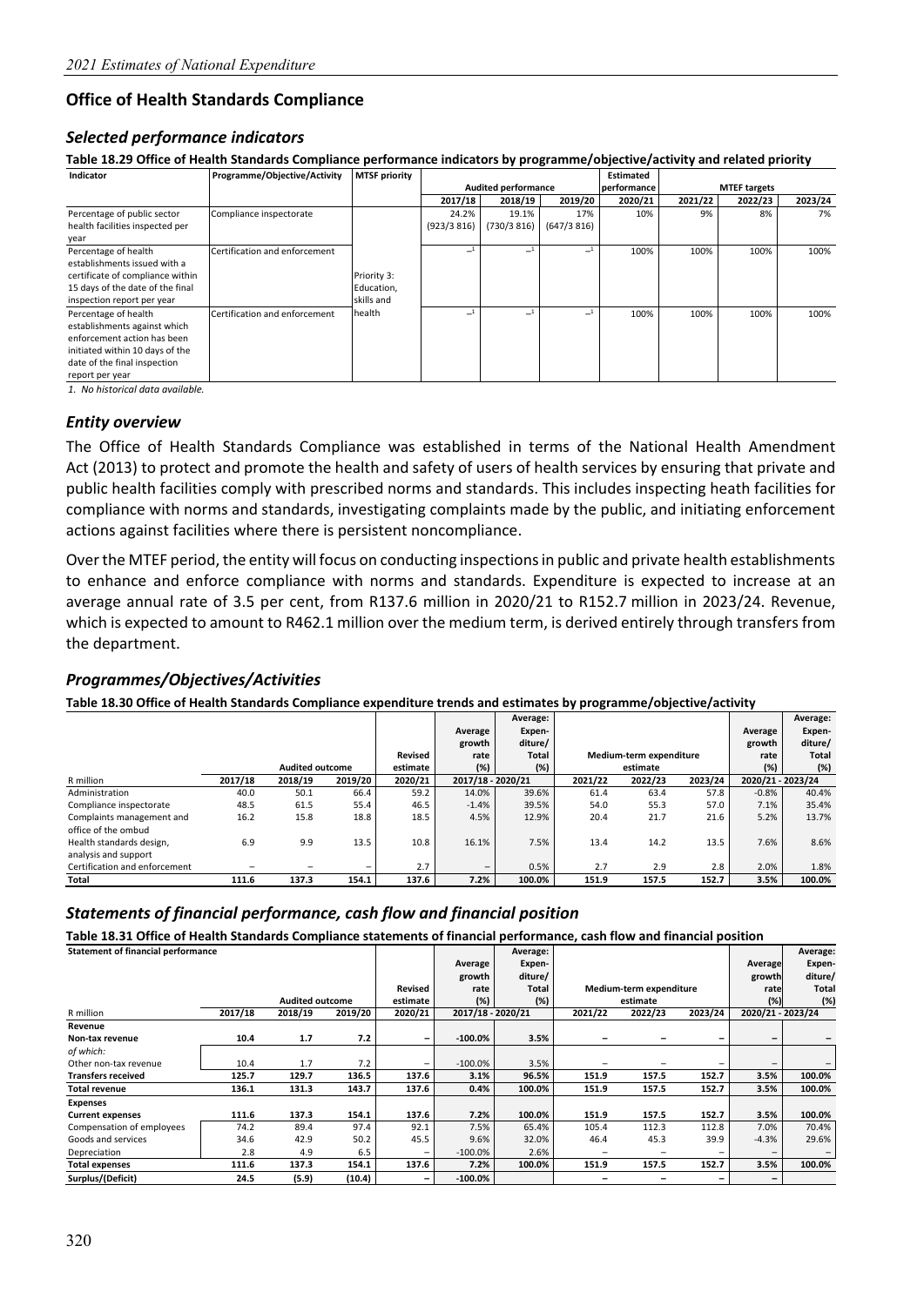#### **Office of Health Standards Compliance**

#### *Selected performance indicators*

**Table 18.29 Office of Health Standards Compliance performance indicators by programme/objective/activity and related priority** 

| Indicator                        | Programme/Objective/Activity  | <b>MTSF priority</b> |            |                            |            | <b>Estimated</b> |         |                     |         |
|----------------------------------|-------------------------------|----------------------|------------|----------------------------|------------|------------------|---------|---------------------|---------|
|                                  |                               |                      |            | <b>Audited performance</b> |            | performance      |         | <b>MTEF targets</b> |         |
|                                  |                               |                      | 2017/18    | 2018/19                    | 2019/20    | 2020/21          | 2021/22 | 2022/23             | 2023/24 |
| Percentage of public sector      | Compliance inspectorate       |                      | 24.2%      | 19.1%                      | 17%        | 10%              | 9%      | 8%                  | 7%      |
| health facilities inspected per  |                               |                      | (923/3816) | (730/3816)                 | (647/3816) |                  |         |                     |         |
| year                             |                               |                      |            |                            |            |                  |         |                     |         |
| Percentage of health             | Certification and enforcement |                      |            |                            |            | 100%             | 100%    | 100%                | 100%    |
| establishments issued with a     |                               |                      |            |                            |            |                  |         |                     |         |
| certificate of compliance within |                               | Priority 3:          |            |                            |            |                  |         |                     |         |
| 15 days of the date of the final |                               | Education,           |            |                            |            |                  |         |                     |         |
| inspection report per year       |                               | skills and           |            |                            |            |                  |         |                     |         |
| Percentage of health             | Certification and enforcement | health               |            |                            |            | 100%             | 100%    | 100%                | 100%    |
| establishments against which     |                               |                      |            |                            |            |                  |         |                     |         |
| enforcement action has been      |                               |                      |            |                            |            |                  |         |                     |         |
| initiated within 10 days of the  |                               |                      |            |                            |            |                  |         |                     |         |
| date of the final inspection     |                               |                      |            |                            |            |                  |         |                     |         |
| report per year                  |                               |                      |            |                            |            |                  |         |                     |         |

*1. No historical data available.*

#### *Entity overview*

The Office of Health Standards Compliance was established in terms of the National Health Amendment Act (2013) to protect and promote the health and safety of users of health services by ensuring that private and public health facilities comply with prescribed norms and standards. This includes inspecting heath facilities for compliance with norms and standards, investigating complaints made by the public, and initiating enforcement actions against facilities where there is persistent noncompliance.

Over the MTEF period, the entity will focus on conducting inspections in public and private health establishments to enhance and enforce compliance with norms and standards. Expenditure is expected to increase at an average annual rate of 3.5 per cent, from R137.6 million in 2020/21 to R152.7 million in 2023/24. Revenue, which is expected to amount to R462.1 million over the medium term, is derived entirely through transfers from the department.

#### *Programmes/Objectives/Activities*

**Table 18.30 Office of Health Standards Compliance expenditure trends and estimates by programme/objective/activity** 

|                               |         |                        |                          |          |                          | Average:     |         |                         |         |                   | Average: |
|-------------------------------|---------|------------------------|--------------------------|----------|--------------------------|--------------|---------|-------------------------|---------|-------------------|----------|
|                               |         |                        |                          |          | Average                  | Expen-       |         |                         |         | Average           | Expen-   |
|                               |         |                        |                          |          | growth                   | diture/      |         |                         |         | growth            | diture/  |
|                               |         |                        |                          | Revised  | rate                     | <b>Total</b> |         | Medium-term expenditure |         | rate              | Total    |
|                               |         | <b>Audited outcome</b> |                          | estimate | (%)                      | (%)          |         | estimate                |         | (%)               | (%)      |
| R million                     | 2017/18 | 2018/19                | 2019/20                  | 2020/21  | 2017/18 - 2020/21        |              | 2021/22 | 2022/23                 | 2023/24 | 2020/21 - 2023/24 |          |
| Administration                | 40.0    | 50.1                   | 66.4                     | 59.2     | 14.0%                    | 39.6%        | 61.4    | 63.4                    | 57.8    | $-0.8%$           | 40.4%    |
| Compliance inspectorate       | 48.5    | 61.5                   | 55.4                     | 46.5     | $-1.4%$                  | 39.5%        | 54.0    | 55.3                    | 57.0    | 7.1%              | 35.4%    |
| Complaints management and     | 16.2    | 15.8                   | 18.8                     | 18.5     | 4.5%                     | 12.9%        | 20.4    | 21.7                    | 21.6    | 5.2%              | 13.7%    |
| office of the ombud           |         |                        |                          |          |                          |              |         |                         |         |                   |          |
| Health standards design.      | 6.9     | 9.9                    | 13.5                     | 10.8     | 16.1%                    | 7.5%         | 13.4    | 14.2                    | 13.5    | 7.6%              | 8.6%     |
| analysis and support          |         |                        |                          |          |                          |              |         |                         |         |                   |          |
| Certification and enforcement |         |                        | $\overline{\phantom{0}}$ | 2.7      | $\overline{\phantom{0}}$ | 0.5%         | 2.7     | 2.9                     | 2.8     | 2.0%              | 1.8%     |
| Total                         | 111.6   | 137.3                  | 154.1                    | 137.6    | 7.2%                     | 100.0%       | 151.9   | 157.5                   | 152.7   | 3.5%              | 100.0%   |

#### *Statements of financial performance, cash flow and financial position*

**Table 18.31 Office of Health Standards Compliance statements of financial performance, cash flow and financial position** 

| <b>Statement of financial performance</b> |         |                        |         |          |                   | Average: |         |                         |                 |                   | Average: |
|-------------------------------------------|---------|------------------------|---------|----------|-------------------|----------|---------|-------------------------|-----------------|-------------------|----------|
|                                           |         |                        |         |          | Average           | Expen-   |         |                         |                 | Average           | Expen-   |
|                                           |         |                        |         |          | growth            | diture/  |         |                         |                 | growth            | diture/  |
|                                           |         |                        |         | Revised  | rate              | Total    |         | Medium-term expenditure |                 | rate              | Total    |
|                                           |         | <b>Audited outcome</b> |         | estimate | (%)               | (%)      |         | estimate                |                 | (% )              | (%)      |
| R million                                 | 2017/18 | 2018/19                | 2019/20 | 2020/21  | 2017/18 - 2020/21 |          | 2021/22 | 2022/23                 | 2023/24         | 2020/21 - 2023/24 |          |
| Revenue                                   |         |                        |         |          |                   |          |         |                         |                 |                   |          |
| Non-tax revenue                           | 10.4    | 1.7                    | 7.2     | -        | $-100.0\%$        | 3.5%     |         |                         | -               |                   |          |
| of which:                                 |         |                        |         |          |                   |          |         |                         |                 |                   |          |
| Other non-tax revenue                     | 10.4    | 1.7                    | 7.2     | -        | $-100.0\%$        | 3.5%     |         |                         | $\qquad \qquad$ |                   |          |
| <b>Transfers received</b>                 | 125.7   | 129.7                  | 136.5   | 137.6    | 3.1%              | 96.5%    | 151.9   | 157.5                   | 152.7           | 3.5%              | 100.0%   |
| <b>Total revenue</b>                      | 136.1   | 131.3                  | 143.7   | 137.6    | 0.4%              | 100.0%   | 151.9   | 157.5                   | 152.7           | 3.5%              | 100.0%   |
| <b>Expenses</b>                           |         |                        |         |          |                   |          |         |                         |                 |                   |          |
| <b>Current expenses</b>                   | 111.6   | 137.3                  | 154.1   | 137.6    | 7.2%              | 100.0%   | 151.9   | 157.5                   | 152.7           | 3.5%              | 100.0%   |
| Compensation of employees                 | 74.2    | 89.4                   | 97.4    | 92.1     | 7.5%              | 65.4%    | 105.4   | 112.3                   | 112.8           | 7.0%              | 70.4%    |
| Goods and services                        | 34.6    | 42.9                   | 50.2    | 45.5     | 9.6%              | 32.0%    | 46.4    | 45.3                    | 39.9            | $-4.3%$           | 29.6%    |
| Depreciation                              | 2.8     | 4.9                    | 6.5     |          | $-100.0\%$        | 2.6%     |         |                         |                 |                   |          |
| <b>Total expenses</b>                     | 111.6   | 137.3                  | 154.1   | 137.6    | 7.2%              | 100.0%   | 151.9   | 157.5                   | 152.7           | 3.5%              | 100.0%   |
| Surplus/(Deficit)                         | 24.5    | (5.9)                  | (10.4)  | -        | $-100.0\%$        |          |         |                         |                 |                   |          |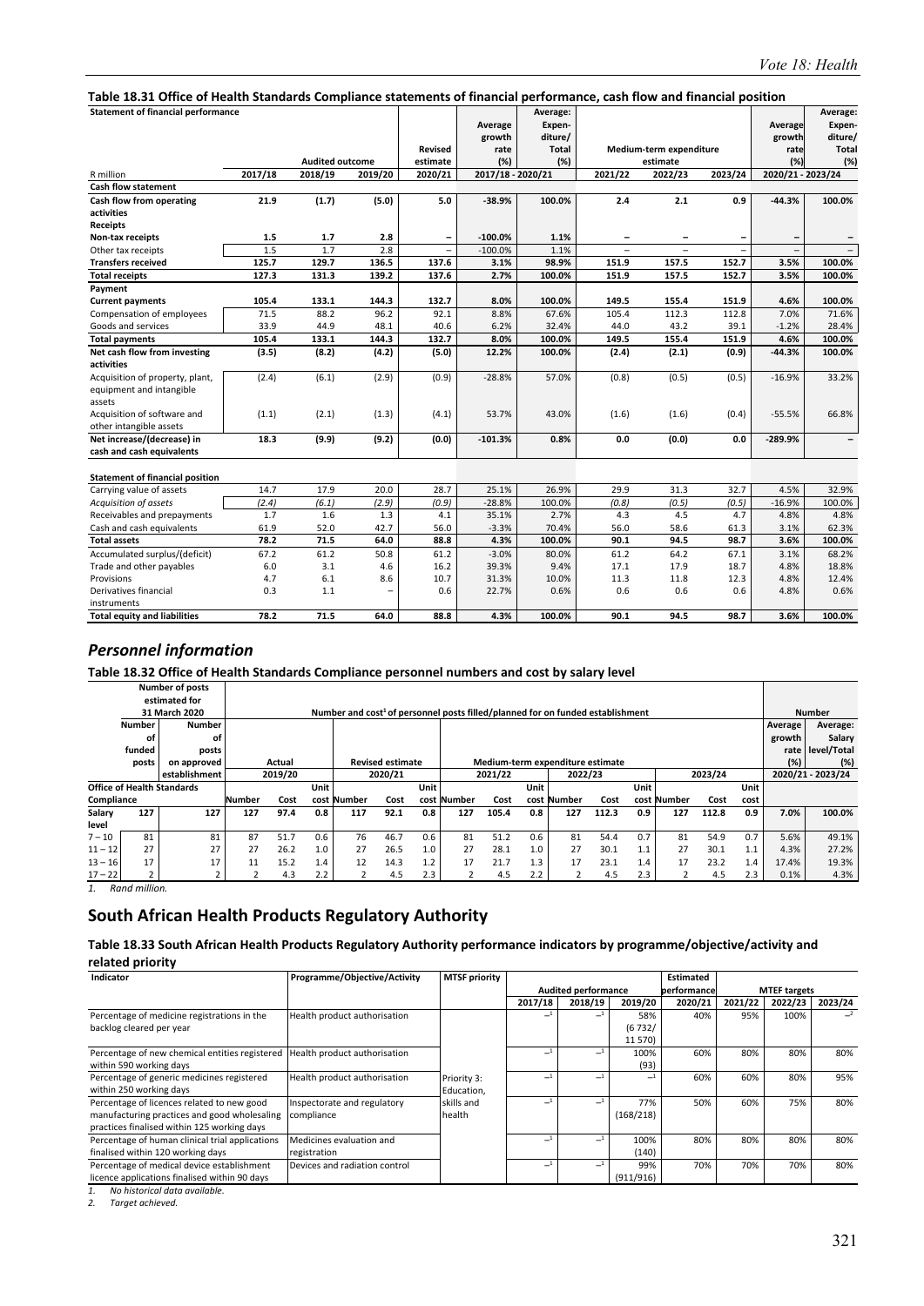#### **Table 18.31 Office of Health Standards Compliance statements of financial performance, cash flow and financial position**

| rabic 10.31 Office of Health Standards Compliance Statements of Imancial performance, cash now and imancial position |         |                        |         |                          |                   |              |                          |                          |                |                          |              |
|----------------------------------------------------------------------------------------------------------------------|---------|------------------------|---------|--------------------------|-------------------|--------------|--------------------------|--------------------------|----------------|--------------------------|--------------|
| <b>Statement of financial performance</b>                                                                            |         |                        |         |                          |                   | Average:     |                          |                          |                |                          | Average:     |
|                                                                                                                      |         |                        |         |                          | Average           | Expen-       |                          |                          |                | Average                  | Expen-       |
|                                                                                                                      |         |                        |         |                          | growth            | diture/      |                          |                          |                | growth                   | diture/      |
|                                                                                                                      |         |                        |         | <b>Revised</b>           | rate              | <b>Total</b> |                          | Medium-term expenditure  |                | rate                     | <b>Total</b> |
|                                                                                                                      |         | <b>Audited outcome</b> |         | estimate                 | (%)               | (%)          |                          | estimate                 |                | (%)                      | (%)          |
| R million<br><b>Cash flow statement</b>                                                                              | 2017/18 | 2018/19                | 2019/20 | 2020/21                  | 2017/18 - 2020/21 |              | 2021/22                  | 2022/23                  | 2023/24        | 2020/21 - 2023/24        |              |
| Cash flow from operating                                                                                             | 21.9    | (1.7)                  | (5.0)   | 5.0                      | $-38.9%$          | 100.0%       | 2.4                      | 2.1                      | 0.9            | $-44.3%$                 | 100.0%       |
| activities                                                                                                           |         |                        |         |                          |                   |              |                          |                          |                |                          |              |
| <b>Receipts</b>                                                                                                      |         |                        |         |                          |                   |              |                          |                          |                |                          |              |
| Non-tax receipts                                                                                                     | 1.5     | 1.7                    | 2.8     | $\overline{\phantom{a}}$ | $-100.0\%$        | 1.1%         |                          |                          |                |                          |              |
| Other tax receipts                                                                                                   | 1.5     | 1.7                    | 2.8     | $\overline{\phantom{0}}$ | $-100.0%$         | 1.1%         | $\overline{\phantom{a}}$ | $\overline{\phantom{0}}$ | $\overline{a}$ | $\overline{\phantom{a}}$ |              |
| <b>Transfers received</b>                                                                                            | 125.7   | 129.7                  | 136.5   | 137.6                    | 3.1%              | 98.9%        | 151.9                    | 157.5                    | 152.7          | 3.5%                     | 100.0%       |
| <b>Total receipts</b>                                                                                                | 127.3   | 131.3                  | 139.2   | 137.6                    | 2.7%              | 100.0%       | 151.9                    | 157.5                    | 152.7          | 3.5%                     | 100.0%       |
| Payment                                                                                                              |         |                        |         |                          |                   |              |                          |                          |                |                          |              |
| <b>Current payments</b>                                                                                              | 105.4   | 133.1                  | 144.3   | 132.7                    | 8.0%              | 100.0%       | 149.5                    | 155.4                    | 151.9          | 4.6%                     | 100.0%       |
| Compensation of employees                                                                                            | 71.5    | 88.2                   | 96.2    | 92.1                     | 8.8%              | 67.6%        | 105.4                    | 112.3                    | 112.8          | 7.0%                     | 71.6%        |
| Goods and services                                                                                                   | 33.9    | 44.9                   | 48.1    | 40.6                     | 6.2%              | 32.4%        | 44.0                     | 43.2                     | 39.1           | $-1.2%$                  | 28.4%        |
| <b>Total payments</b>                                                                                                | 105.4   | 133.1                  | 144.3   | 132.7                    | 8.0%              | 100.0%       | 149.5                    | 155.4                    | 151.9          | 4.6%                     | 100.0%       |
| Net cash flow from investing                                                                                         | (3.5)   | (8.2)                  | (4.2)   | (5.0)                    | 12.2%             | 100.0%       | (2.4)                    | (2.1)                    | (0.9)          | $-44.3%$                 | 100.0%       |
| activities                                                                                                           |         |                        |         |                          |                   |              |                          |                          |                |                          |              |
| Acquisition of property, plant,                                                                                      | (2.4)   | (6.1)                  | (2.9)   | (0.9)                    | $-28.8%$          | 57.0%        | (0.8)                    | (0.5)                    | (0.5)          | $-16.9%$                 | 33.2%        |
| equipment and intangible                                                                                             |         |                        |         |                          |                   |              |                          |                          |                |                          |              |
| assets                                                                                                               |         |                        |         |                          |                   |              |                          |                          |                |                          |              |
| Acquisition of software and                                                                                          | (1.1)   | (2.1)                  | (1.3)   | (4.1)                    | 53.7%             | 43.0%        | (1.6)                    | (1.6)                    | (0.4)          | $-55.5%$                 | 66.8%        |
| other intangible assets                                                                                              |         |                        |         |                          |                   |              |                          |                          |                |                          |              |
| Net increase/(decrease) in                                                                                           | 18.3    | (9.9)                  | (9.2)   | (0.0)                    | $-101.3%$         | 0.8%         | 0.0                      | (0.0)                    | 0.0            | $-289.9%$                |              |
| cash and cash equivalents                                                                                            |         |                        |         |                          |                   |              |                          |                          |                |                          |              |
|                                                                                                                      |         |                        |         |                          |                   |              |                          |                          |                |                          |              |
| <b>Statement of financial position</b>                                                                               |         |                        |         |                          |                   |              |                          |                          |                |                          |              |
| Carrying value of assets                                                                                             | 14.7    | 17.9                   | 20.0    | 28.7                     | 25.1%             | 26.9%        | 29.9                     | 31.3                     | 32.7           | 4.5%                     | 32.9%        |
| Acquisition of assets                                                                                                | (2.4)   | (6.1)                  | (2.9)   | (0.9)                    | $-28.8%$          | 100.0%       | (0.8)                    | (0.5)                    | (0.5)          | $-16.9%$                 | 100.0%       |
| Receivables and prepayments                                                                                          | 1.7     | 1.6                    | 1.3     | 4.1                      | 35.1%             | 2.7%         | 4.3                      | 4.5                      | 4.7            | 4.8%                     | 4.8%         |
| Cash and cash equivalents                                                                                            | 61.9    | 52.0                   | 42.7    | 56.0                     | $-3.3%$           | 70.4%        | 56.0                     | 58.6                     | 61.3           | 3.1%                     | 62.3%        |
| <b>Total assets</b>                                                                                                  | 78.2    | 71.5                   | 64.0    | 88.8                     | 4.3%              | 100.0%       | 90.1                     | 94.5                     | 98.7           | 3.6%                     | 100.0%       |
| Accumulated surplus/(deficit)                                                                                        | 67.2    | 61.2                   | 50.8    | 61.2                     | $-3.0%$           | 80.0%        | 61.2                     | 64.2                     | 67.1           | 3.1%                     | 68.2%        |
| Trade and other payables                                                                                             | 6.0     | 3.1                    | 4.6     | 16.2                     | 39.3%             | 9.4%         | 17.1                     | 17.9                     | 18.7           | 4.8%                     | 18.8%        |
| Provisions                                                                                                           | 4.7     | 6.1                    | 8.6     | 10.7                     | 31.3%             | 10.0%        | 11.3                     | 11.8                     | 12.3           | 4.8%                     | 12.4%        |
| Derivatives financial                                                                                                | 0.3     | 1.1                    |         | 0.6                      | 22.7%             | 0.6%         | 0.6                      | 0.6                      | 0.6            | 4.8%                     | 0.6%         |
| instruments                                                                                                          |         |                        |         |                          |                   |              |                          |                          |                |                          |              |
| <b>Total equity and liabilities</b>                                                                                  | 78.2    | 71.5                   | 64.0    | 88.8                     | 4.3%              | 100.0%       | 90.1                     | 94.5                     | 98.7           | 3.6%                     | 100.0%       |

#### *Personnel information*

**Table 18.32 Office of Health Standards Compliance personnel numbers and cost by salary level** 

|            |               | <b>Number of posts</b>            |        |         |      |                                                                                            |                         |      |             |         |      |                                  |       |      |             |         |      |         |                   |
|------------|---------------|-----------------------------------|--------|---------|------|--------------------------------------------------------------------------------------------|-------------------------|------|-------------|---------|------|----------------------------------|-------|------|-------------|---------|------|---------|-------------------|
|            |               | estimated for                     |        |         |      |                                                                                            |                         |      |             |         |      |                                  |       |      |             |         |      |         |                   |
|            |               | 31 March 2020                     |        |         |      | Number and cost <sup>1</sup> of personnel posts filled/planned for on funded establishment |                         |      |             |         |      |                                  |       |      |             |         |      |         | <b>Number</b>     |
|            | <b>Number</b> | <b>Number</b>                     |        |         |      |                                                                                            |                         |      |             |         |      |                                  |       |      |             |         |      | Average | Average:          |
|            | οt            | οf                                |        |         |      |                                                                                            |                         |      |             |         |      |                                  |       |      |             |         |      | growth  | Salary            |
|            | funded        | posts                             |        |         |      |                                                                                            |                         |      |             |         |      |                                  |       |      |             |         |      | rate    | level/Total       |
|            | posts         | on approved                       |        | Actual  |      |                                                                                            | <b>Revised estimate</b> |      |             |         |      | Medium-term expenditure estimate |       |      |             |         |      | (%)     | (%)               |
|            |               | establishment                     |        | 2019/20 |      |                                                                                            | 2020/21                 |      |             | 2021/22 |      | 2022/23                          |       |      |             | 2023/24 |      |         | 2020/21 - 2023/24 |
|            |               | <b>Office of Health Standards</b> |        |         | Unit |                                                                                            |                         | Unit |             |         | Unit |                                  |       | Unit |             |         | Unit |         |                   |
| Compliance |               |                                   | Number | Cost    |      | cost Number                                                                                | Cost                    |      | cost Number | Cost    | cost | . Number                         | Cost  |      | cost Number | Cost    | cost |         |                   |
| Salary     | 127           | 127                               | 127    | 97.4    | 0.8  | 117                                                                                        | 92.1                    | 0.8  | 127         | 105.4   | 0.8  | 127                              | 112.3 | 0.9  | 127         | 112.8   | 0.9  | 7.0%    | 100.0%            |
| level      |               |                                   |        |         |      |                                                                                            |                         |      |             |         |      |                                  |       |      |             |         |      |         |                   |
| $7 - 10$   | 81            | 81                                | 87     | 51.7    | 0.6  | 76                                                                                         | 46.7                    | 0.6  | 81          | 51.2    | 0.6  | 81                               | 54.4  | 0.7  | 81          | 54.9    | 0.7  | 5.6%    | 49.1%             |
| $11 - 12$  | 27            | 27                                | 27     | 26.2    | 1.0  | 27                                                                                         | 26.5                    | 1.0  | 27          | 28.1    | 1.0  | 27                               | 30.1  | 1.1  | 27          | 30.1    | 1.1  | 4.3%    | 27.2%             |
| $13 - 16$  | 17            | 17                                | 11     | 15.2    | 1.4  | 12                                                                                         | 14.3                    | 1.2  | 17          | 21.7    | 1.3  | 17                               | 23.1  | 1.4  | 17          | 23.2    | 1.4  | 17.4%   | 19.3%             |
| $17 - 22$  |               |                                   |        | 4.3     | 2.2  |                                                                                            | 4.5                     | 2.3  |             | 4.5     | 2.2  |                                  | 4.5   | 2.3  |             | 4.5     | 2.3  | 0.1%    | 4.3%              |

*1. Rand million.* 

#### **South African Health Products Regulatory Authority**

**Table 18.33 South African Health Products Regulatory Authority performance indicators by programme/objective/activity and related priority** 

| Indicator                                                                     | Programme/Objective/Activity  | <b>MTSF priority</b> |              |                            |           | Estimated   |         |                     |         |
|-------------------------------------------------------------------------------|-------------------------------|----------------------|--------------|----------------------------|-----------|-------------|---------|---------------------|---------|
|                                                                               |                               |                      |              | <b>Audited performance</b> |           | performance |         | <b>MTEF targets</b> |         |
|                                                                               |                               |                      | 2017/18      | 2018/19                    | 2019/20   | 2020/21     | 2021/22 | 2022/23             | 2023/24 |
| Percentage of medicine registrations in the                                   | Health product authorisation  |                      | $-1$         | $-1$                       | 58%       | 40%         | 95%     | 100%                |         |
| backlog cleared per year                                                      |                               |                      |              |                            | (6732/    |             |         |                     |         |
|                                                                               |                               |                      |              |                            | 11 570)   |             |         |                     |         |
| Percentage of new chemical entities registered   Health product authorisation |                               |                      | $\mathbf{r}$ | $\mathbf{-}1$              | 100%      | 60%         | 80%     | 80%                 | 80%     |
| within 590 working days                                                       |                               |                      |              |                            | (93)      |             |         |                     |         |
| Percentage of generic medicines registered                                    | Health product authorisation  | Priority 3:          | $\mathbf{I}$ |                            | $-1$      | 60%         | 60%     | 80%                 | 95%     |
| within 250 working days                                                       |                               | Education,           |              |                            |           |             |         |                     |         |
| Percentage of licences related to new good                                    | Inspectorate and regulatory   | skills and           |              | $\mathbf{-1}$              | 77%       | 50%         | 60%     | 75%                 | 80%     |
| manufacturing practices and good wholesaling                                  | compliance                    | health               |              |                            | (168/218) |             |         |                     |         |
| practices finalised within 125 working days                                   |                               |                      |              |                            |           |             |         |                     |         |
| Percentage of human clinical trial applications                               | Medicines evaluation and      |                      | $\mathbf{I}$ |                            | 100%      | 80%         | 80%     | 80%                 | 80%     |
| finalised within 120 working days                                             | registration                  |                      |              |                            | (140)     |             |         |                     |         |
| Percentage of medical device establishment                                    | Devices and radiation control |                      | $\mathbf{I}$ |                            | 99%       | 70%         | 70%     | 70%                 | 80%     |
| licence applications finalised within 90 days                                 |                               |                      |              |                            | (911/916) |             |         |                     |         |

*1. No historical data available.* 

*2. Target achieved.*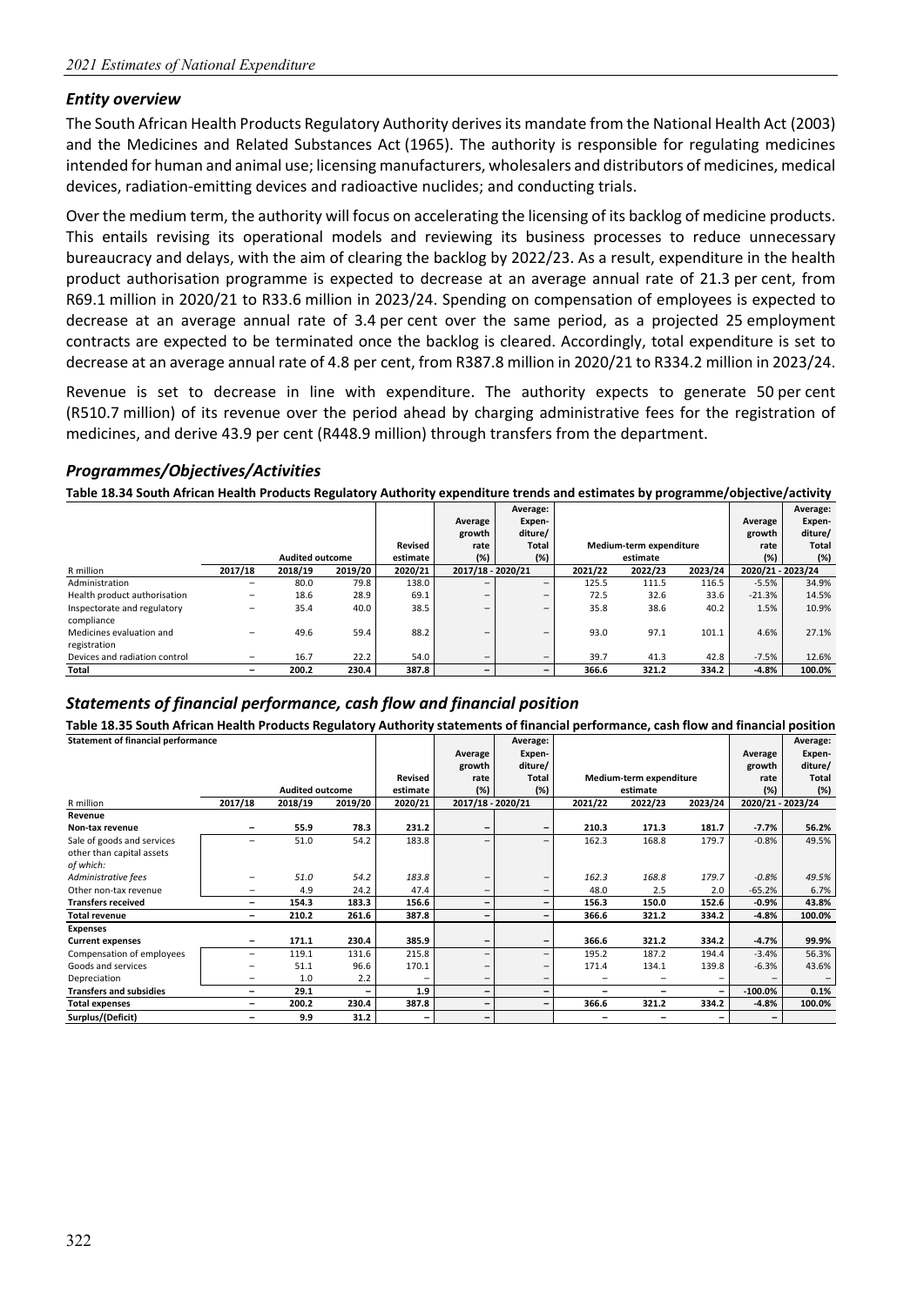#### *Entity overview*

The South African Health Products Regulatory Authority derives its mandate from the National Health Act (2003) and the Medicines and Related Substances Act (1965). The authority is responsible for regulating medicines intended for human and animal use; licensing manufacturers, wholesalers and distributors of medicines, medical devices, radiation‐emitting devices and radioactive nuclides; and conducting trials.

Over the medium term, the authority will focus on accelerating the licensing of its backlog of medicine products. This entails revising its operational models and reviewing its business processes to reduce unnecessary bureaucracy and delays, with the aim of clearing the backlog by 2022/23. As a result, expenditure in the health product authorisation programme is expected to decrease at an average annual rate of 21.3 per cent, from R69.1 million in 2020/21 to R33.6 million in 2023/24. Spending on compensation of employees is expected to decrease at an average annual rate of 3.4 per cent over the same period, as a projected 25 employment contracts are expected to be terminated once the backlog is cleared. Accordingly, total expenditure is set to decrease at an average annual rate of 4.8 per cent, from R387.8 million in 2020/21 to R334.2 million in 2023/24.

Revenue is set to decrease in line with expenditure. The authority expects to generate 50 per cent (R510.7 million) of its revenue over the period ahead by charging administrative fees for the registration of medicines, and derive 43.9 per cent (R448.9 million) through transfers from the department.

#### *Programmes/Objectives/Activities*

**Table 18.34 South African Health Products Regulatory Authority expenditure trends and estimates by programme/objective/activity**

|                               |                          |                        |         |          |                          | Average:                 |         |                         |         |                   | Average: |
|-------------------------------|--------------------------|------------------------|---------|----------|--------------------------|--------------------------|---------|-------------------------|---------|-------------------|----------|
|                               |                          |                        |         |          | Average                  | Expen-                   |         |                         |         | Average           | Expen-   |
|                               |                          |                        |         |          | growth                   | diture/                  |         |                         |         | growth            | diture/  |
|                               |                          |                        |         | Revised  | rate                     | Total                    |         | Medium-term expenditure |         | rate              | Total    |
|                               |                          | <b>Audited outcome</b> |         | estimate | (%)                      | $(\%)$                   |         | estimate                |         | (%)               | (%)      |
| R million                     | 2017/18                  | 2018/19                | 2019/20 | 2020/21  | 2017/18 - 2020/21        |                          | 2021/22 | 2022/23                 | 2023/24 | 2020/21 - 2023/24 |          |
| Administration                | $\overline{\phantom{0}}$ | 80.0                   | 79.8    | 138.0    | -                        | $\overline{\phantom{0}}$ | 125.5   | 111.5                   | 116.5   | $-5.5%$           | 34.9%    |
| Health product authorisation  | $\overline{\phantom{0}}$ | 18.6                   | 28.9    | 69.1     |                          | $\overline{\phantom{0}}$ | 72.5    | 32.6                    | 33.6    | $-21.3%$          | 14.5%    |
| Inspectorate and regulatory   |                          | 35.4                   | 40.0    | 38.5     | $\overline{\phantom{0}}$ | $\overline{\phantom{0}}$ | 35.8    | 38.6                    | 40.2    | 1.5%              | 10.9%    |
| compliance                    |                          |                        |         |          |                          |                          |         |                         |         |                   |          |
| Medicines evaluation and      |                          | 49.6                   | 59.4    | 88.2     |                          | $\overline{\phantom{0}}$ | 93.0    | 97.1                    | 101.1   | 4.6%              | 27.1%    |
| registration                  |                          |                        |         |          |                          |                          |         |                         |         |                   |          |
| Devices and radiation control |                          | 16.7                   | 22.2    | 54.0     |                          | $\overline{\phantom{0}}$ | 39.7    | 41.3                    | 42.8    | $-7.5%$           | 12.6%    |
| Total                         |                          | 200.2                  | 230.4   | 387.8    | -                        | $\overline{\phantom{0}}$ | 366.6   | 321.2                   | 334.2   | $-4.8%$           | 100.0%   |

#### *Statements of financial performance, cash flow and financial position*

**Table 18.35 South African Health Products Regulatory Authority statements of financial performance, cash flow and financial position**

| <b>Statement of financial performance</b> |                          |                        |                          |          |                          | Average:                 |                          |                         |                          |                          | Average:     |
|-------------------------------------------|--------------------------|------------------------|--------------------------|----------|--------------------------|--------------------------|--------------------------|-------------------------|--------------------------|--------------------------|--------------|
|                                           |                          |                        |                          |          | Average                  | Expen-                   |                          |                         |                          | Average                  | Expen-       |
|                                           |                          |                        |                          |          | growth                   | diture/                  |                          |                         |                          | growth                   | diture/      |
|                                           |                          |                        |                          | Revised  | rate                     | <b>Total</b>             |                          | Medium-term expenditure |                          | rate                     | <b>Total</b> |
|                                           |                          | <b>Audited outcome</b> |                          | estimate | (%)                      | (%)                      |                          | estimate                |                          | (%)                      | (%)          |
| R million                                 | 2017/18                  | 2018/19                | 2019/20                  | 2020/21  | 2017/18 - 2020/21        |                          | 2021/22                  | 2022/23                 | 2023/24                  | 2020/21 - 2023/24        |              |
| Revenue                                   |                          |                        |                          |          |                          |                          |                          |                         |                          |                          |              |
| Non-tax revenue                           |                          | 55.9                   | 78.3                     | 231.2    | -                        | $\overline{\phantom{a}}$ | 210.3                    | 171.3                   | 181.7                    | $-7.7\%$                 | 56.2%        |
| Sale of goods and services                | $\overline{\phantom{0}}$ | 51.0                   | 54.2                     | 183.8    | $\overline{\phantom{0}}$ |                          | 162.3                    | 168.8                   | 179.7                    | $-0.8%$                  | 49.5%        |
| other than capital assets                 |                          |                        |                          |          |                          |                          |                          |                         |                          |                          |              |
| of which:                                 |                          |                        |                          |          |                          |                          |                          |                         |                          |                          |              |
| Administrative fees                       |                          | 51.0                   | 54.2                     | 183.8    | -                        | $\qquad \qquad$          | 162.3                    | 168.8                   | 179.7                    | $-0.8%$                  | 49.5%        |
| Other non-tax revenue                     | -                        | 4.9                    | 24.2                     | 47.4     | -                        | $\overline{\phantom{m}}$ | 48.0                     | 2.5                     | 2.0                      | $-65.2%$                 | 6.7%         |
| <b>Transfers received</b>                 | -                        | 154.3                  | 183.3                    | 156.6    | -                        | $\overline{\phantom{m}}$ | 156.3                    | 150.0                   | 152.6                    | $-0.9%$                  | 43.8%        |
| <b>Total revenue</b>                      | $\overline{\phantom{0}}$ | 210.2                  | 261.6                    | 387.8    | -                        | $\qquad \qquad$          | 366.6                    | 321.2                   | 334.2                    | $-4.8%$                  | 100.0%       |
| <b>Expenses</b>                           |                          |                        |                          |          |                          |                          |                          |                         |                          |                          |              |
| <b>Current expenses</b>                   |                          | 171.1                  | 230.4                    | 385.9    | -                        | $\overline{\phantom{a}}$ | 366.6                    | 321.2                   | 334.2                    | $-4.7%$                  | 99.9%        |
| Compensation of employees                 | $\overline{\phantom{0}}$ | 119.1                  | 131.6                    | 215.8    | -                        | $\overline{\phantom{0}}$ | 195.2                    | 187.2                   | 194.4                    | $-3.4%$                  | 56.3%        |
| Goods and services                        |                          | 51.1                   | 96.6                     | 170.1    | -                        | $\qquad \qquad -$        | 171.4                    | 134.1                   | 139.8                    | $-6.3%$                  | 43.6%        |
| Depreciation                              | $\overline{\phantom{0}}$ | 1.0                    | 2.2                      |          | $\overline{\phantom{0}}$ |                          | $\overline{\phantom{0}}$ |                         |                          |                          |              |
| <b>Transfers and subsidies</b>            | $\qquad \qquad -$        | 29.1                   | $\overline{\phantom{0}}$ | 1.9      | $\overline{\phantom{0}}$ | $\qquad \qquad -$        | $\overline{\phantom{0}}$ | -                       | $\overline{\phantom{a}}$ | $-100.0\%$               | 0.1%         |
| <b>Total expenses</b>                     | -                        | 200.2                  | 230.4                    | 387.8    | $\overline{\phantom{0}}$ | $\qquad \qquad$          | 366.6                    | 321.2                   | 334.2                    | $-4.8%$                  | 100.0%       |
| Surplus/(Deficit)                         | $\overline{\phantom{0}}$ | 9.9                    | 31.2                     | -        | -                        |                          | -                        | -                       | $\overline{\phantom{0}}$ | $\overline{\phantom{0}}$ |              |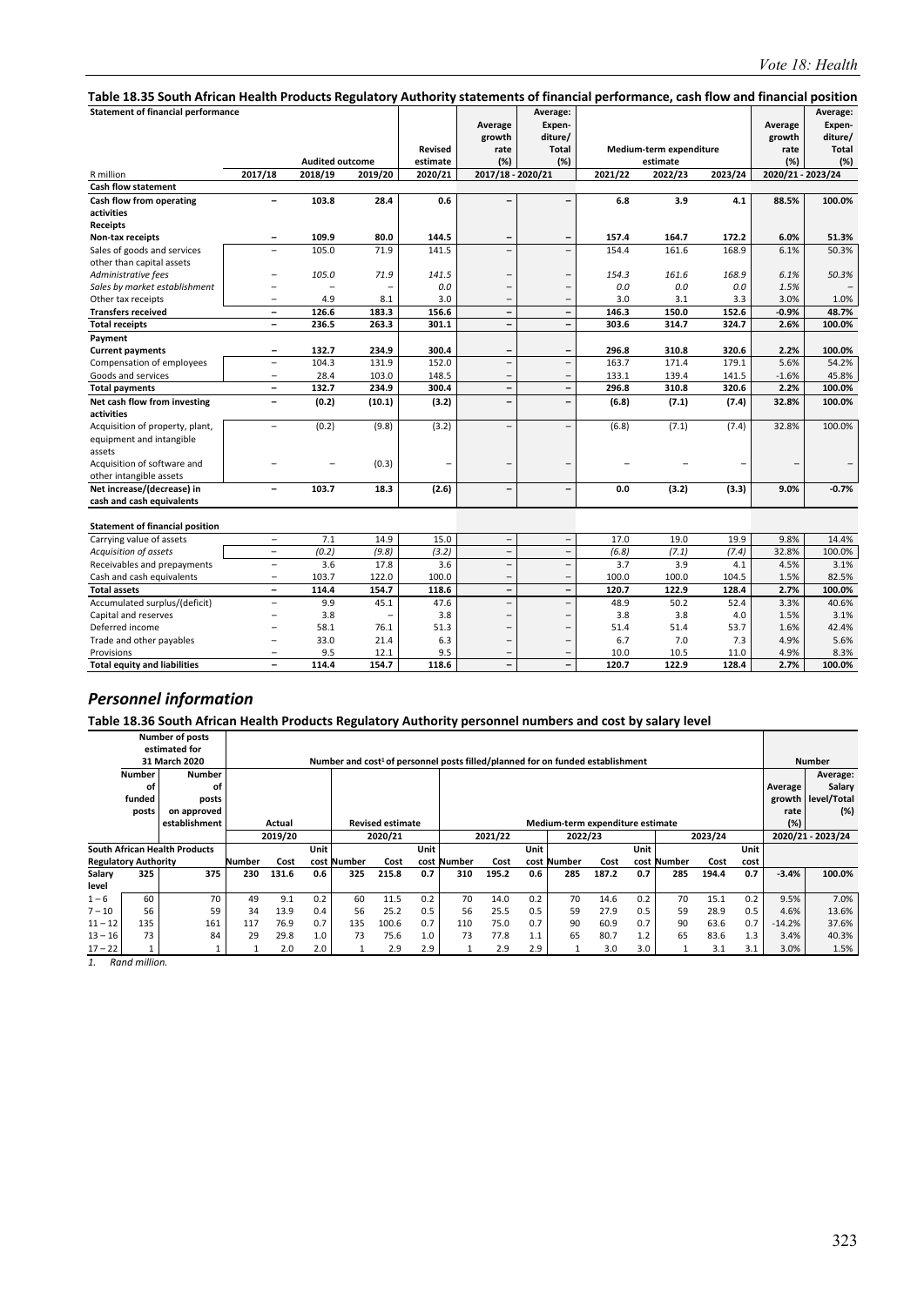| Table 18.35 South African Health Products Regulatory Authority statements of financial performance, cash flow and financial position |                          |                        |                          |                     |                                  |                                                      |         |                                     |         |                                  |                                               |
|--------------------------------------------------------------------------------------------------------------------------------------|--------------------------|------------------------|--------------------------|---------------------|----------------------------------|------------------------------------------------------|---------|-------------------------------------|---------|----------------------------------|-----------------------------------------------|
| <b>Statement of financial performance</b>                                                                                            |                          | <b>Audited outcome</b> |                          | Revised<br>estimate | Average<br>growth<br>rate<br>(%) | Average:<br>Expen-<br>diture/<br><b>Total</b><br>(%) |         | Medium-term expenditure<br>estimate |         | Average<br>growth<br>rate<br>(%) | Average:<br>Expen-<br>diture/<br>Total<br>(%) |
| R million                                                                                                                            | 2017/18                  | 2018/19                | 2019/20                  | 2020/21             | 2017/18 - 2020/21                |                                                      | 2021/22 | 2022/23                             | 2023/24 | 2020/21 - 2023/24                |                                               |
| <b>Cash flow statement</b>                                                                                                           |                          |                        |                          |                     |                                  |                                                      |         |                                     |         |                                  |                                               |
| Cash flow from operating                                                                                                             | $\overline{\phantom{0}}$ | 103.8                  | 28.4                     | 0.6                 | -                                |                                                      | 6.8     | 3.9                                 | 4.1     | 88.5%                            | 100.0%                                        |
| activities                                                                                                                           |                          |                        |                          |                     |                                  |                                                      |         |                                     |         |                                  |                                               |
| <b>Receipts</b>                                                                                                                      |                          |                        |                          |                     |                                  |                                                      |         |                                     |         |                                  |                                               |
| Non-tax receipts                                                                                                                     | ۰                        | 109.9                  | 80.0                     | 144.5               |                                  | $\overline{\phantom{0}}$                             | 157.4   | 164.7                               | 172.2   | 6.0%                             | 51.3%                                         |
| Sales of goods and services                                                                                                          | $\overline{\phantom{0}}$ | 105.0                  | 71.9                     | 141.5               | $\overline{\phantom{0}}$         | $\overline{\phantom{0}}$                             | 154.4   | 161.6                               | 168.9   | 6.1%                             | 50.3%                                         |
| other than capital assets                                                                                                            |                          |                        |                          |                     |                                  |                                                      |         |                                     |         |                                  |                                               |
| Administrative fees                                                                                                                  |                          | 105.0                  | 71.9                     | 141.5               |                                  |                                                      | 154.3   | 161.6                               | 168.9   | 6.1%                             | 50.3%                                         |
| Sales by market establishment                                                                                                        | $\overline{\phantom{0}}$ |                        |                          | 0.0                 | $\overline{\phantom{0}}$         | $\overline{\phantom{a}}$                             | 0.0     | 0.0                                 | 0.0     | 1.5%                             |                                               |
| Other tax receipts                                                                                                                   | $\overline{a}$           | 4.9                    | 8.1                      | 3.0                 | $\overline{\phantom{0}}$         | $\overline{\phantom{0}}$                             | 3.0     | 3.1                                 | 3.3     | 3.0%                             | 1.0%                                          |
| <b>Transfers received</b>                                                                                                            | $\overline{\phantom{0}}$ | 126.6                  | 183.3                    | 156.6               | $\qquad \qquad -$                | $\blacksquare$                                       | 146.3   | 150.0                               | 152.6   | $-0.9%$                          | 48.7%                                         |
| <b>Total receipts</b>                                                                                                                | $\overline{\phantom{0}}$ | 236.5                  | 263.3                    | 301.1               | $\qquad \qquad -$                | $\overline{\phantom{a}}$                             | 303.6   | 314.7                               | 324.7   | 2.6%                             | 100.0%                                        |
| Payment                                                                                                                              |                          |                        |                          |                     |                                  |                                                      |         |                                     |         |                                  |                                               |
| <b>Current payments</b>                                                                                                              | $\overline{\phantom{0}}$ | 132.7                  | 234.9                    | 300.4               | -                                | $\overline{\phantom{a}}$                             | 296.8   | 310.8                               | 320.6   | 2.2%                             | 100.0%                                        |
| Compensation of employees                                                                                                            | $\overline{\phantom{0}}$ | 104.3                  | 131.9                    | 152.0               | $\overline{\phantom{0}}$         | $\overline{\phantom{a}}$                             | 163.7   | 171.4                               | 179.1   | 5.6%                             | 54.2%                                         |
| Goods and services                                                                                                                   | -                        | 28.4                   | 103.0                    | 148.5               | $\overline{\phantom{0}}$         |                                                      | 133.1   | 139.4                               | 141.5   | $-1.6%$                          | 45.8%                                         |
| <b>Total payments</b>                                                                                                                | $\overline{\phantom{a}}$ | 132.7                  | 234.9                    | 300.4               | $\overline{\phantom{0}}$         | $\overline{\phantom{a}}$                             | 296.8   | 310.8                               | 320.6   | 2.2%                             | 100.0%                                        |
| Net cash flow from investing                                                                                                         | $\overline{\phantom{0}}$ | (0.2)                  | (10.1)                   | (3.2)               | -                                |                                                      | (6.8)   | (7.1)                               | (7.4)   | 32.8%                            | 100.0%                                        |
| activities                                                                                                                           |                          |                        |                          |                     |                                  |                                                      |         |                                     |         |                                  |                                               |
| Acquisition of property, plant,                                                                                                      | $\qquad \qquad -$        | (0.2)                  | (9.8)                    | (3.2)               | $\overline{\phantom{0}}$         |                                                      | (6.8)   | (7.1)                               | (7.4)   | 32.8%                            | 100.0%                                        |
| equipment and intangible<br>assets                                                                                                   |                          |                        |                          |                     |                                  |                                                      |         |                                     |         |                                  |                                               |
| Acquisition of software and                                                                                                          |                          |                        | (0.3)                    |                     |                                  |                                                      |         |                                     |         |                                  |                                               |
| other intangible assets                                                                                                              |                          |                        |                          |                     |                                  |                                                      |         |                                     |         |                                  |                                               |
| Net increase/(decrease) in                                                                                                           | $\overline{\phantom{0}}$ | 103.7                  | 18.3                     | (2.6)               | -                                | $\overline{\phantom{0}}$                             | 0.0     | (3.2)                               | (3.3)   | 9.0%                             | $-0.7%$                                       |
| cash and cash equivalents                                                                                                            |                          |                        |                          |                     |                                  |                                                      |         |                                     |         |                                  |                                               |
| <b>Statement of financial position</b>                                                                                               |                          |                        |                          |                     |                                  |                                                      |         |                                     |         |                                  |                                               |
| Carrying value of assets                                                                                                             | $\qquad \qquad -$        | 7.1                    | 14.9                     | 15.0                | $\qquad \qquad -$                | $\overline{\phantom{a}}$                             | 17.0    | 19.0                                | 19.9    | 9.8%                             | 14.4%                                         |
| Acquisition of assets                                                                                                                | $\overline{\phantom{a}}$ | (0.2)                  | (9.8)                    | (3.2)               | $\overline{\phantom{0}}$         | $\overline{\phantom{a}}$                             | (6.8)   | (7.1)                               | (7.4)   | 32.8%                            | 100.0%                                        |
| Receivables and prepayments                                                                                                          | $\overline{a}$           | 3.6                    | 17.8                     | 3.6                 | $\overline{\phantom{0}}$         | $\overline{\phantom{a}}$                             | 3.7     | 3.9                                 | 4.1     | 4.5%                             | 3.1%                                          |
| Cash and cash equivalents                                                                                                            | $\qquad \qquad -$        | 103.7                  | 122.0                    | 100.0               | $\overline{\phantom{0}}$         |                                                      | 100.0   | 100.0                               | 104.5   | 1.5%                             | 82.5%                                         |
| <b>Total assets</b>                                                                                                                  | $\qquad \qquad -$        | 114.4                  | 154.7                    | 118.6               | $\overline{\phantom{0}}$         | $\overline{\phantom{m}}$                             | 120.7   | 122.9                               | 128.4   | 2.7%                             | 100.0%                                        |
| Accumulated surplus/(deficit)                                                                                                        | $\overline{a}$           | 9.9                    | 45.1                     | 47.6                | $\overline{\phantom{0}}$         | $\overline{\phantom{0}}$                             | 48.9    | 50.2                                | 52.4    | 3.3%                             | 40.6%                                         |
| Capital and reserves                                                                                                                 | $\overline{\phantom{0}}$ | 3.8                    | $\overline{\phantom{0}}$ | 3.8                 | $\overline{\phantom{0}}$         | $\overline{\phantom{0}}$                             | 3.8     | 3.8                                 | 4.0     | 1.5%                             | 3.1%                                          |
| Deferred income                                                                                                                      |                          | 58.1                   | 76.1                     | 51.3                | $\overline{\phantom{0}}$         |                                                      | 51.4    | 51.4                                | 53.7    | 1.6%                             | 42.4%                                         |
| Trade and other payables                                                                                                             | $\overline{a}$           | 33.0                   | 21.4                     | 6.3                 | $\overline{\phantom{0}}$         |                                                      | 6.7     | 7.0                                 | 7.3     | 4.9%                             | 5.6%                                          |
| Provisions                                                                                                                           | $\overline{\phantom{0}}$ | 9.5                    | 12.1                     | 9.5                 | $\overline{\phantom{0}}$         |                                                      | 10.0    | 10.5                                | 11.0    | 4.9%                             | 8.3%                                          |
| <b>Total equity and liabilities</b>                                                                                                  |                          | 114.4                  | 154.7                    | 118.6               | $\overline{\phantom{0}}$         |                                                      | 120.7   | 122.9                               | 128.4   | 2.7%                             | 100.0%                                        |

**Table 18.36 South African Health Products Regulatory Authority personnel numbers and cost by salary level** 

|           |                             | <b>Number of posts</b>               |        |         |             |             |                         |      |                                                                                            |         |      |                                  |       |      |             |         |      |          |                   |
|-----------|-----------------------------|--------------------------------------|--------|---------|-------------|-------------|-------------------------|------|--------------------------------------------------------------------------------------------|---------|------|----------------------------------|-------|------|-------------|---------|------|----------|-------------------|
|           |                             | estimated for                        |        |         |             |             |                         |      |                                                                                            |         |      |                                  |       |      |             |         |      |          |                   |
|           |                             | 31 March 2020                        |        |         |             |             |                         |      | Number and cost <sup>1</sup> of personnel posts filled/planned for on funded establishment |         |      |                                  |       |      |             |         |      |          | <b>Number</b>     |
|           | <b>Number</b>               | <b>Number</b>                        |        |         |             |             |                         |      |                                                                                            |         |      |                                  |       |      |             |         |      |          | Average:          |
|           | οf                          | оf                                   |        |         |             |             |                         |      |                                                                                            |         |      |                                  |       |      |             |         |      | Average  | Salary            |
|           | funded                      | posts                                |        |         |             |             |                         |      |                                                                                            |         |      |                                  |       |      |             |         |      | growth   | level/Total       |
|           | posts                       | on approved                          |        |         |             |             |                         |      |                                                                                            |         |      |                                  |       |      |             |         |      | rate     | (%)               |
|           |                             | establishment                        |        | Actual  |             |             | <b>Revised estimate</b> |      |                                                                                            |         |      | Medium-term expenditure estimate |       |      |             |         |      | (%)      |                   |
|           |                             |                                      |        | 2019/20 |             |             | 2020/21                 |      |                                                                                            | 2021/22 |      | 2022/23                          |       |      |             | 2023/24 |      |          | 2020/21 - 2023/24 |
|           |                             | <b>South African Health Products</b> |        |         | <b>Unit</b> |             |                         | Unit |                                                                                            |         | Unit |                                  |       | Unit |             |         | Unit |          |                   |
|           | <b>Regulatory Authority</b> |                                      | Number | Cost    |             | cost Number | Cost                    |      | cost Number                                                                                | Cost    |      | cost Number                      | Cost  |      | cost Number | Cost    | cost |          |                   |
| Salary    | 325                         | 375                                  | 230    | 131.6   | 0.6         | 325         | 215.8                   | 0.7  | 310                                                                                        | 195.2   | 0.6  | 285                              | 187.2 | 0.7  | 285         | 194.4   | 0.7  | $-3.4%$  | 100.0%            |
| level     |                             |                                      |        |         |             |             |                         |      |                                                                                            |         |      |                                  |       |      |             |         |      |          |                   |
| $1 - 6$   | 60                          | 70                                   | 49     | 9.1     | 0.2         | 60          | 11.5                    | 0.2  | 70                                                                                         | 14.0    | 0.2  | 70                               | 14.6  | 0.2  | 70          | 15.1    | 0.2  | 9.5%     | 7.0%              |
| $7 - 10$  | 56                          | 59                                   | 34     | 13.9    | 0.4         | 56          | 25.2                    | 0.5  | 56                                                                                         | 25.5    | 0.5  | 59                               | 27.9  | 0.5  | 59          | 28.9    | 0.5  | 4.6%     | 13.6%             |
| $11 - 12$ | 135                         | 161                                  | 117    | 76.9    | 0.7         | 135         | 100.6                   | 0.7  | 110                                                                                        | 75.0    | 0.7  | 90                               | 60.9  | 0.7  | 90          | 63.6    | 0.7  | $-14.2%$ | 37.6%             |
| $13 - 16$ | 73                          | 84                                   | 29     | 29.8    | 1.0         | 73          | 75.6                    | 1.0  | 73                                                                                         | 77.8    | 1.1  | 65                               | 80.7  | 1.2  | 65          | 83.6    | 1.3  | 3.4%     | 40.3%             |
| $17 - 22$ |                             |                                      |        | 2.0     | 2.0         |             | 2.9                     | 2.9  |                                                                                            | 2.9     | 2.9  |                                  | 3.0   | 3.0  |             | 3.1     | 3.1  | 3.0%     | 1.5%              |

*1. Rand million.*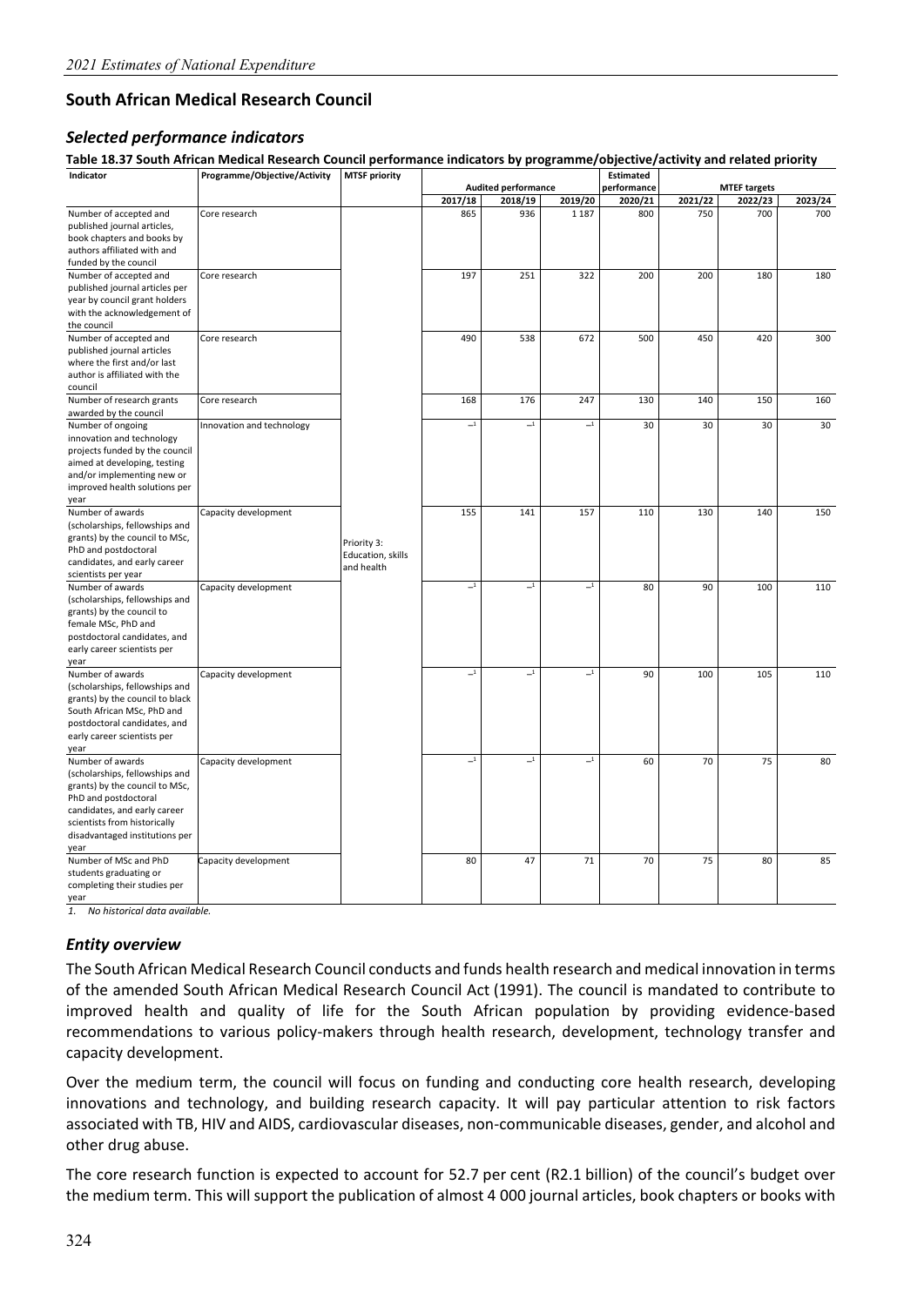## **South African Medical Research Council**

#### *Selected performance indicators*

**Table 18.37 South African Medical Research Council performance indicators by programme/objective/activity and related priority**

| Indicator                       | Programme/Objective/Activity | <b>MTSF priority</b> |                          |                            |                          | Estimated   |         |                     |         |
|---------------------------------|------------------------------|----------------------|--------------------------|----------------------------|--------------------------|-------------|---------|---------------------|---------|
|                                 |                              |                      |                          | <b>Audited performance</b> |                          | performance |         | <b>MTEF targets</b> |         |
|                                 |                              |                      | 2017/18                  | 2018/19                    | 2019/20                  | 2020/21     | 2021/22 | 2022/23             | 2023/24 |
| Number of accepted and          | Core research                |                      | 865                      | 936                        | 1 1 8 7                  | 800         | 750     | 700                 | 700     |
| published journal articles,     |                              |                      |                          |                            |                          |             |         |                     |         |
| book chapters and books by      |                              |                      |                          |                            |                          |             |         |                     |         |
| authors affiliated with and     |                              |                      |                          |                            |                          |             |         |                     |         |
| funded by the council           |                              |                      |                          |                            |                          |             |         |                     |         |
| Number of accepted and          | Core research                |                      | 197                      | 251                        | 322                      | 200         | 200     | 180                 | 180     |
|                                 |                              |                      |                          |                            |                          |             |         |                     |         |
| published journal articles per  |                              |                      |                          |                            |                          |             |         |                     |         |
| year by council grant holders   |                              |                      |                          |                            |                          |             |         |                     |         |
| with the acknowledgement of     |                              |                      |                          |                            |                          |             |         |                     |         |
| the council                     |                              |                      |                          |                            |                          |             |         |                     |         |
| Number of accepted and          | Core research                |                      | 490                      | 538                        | 672                      | 500         | 450     | 420                 | 300     |
| published journal articles      |                              |                      |                          |                            |                          |             |         |                     |         |
| where the first and/or last     |                              |                      |                          |                            |                          |             |         |                     |         |
| author is affiliated with the   |                              |                      |                          |                            |                          |             |         |                     |         |
| council                         |                              |                      |                          |                            |                          |             |         |                     |         |
| Number of research grants       | Core research                |                      | 168                      | 176                        | 247                      | 130         | 140     | 150                 | 160     |
| awarded by the council          |                              |                      |                          |                            |                          |             |         |                     |         |
| Number of ongoing               | Innovation and technology    |                      | $\_1$                    | $\mathbf{-1}$              | $-1$                     | 30          | 30      | 30                  | 30      |
| innovation and technology       |                              |                      |                          |                            |                          |             |         |                     |         |
| projects funded by the council  |                              |                      |                          |                            |                          |             |         |                     |         |
| aimed at developing, testing    |                              |                      |                          |                            |                          |             |         |                     |         |
| and/or implementing new or      |                              |                      |                          |                            |                          |             |         |                     |         |
|                                 |                              |                      |                          |                            |                          |             |         |                     |         |
| improved health solutions per   |                              |                      |                          |                            |                          |             |         |                     |         |
| year                            |                              |                      |                          |                            |                          |             |         |                     |         |
| Number of awards                | Capacity development         |                      | 155                      | 141                        | 157                      | 110         | 130     | 140                 | 150     |
| (scholarships, fellowships and  |                              |                      |                          |                            |                          |             |         |                     |         |
| grants) by the council to MSc,  |                              | Priority 3:          |                          |                            |                          |             |         |                     |         |
| PhD and postdoctoral            |                              | Education, skills    |                          |                            |                          |             |         |                     |         |
| candidates, and early career    |                              | and health           |                          |                            |                          |             |         |                     |         |
| scientists per year             |                              |                      |                          |                            |                          |             |         |                     |         |
| Number of awards                | Capacity development         |                      | $\_1$                    | $-1$                       | $\_1$                    | 80          | 90      | 100                 | 110     |
| (scholarships, fellowships and  |                              |                      |                          |                            |                          |             |         |                     |         |
| grants) by the council to       |                              |                      |                          |                            |                          |             |         |                     |         |
| female MSc, PhD and             |                              |                      |                          |                            |                          |             |         |                     |         |
| postdoctoral candidates, and    |                              |                      |                          |                            |                          |             |         |                     |         |
| early career scientists per     |                              |                      |                          |                            |                          |             |         |                     |         |
| year                            |                              |                      |                          |                            |                          |             |         |                     |         |
| Number of awards                | Capacity development         |                      | $\mathbf{r}$             | $\_1$                      | $\_1$                    | 90          | 100     | 105                 | 110     |
| (scholarships, fellowships and  |                              |                      |                          |                            |                          |             |         |                     |         |
| grants) by the council to black |                              |                      |                          |                            |                          |             |         |                     |         |
|                                 |                              |                      |                          |                            |                          |             |         |                     |         |
| South African MSc, PhD and      |                              |                      |                          |                            |                          |             |         |                     |         |
| postdoctoral candidates, and    |                              |                      |                          |                            |                          |             |         |                     |         |
| early career scientists per     |                              |                      |                          |                            |                          |             |         |                     |         |
| year                            |                              |                      |                          |                            |                          |             |         |                     |         |
| Number of awards                | Capacity development         |                      | $\overline{\phantom{0}}$ | $\overline{\phantom{0}}$   | $\overline{\phantom{0}}$ | 60          | 70      | 75                  | 80      |
| (scholarships, fellowships and  |                              |                      |                          |                            |                          |             |         |                     |         |
| grants) by the council to MSc,  |                              |                      |                          |                            |                          |             |         |                     |         |
| PhD and postdoctoral            |                              |                      |                          |                            |                          |             |         |                     |         |
| candidates, and early career    |                              |                      |                          |                            |                          |             |         |                     |         |
| scientists from historically    |                              |                      |                          |                            |                          |             |         |                     |         |
| disadvantaged institutions per  |                              |                      |                          |                            |                          |             |         |                     |         |
| year                            |                              |                      |                          |                            |                          |             |         |                     |         |
| Number of MSc and PhD           | Capacity development         |                      | 80                       | 47                         | 71                       | 70          | 75      | 80                  | 85      |
| students graduating or          |                              |                      |                          |                            |                          |             |         |                     |         |
| completing their studies per    |                              |                      |                          |                            |                          |             |         |                     |         |
| year                            |                              |                      |                          |                            |                          |             |         |                     |         |
|                                 |                              |                      |                          |                            |                          |             |         |                     |         |

*1. No historical data available.* 

#### *Entity overview*

The South African Medical Research Council conducts and funds health research and medical innovation in terms of the amended South African Medical Research Council Act (1991). The council is mandated to contribute to improved health and quality of life for the South African population by providing evidence-based recommendations to various policy-makers through health research, development, technology transfer and capacity development.

Over the medium term, the council will focus on funding and conducting core health research, developing innovations and technology, and building research capacity. It will pay particular attention to risk factors associated with TB, HIV and AIDS, cardiovascular diseases, non‐communicable diseases, gender, and alcohol and other drug abuse.

The core research function is expected to account for 52.7 per cent (R2.1 billion) of the council's budget over the medium term. This will support the publication of almost 4 000 journal articles, book chapters or books with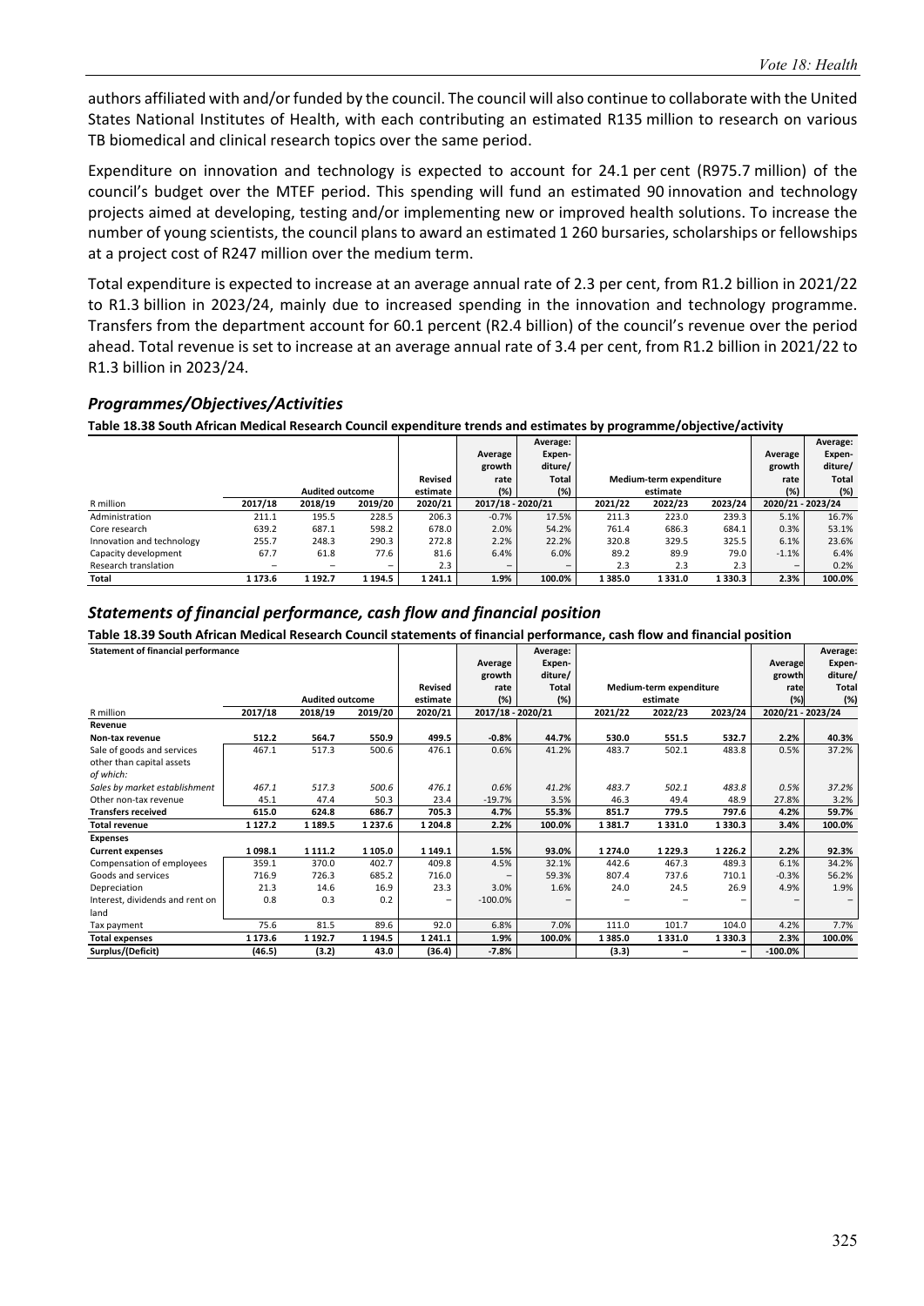authors affiliated with and/or funded by the council. The council will also continue to collaborate with the United States National Institutes of Health, with each contributing an estimated R135 million to research on various TB biomedical and clinical research topics over the same period.

Expenditure on innovation and technology is expected to account for 24.1 per cent (R975.7 million) of the council's budget over the MTEF period. This spending will fund an estimated 90 innovation and technology projects aimed at developing, testing and/or implementing new or improved health solutions. To increase the number of young scientists, the council plans to award an estimated 1 260 bursaries, scholarships or fellowships at a project cost of R247 million over the medium term.

Total expenditure is expected to increase at an average annual rate of 2.3 per cent, from R1.2 billion in 2021/22 to R1.3 billion in 2023/24, mainly due to increased spending in the innovation and technology programme. Transfers from the department account for 60.1 percent (R2.4 billion) of the council's revenue over the period ahead. Total revenue is set to increase at an average annual rate of 3.4 per cent, from R1.2 billion in 2021/22 to R1.3 billion in 2023/24.

#### *Programmes/Objectives/Activities*

**Table 18.38 South African Medical Research Council expenditure trends and estimates by programme/objective/activity** 

|                           |                 |                        |                          |          |                   | Average:                 |         |                         |         |                          | Average: |
|---------------------------|-----------------|------------------------|--------------------------|----------|-------------------|--------------------------|---------|-------------------------|---------|--------------------------|----------|
|                           |                 |                        |                          |          | Average           | Expen-                   |         |                         |         | Average                  | Expen-   |
|                           |                 |                        |                          |          | growth            | diture/                  |         |                         |         | growth                   | diture/  |
|                           |                 |                        |                          | Revised  | rate              | Total                    |         | Medium-term expenditure |         | rate                     | Total    |
|                           |                 | <b>Audited outcome</b> |                          | estimate | (%)               | (%)                      |         | estimate                |         | (%)                      | (%)      |
| R million                 | 2017/18         | 2018/19                | 2019/20                  | 2020/21  | 2017/18 - 2020/21 |                          | 2021/22 | 2022/23                 | 2023/24 | 2020/21 - 2023/24        |          |
| Administration            | 211.1           | 195.5                  | 228.5                    | 206.3    | $-0.7%$           | 17.5%                    | 211.3   | 223.0                   | 239.3   | 5.1%                     | 16.7%    |
| Core research             | 639.2           | 687.1                  | 598.2                    | 678.0    | 2.0%              | 54.2%                    | 761.4   | 686.3                   | 684.1   | 0.3%                     | 53.1%    |
| Innovation and technology | 255.7           | 248.3                  | 290.3                    | 272.8    | 2.2%              | 22.2%                    | 320.8   | 329.5                   | 325.5   | 6.1%                     | 23.6%    |
| Capacity development      | 67.7            | 61.8                   | 77.6                     | 81.6     | 6.4%              | 6.0%                     | 89.2    | 89.9                    | 79.0    | $-1.1%$                  | 6.4%     |
| Research translation      | $\qquad \qquad$ | -                      | $\overline{\phantom{0}}$ | 2.3      | -                 | $\overline{\phantom{0}}$ | 2.3     | 2.3                     | 2.3     | $\overline{\phantom{0}}$ | 0.2%     |
| Total                     | 1 173.6         | 1 192.7                | 1 194.5                  | 1 241.1  | 1.9%              | 100.0%                   | 1385.0  | 1 331.0                 | 1330.3  | 2.3%                     | 100.0%   |

#### *Statements of financial performance, cash flow and financial position*

**Table 18.39 South African Medical Research Council statements of financial performance, cash flow and financial position** 

| <b>Statement of financial performance</b> |             |                        |            |             |                   | Average:     |         |                         |             |                   | Average:     |
|-------------------------------------------|-------------|------------------------|------------|-------------|-------------------|--------------|---------|-------------------------|-------------|-------------------|--------------|
|                                           |             |                        |            |             | Average           | Expen-       |         |                         |             | Average           | Expen-       |
|                                           |             |                        |            |             | growth            | diture/      |         |                         |             | growth            | diture/      |
|                                           |             |                        |            | Revised     | rate              | <b>Total</b> |         | Medium-term expenditure |             | rate              | <b>Total</b> |
|                                           |             | <b>Audited outcome</b> |            | estimate    | (%)               | (%)          |         | estimate                |             | (%)               | (%)          |
| R million                                 | 2017/18     | 2018/19                | 2019/20    | 2020/21     | 2017/18 - 2020/21 |              | 2021/22 | 2022/23                 | 2023/24     | 2020/21 - 2023/24 |              |
| Revenue                                   |             |                        |            |             |                   |              |         |                         |             |                   |              |
| Non-tax revenue                           | 512.2       | 564.7                  | 550.9      | 499.5       | $-0.8%$           | 44.7%        | 530.0   | 551.5                   | 532.7       | 2.2%              | 40.3%        |
| Sale of goods and services                | 467.1       | 517.3                  | 500.6      | 476.1       | 0.6%              | 41.2%        | 483.7   | 502.1                   | 483.8       | 0.5%              | 37.2%        |
| other than capital assets                 |             |                        |            |             |                   |              |         |                         |             |                   |              |
| of which:                                 |             |                        |            |             |                   |              |         |                         |             |                   |              |
| Sales by market establishment             | 467.1       | 517.3                  | 500.6      | 476.1       | 0.6%              | 41.2%        | 483.7   | 502.1                   | 483.8       | 0.5%              | 37.2%        |
| Other non-tax revenue                     | 45.1        | 47.4                   | 50.3       | 23.4        | $-19.7%$          | 3.5%         | 46.3    | 49.4                    | 48.9        | 27.8%             | 3.2%         |
| <b>Transfers received</b>                 | 615.0       | 624.8                  | 686.7      | 705.3       | 4.7%              | 55.3%        | 851.7   | 779.5                   | 797.6       | 4.2%              | 59.7%        |
| <b>Total revenue</b>                      | 1 1 2 7 . 2 | 1 1 8 9.5              | 1 237.6    | 1 204.8     | 2.2%              | 100.0%       | 1381.7  | 1 3 3 1 . 0             | 1330.3      | 3.4%              | 100.0%       |
| <b>Expenses</b>                           |             |                        |            |             |                   |              |         |                         |             |                   |              |
| <b>Current expenses</b>                   | 1098.1      | 1 1 1 1 .2             | 1 105.0    | 1 1 4 9 . 1 | 1.5%              | 93.0%        | 1 274.0 | 1 2 2 9 . 3             | 1 2 2 6 . 2 | 2.2%              | 92.3%        |
| Compensation of employees                 | 359.1       | 370.0                  | 402.7      | 409.8       | 4.5%              | 32.1%        | 442.6   | 467.3                   | 489.3       | 6.1%              | 34.2%        |
| Goods and services                        | 716.9       | 726.3                  | 685.2      | 716.0       |                   | 59.3%        | 807.4   | 737.6                   | 710.1       | $-0.3%$           | 56.2%        |
| Depreciation                              | 21.3        | 14.6                   | 16.9       | 23.3        | 3.0%              | 1.6%         | 24.0    | 24.5                    | 26.9        | 4.9%              | 1.9%         |
| Interest, dividends and rent on           | 0.8         | 0.3                    | 0.2        | -           | $-100.0%$         |              |         |                         |             |                   |              |
| land                                      |             |                        |            |             |                   |              |         |                         |             |                   |              |
| Tax payment                               | 75.6        | 81.5                   | 89.6       | 92.0        | 6.8%              | 7.0%         | 111.0   | 101.7                   | 104.0       | 4.2%              | 7.7%         |
| <b>Total expenses</b>                     | 1 1 7 3 . 6 | 1 192.7                | 1 1 9 4 .5 | 1 241.1     | 1.9%              | 100.0%       | 1385.0  | 1331.0                  | 1330.3      | 2.3%              | 100.0%       |
| Surplus/(Deficit)                         | (46.5)      | (3.2)                  | 43.0       | (36.4)      | $-7.8%$           |              | (3.3)   |                         |             | $-100.0\%$        |              |